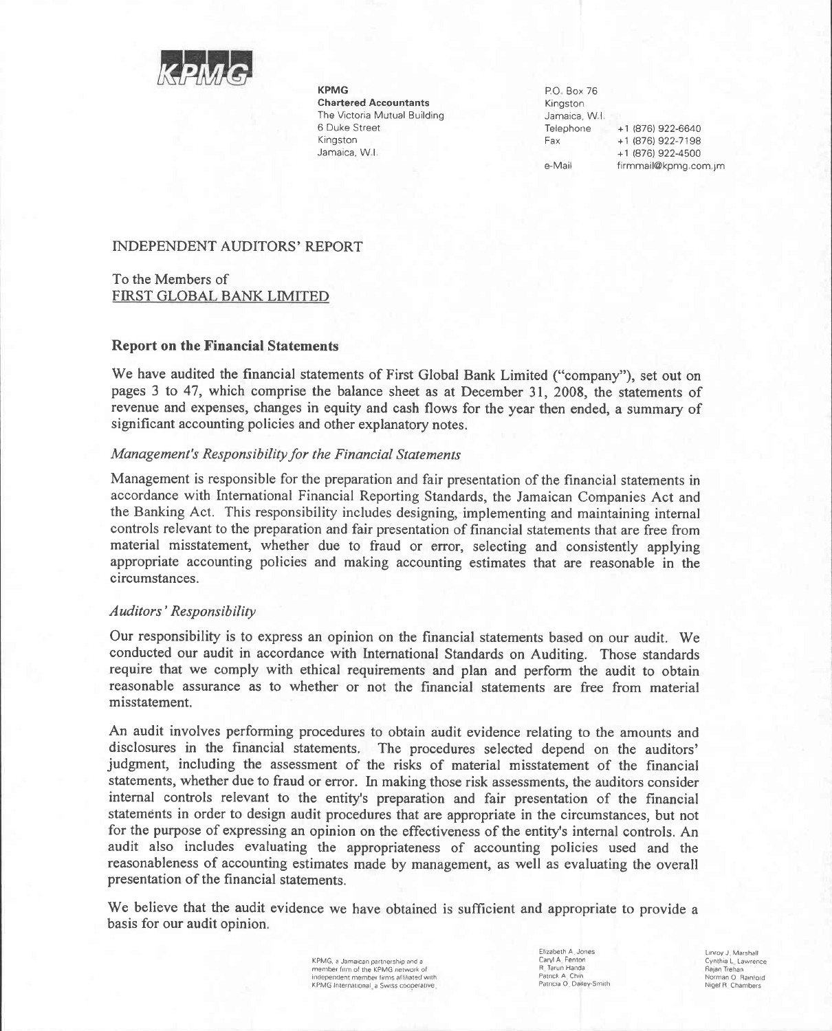

**KPMG Chartered Accountants** The Victoria Mutual Building 6 Duke Street Kingston Jamaica, W.I.

P.O. Box 76 Kingston Jamaica, W.I. Telephone +1 (876) 922-6640 Fax +1 (876) 922-7198 +1 (876) 922-4500 e-Mail firmmail@kpmg.com.jm

# INDEPENDENT AUDITORS' REPORT

To the Members of FIRST GLOBAL BANK LIMITED

#### **Report on the Financial Statements**

We have audited the financial statements of First Global Bank Limited ("company"), set out on pages 3 to 47, which comprise the balance sheet as at December 31, 2008, the statements of revenue and expenses, changes in equity and cash flows for the year then ended, a summary of significant accounting policies and other explanatory notes.

#### Management's Responsibility for the Financial Statements

Management is responsible for the preparation and fair presentation of the financial statements in accordance with International Financial Reporting Standards, the Jamaican Companies Act and the Banking Act. This responsibility includes designing, implementing and maintaining internal controls relevant to the preparation and fair presentation of financial statements that are free from material misstatement, whether due to fraud or error, selecting and consistently applying appropriate accounting policies and making accounting estimates that are reasonable in the circumstances.

#### Auditors' Responsibility

Our responsibility is to express an opinion on the financial statements based on our audit. We conducted our audit in accordance with International Standards on Auditing. Those standards require that we comply with ethical requirements and plan and perform the audit to obtain reasonable assurance as to whether or not the financial statements are free from material misstatement.

An audit involves performing procedures to obtain audit evidence relating to the amounts and disclosures in the financial statements. The procedures selected depend on the auditors' judgment, including the assessment of the risks of material misstatement of the financial statements, whether due to fraud or error. In making those risk assessments, the auditors consider internal controls relevant to the entity's preparation and fair presentation of the financial statements in order to design audit procedures that are appropriate in the circumstances, but not for the purpose of expressing an opinion on the effectiveness of the entity's internal controls. An audit also includes evaluating the appropriateness of accounting policies used and the reasonableness of accounting estimates made by management, as well as evaluating the overall presentation of the financial statements.

We believe that the audit evidence we have obtained is sufficient and appropriate to provide a basis for our audit opinion.

> KPMG, a Jamaican partnership and a<br>member firm of the KPMG network of independent member firms affiliated with KPMG International, a Swiss cooperative

Flizabeth A Jones Caryl A. Fenton R. Tarun Handa Patrick A. Chin<br>Patricia O. Dailey-Smith

Linroy J. Marshall Cynthia L. Lawrence Rajan Trehan Norman O Rainford Nigel R. Chambers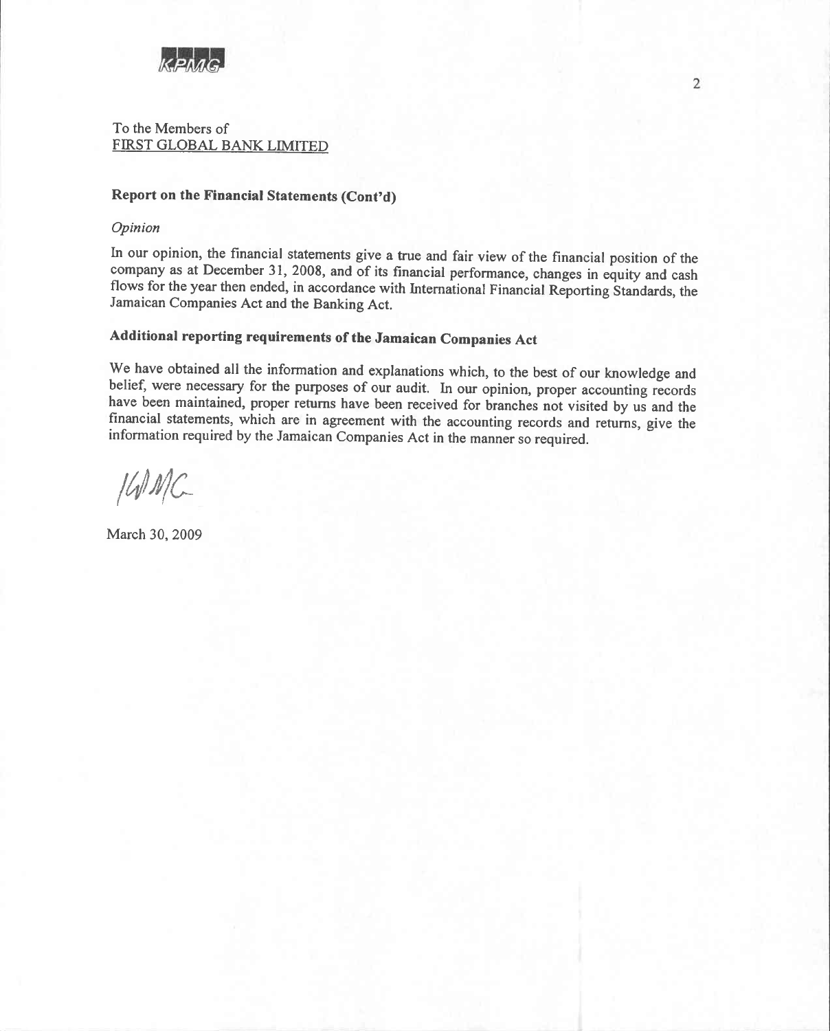

To the Members of FIRST GLOBAL BANK LIMITED

# Report on the Financial Statements (Cont'd)

#### Opinion

In our opinion, the financial statements give a true and fair view of the financial position of the company as at December 31, 2008, and of its financial performance, changes in equity and cash flows for the year then ended, in accordance with International Financial Reporting Standards, the Jamaican Companies Act and the Banking Act.

# Additional reporting requirements of the Jamaican Companies Act

We have obtained all the information and explanations which, to the best of our knowledge and belief, were necessary for the purposes of our audit. In our opinion, proper accounting records have been maintained, proper returns have been received for branches not visited by us and the financial statements, which are in agreement with the accounting records and returns, give the information required by the Jamaican Companies Act in the manner so required.

 $I$ WMC

March 30, 2009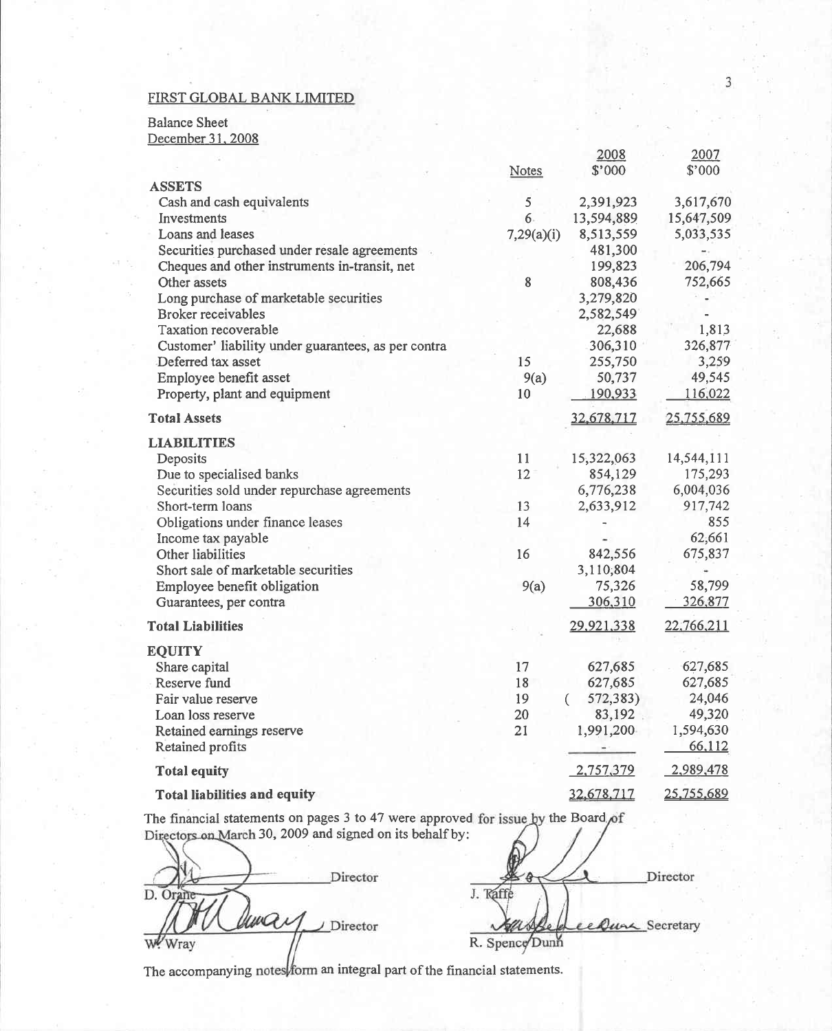**Balance Sheet** 

December 31, 2008

|                                                     |            | <u> 2006</u> | 2007       |
|-----------------------------------------------------|------------|--------------|------------|
|                                                     | Notes      | \$'000       | \$'000     |
| <b>ASSETS</b>                                       |            |              |            |
| Cash and cash equivalents                           | 5          | 2,391,923    | 3,617,670  |
| Investments                                         | 6.         | 13,594,889   | 15,647,509 |
| Loans and leases                                    | 7,29(a)(i) | 8,513,559    | 5,033,535  |
| Securities purchased under resale agreements        |            | 481,300      |            |
| Cheques and other instruments in-transit, net       |            | 199,823      | 206,794    |
| Other assets                                        | $\bf 8$    | 808,436      | 752,665    |
| Long purchase of marketable securities              |            | 3,279,820    |            |
| <b>Broker</b> receivables                           |            | 2,582,549    |            |
| Taxation recoverable                                |            | 22,688       | 1,813      |
| Customer' liability under guarantees, as per contra |            | 306,310      | 326,877    |
| Deferred tax asset                                  | 15         | 255,750      | 3,259      |
| Employee benefit asset                              | 9(a)       | 50,737       | 49,545     |
| Property, plant and equipment                       | 10         | 190,933      | 116,022    |
| <b>Total Assets</b>                                 |            | 32,678,717   | 25,755,689 |
| <b>LIABILITIES</b>                                  |            |              |            |
| Deposits                                            | 11         | 15,322,063   | 14,544,111 |
| Due to specialised banks                            | 12         | 854,129      | 175,293    |
| Securities sold under repurchase agreements         |            | 6,776,238    | 6,004,036  |
| Short-term loans                                    | 13         | 2,633,912    | 917,742    |
| Obligations under finance leases                    | 14         |              | 855        |
| Income tax payable                                  |            |              | 62,661     |
| Other liabilities                                   | 16         | 842,556      | 675,837    |
| Short sale of marketable securities                 |            | 3,110,804    |            |
| Employee benefit obligation                         | 9(a)       | 75,326       | 58,799     |
| Guarantees, per contra                              |            | 306,310      | 326,877    |
| <b>Total Liabilities</b>                            |            | 29,921,338   | 22,766,211 |
| <b>EQUITY</b>                                       |            |              |            |
| Share capital                                       | 17         | 627,685      | 627,685    |
| Reserve fund                                        | 18         | 627,685      | 627,685    |
| Fair value reserve                                  | 19         | 572,383)     | 24,046     |
| Loan loss reserve                                   | 20         | 83,192       | 49,320     |
| Retained earnings reserve                           | 21         | 1,991,200    | 1,594,630  |
| Retained profits                                    |            | ۰            | 66,112     |
| <b>Total equity</b>                                 |            | 2,757,379    | 2,989,478  |
| <b>Total liabilities and equity</b>                 |            | 32,678,717   | 25,755,689 |

The financial statements on pages 3 to 47 were approved for issue by the Board of Directors on March 30, 2009 and signed on its behalf by:

Director D. Orane war Director W. Wray

Director J. Raffe Dung Secretary e R. Spence Dunn

The accompanying notes form an integral part of the financial statements.

 $0002$ 

 $2000$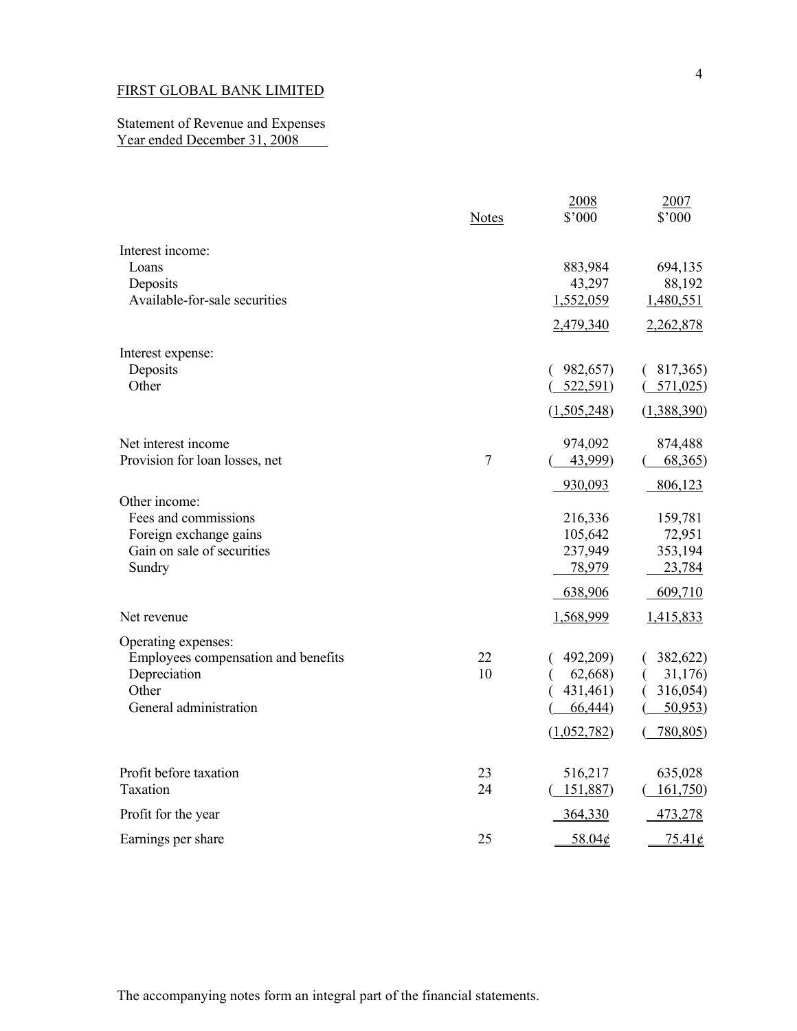## Statement of Revenue and Expenses Year ended December 31, 2008

|                                                                                                               | <b>Notes</b> | 2008<br>\$'000                                            | 2007<br>\$'000                                        |
|---------------------------------------------------------------------------------------------------------------|--------------|-----------------------------------------------------------|-------------------------------------------------------|
| Interest income:<br>Loans<br>Deposits<br>Available-for-sale securities                                        |              | 883,984<br>43,297<br>1,552,059<br>2,479,340               | 694,135<br>88,192<br>1,480,551<br>2,262,878           |
| Interest expense:<br>Deposits<br>Other                                                                        |              | 982,657)<br>€<br>522,591)<br>(1,505,248)                  | 817,365)<br>571,025<br>(1,388,390)                    |
| Net interest income<br>Provision for loan losses, net                                                         | $\tau$       | 974,092<br>43,999)<br>930,093                             | 874,488<br>68,365<br>806,123                          |
| Other income:<br>Fees and commissions<br>Foreign exchange gains<br>Gain on sale of securities<br>Sundry       |              | 216,336<br>105,642<br>237,949<br>78,979<br>638,906        | 159,781<br>72,951<br>353,194<br>23,784<br>609,710     |
| Net revenue                                                                                                   |              | 1,568,999                                                 | 1,415,833                                             |
| Operating expenses:<br>Employees compensation and benefits<br>Depreciation<br>Other<br>General administration | 22<br>10     | 492,209)<br>62,668)<br>431,461)<br>66,444)<br>(1,052,782) | 382,622)<br>31,176)<br>316,054)<br>50,953<br>780,805) |
| Profit before taxation<br>Taxation                                                                            | 23<br>24     | 516,217<br>151,887)                                       | 635,028<br>161,750                                    |
| Profit for the year                                                                                           |              | 364,330                                                   | 473,278                                               |
| Earnings per share                                                                                            | 25           | 58.04¢                                                    | $75.41\text{¢}$                                       |

4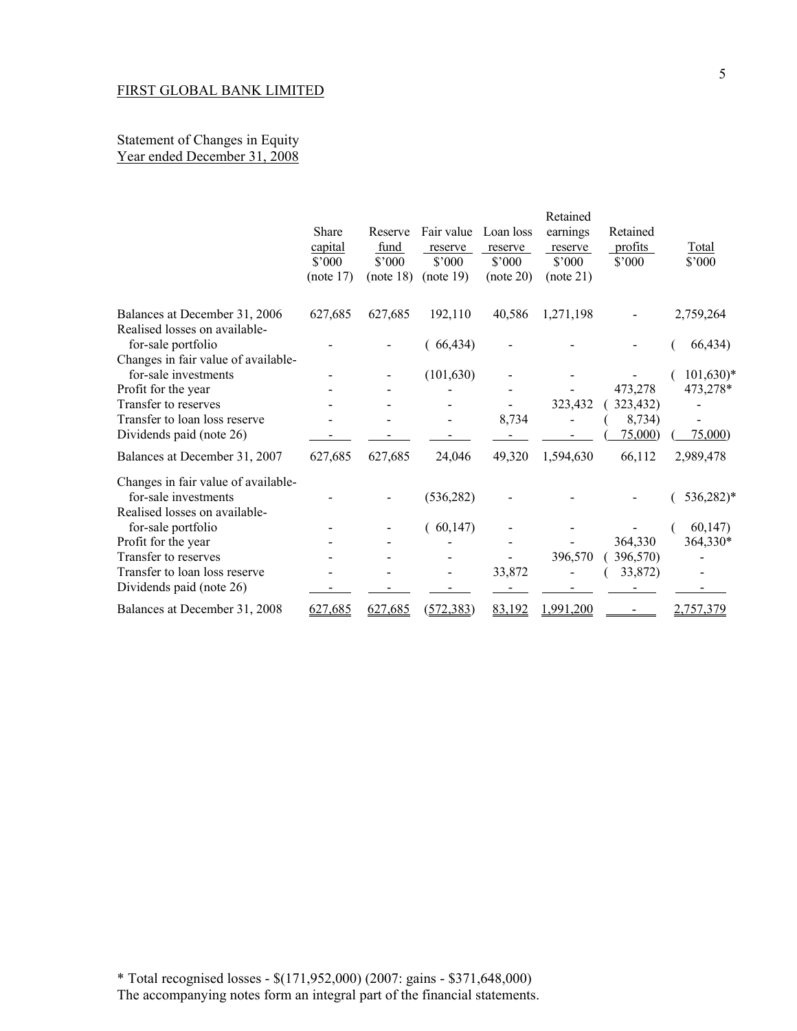## Statement of Changes in Equity Year ended December 31, 2008

|                                                                                            | <b>Share</b><br>capital<br>$$^{\circ}000$<br>(note 17) | Reserve<br>fund<br>$$^{\circ}000$<br>(note 18) | Fair value<br>reserve<br>$$^{\circ}000$<br>(note 19) | Loan loss<br>reserve<br>$$^{\circ}000$<br>(note 20) | Retained<br>earnings<br>reserve<br>$$^{\circ}000$<br>(note 21) | Retained<br>profits<br>$$^{\circ}000$ | <b>Total</b><br>$$^{\circ}000$ |
|--------------------------------------------------------------------------------------------|--------------------------------------------------------|------------------------------------------------|------------------------------------------------------|-----------------------------------------------------|----------------------------------------------------------------|---------------------------------------|--------------------------------|
| Balances at December 31, 2006                                                              | 627,685                                                | 627,685                                        | 192,110                                              | 40,586                                              | 1,271,198                                                      |                                       | 2,759,264                      |
| Realised losses on available-<br>for-sale portfolio<br>Changes in fair value of available- |                                                        |                                                | 66,434)                                              |                                                     |                                                                |                                       | 66,434)                        |
| for-sale investments                                                                       |                                                        |                                                | (101, 630)                                           |                                                     |                                                                |                                       | $101,630$ <sup>*</sup>         |
| Profit for the year                                                                        |                                                        |                                                |                                                      |                                                     |                                                                | 473,278                               | 473,278*                       |
| Transfer to reserves                                                                       |                                                        |                                                |                                                      |                                                     | 323,432                                                        | 323,432)                              |                                |
| Transfer to loan loss reserve                                                              |                                                        |                                                |                                                      | 8,734                                               |                                                                | 8,734)                                |                                |
| Dividends paid (note 26)                                                                   |                                                        |                                                |                                                      |                                                     |                                                                | 75,000                                | 75,000                         |
| Balances at December 31, 2007                                                              | 627,685                                                | 627,685                                        | 24,046                                               | 49,320                                              | 1,594,630                                                      | 66,112                                | 2,989,478                      |
| Changes in fair value of available-<br>for-sale investments                                |                                                        |                                                | (536, 282)                                           |                                                     |                                                                |                                       | 536,282)*                      |
| Realised losses on available-                                                              |                                                        |                                                |                                                      |                                                     |                                                                |                                       |                                |
| for-sale portfolio                                                                         |                                                        |                                                | 60,147                                               |                                                     |                                                                |                                       | 60,147                         |
| Profit for the year                                                                        |                                                        |                                                |                                                      |                                                     |                                                                | 364,330                               | 364,330*                       |
| Transfer to reserves                                                                       |                                                        |                                                |                                                      |                                                     | 396,570                                                        | 396,570)                              |                                |
| Transfer to loan loss reserve                                                              |                                                        |                                                |                                                      | 33,872                                              |                                                                | 33,872)                               |                                |
| Dividends paid (note 26)                                                                   |                                                        |                                                |                                                      |                                                     |                                                                |                                       |                                |
| Balances at December 31, 2008                                                              | 627,685                                                | 627,685                                        | (572, 383)                                           | 83,192                                              | 1,991,200                                                      |                                       | <u>2,757,379</u>               |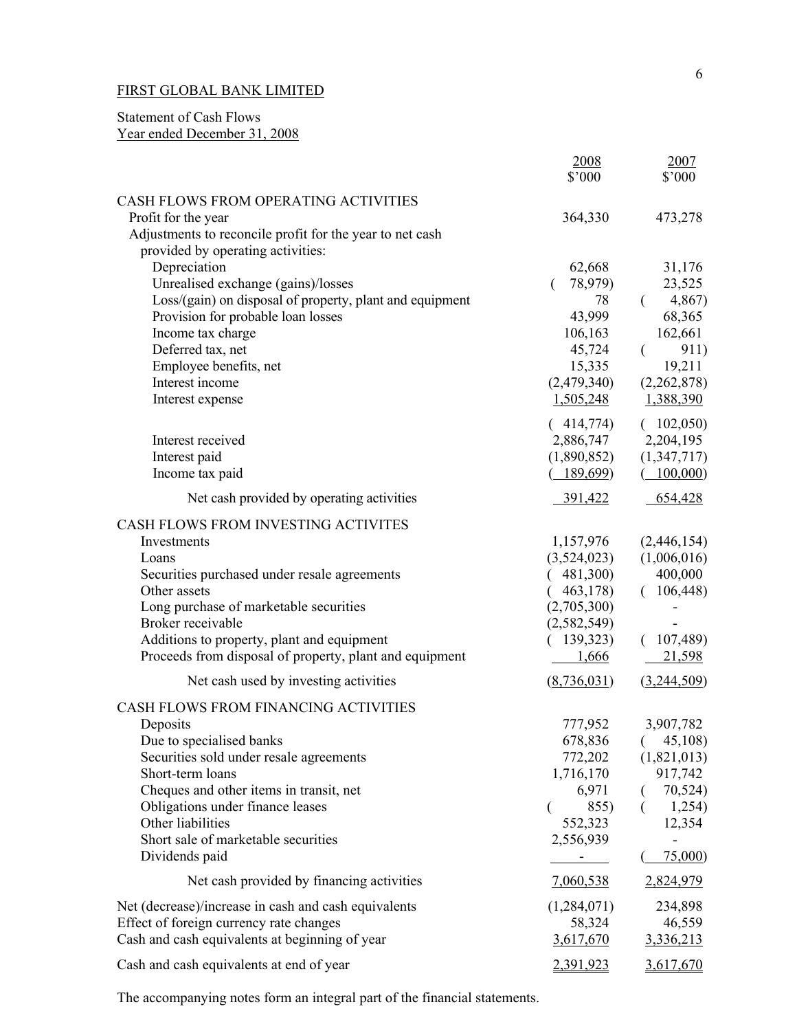# Statement of Cash Flows Year ended December 31, 2008

|                                                                                               | 2008<br>\$'000            | 2007<br>\$'000         |
|-----------------------------------------------------------------------------------------------|---------------------------|------------------------|
| CASH FLOWS FROM OPERATING ACTIVITIES                                                          |                           |                        |
| Profit for the year                                                                           | 364,330                   | 473,278                |
| Adjustments to reconcile profit for the year to net cash<br>provided by operating activities: |                           |                        |
| Depreciation                                                                                  | 62,668                    | 31,176                 |
| Unrealised exchange (gains)/losses                                                            | 78,979)                   | 23,525                 |
| Loss/(gain) on disposal of property, plant and equipment                                      | 78                        | 4,867)<br>$\left($     |
| Provision for probable loan losses                                                            | 43,999                    | 68,365                 |
| Income tax charge<br>Deferred tax, net                                                        | 106,163<br>45,724         | 162,661<br>911)<br>€   |
| Employee benefits, net                                                                        | 15,335                    | 19,211                 |
| Interest income                                                                               | (2,479,340)               | (2,262,878)            |
| Interest expense                                                                              | 1,505,248                 | 1,388,390              |
| Interest received                                                                             | (414,774)                 | (102,050)<br>2,204,195 |
| Interest paid                                                                                 | 2,886,747<br>(1,890,852)  | (1,347,717)            |
| Income tax paid                                                                               | 189,699)                  | (100,000)              |
| Net cash provided by operating activities                                                     | 391,422                   | 654,428                |
| CASH FLOWS FROM INVESTING ACTIVITES                                                           |                           |                        |
| Investments                                                                                   | 1,157,976                 | (2,446,154)            |
| Loans                                                                                         | (3,524,023)               | (1,006,016)            |
| Securities purchased under resale agreements                                                  | 481,300)                  | 400,000                |
| Other assets                                                                                  | 463,178)                  | (106, 448)             |
| Long purchase of marketable securities                                                        | (2,705,300)               |                        |
| Broker receivable<br>Additions to property, plant and equipment                               | (2, 582, 549)<br>139,323) | (107, 489)             |
| Proceeds from disposal of property, plant and equipment                                       | 1,666                     | 21,598                 |
| Net cash used by investing activities                                                         | (8, 736, 031)             | (3,244,509)            |
| CASH FLOWS FROM FINANCING ACTIVITIES                                                          |                           |                        |
| Deposits                                                                                      | 777,952                   | 3,907,782              |
| Due to specialised banks                                                                      |                           | 678,836 (45,108)       |
| Securities sold under resale agreements                                                       | 772,202                   | (1,821,013)            |
| Short-term loans                                                                              | 1,716,170                 | 917,742                |
| Cheques and other items in transit, net                                                       | 6,971                     | 70,524)                |
| Obligations under finance leases<br>Other liabilities                                         | 855)<br>€<br>552,323      | 1,254)<br>(<br>12,354  |
| Short sale of marketable securities                                                           | 2,556,939                 |                        |
| Dividends paid                                                                                | $\sim$                    | 75,000                 |
| Net cash provided by financing activities                                                     | 7,060,538                 | 2,824,979              |
| Net (decrease)/increase in cash and cash equivalents                                          | (1,284,071)               | 234,898                |
| Effect of foreign currency rate changes                                                       | 58,324                    | 46,559                 |
| Cash and cash equivalents at beginning of year                                                | 3,617,670                 | 3,336,213              |
| Cash and cash equivalents at end of year                                                      | 2,391,923                 | 3,617,670              |

The accompanying notes form an integral part of the financial statements.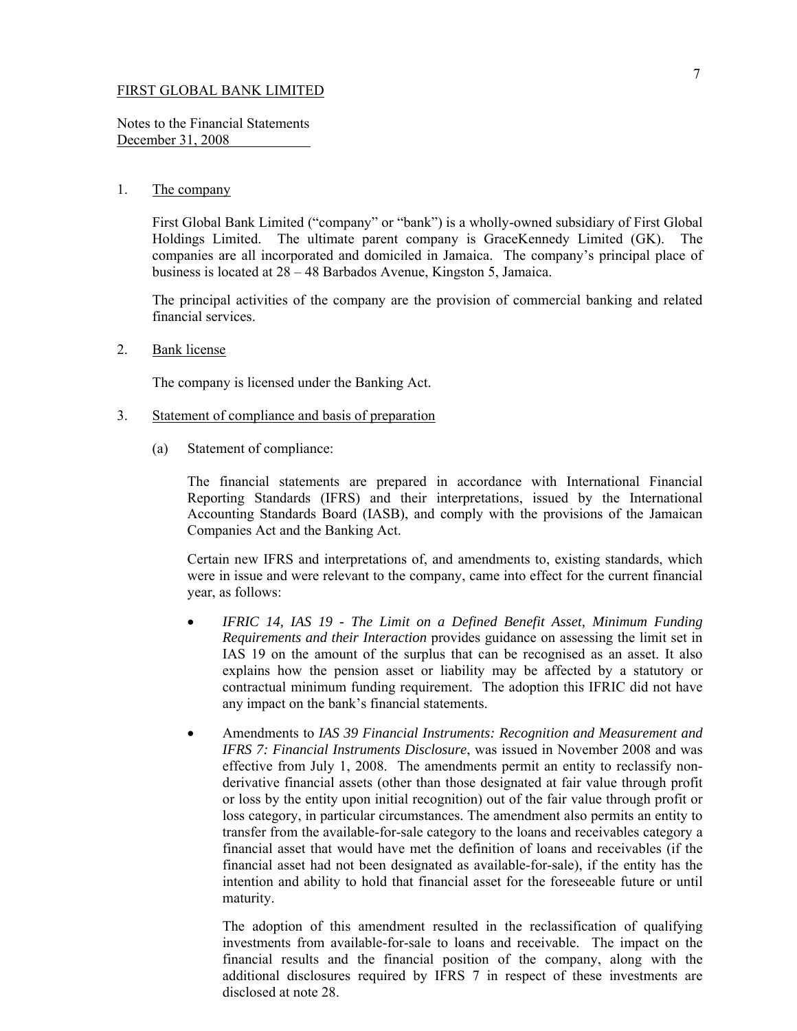Notes to the Financial Statements December 31, 2008

## 1. The company

 First Global Bank Limited ("company" or "bank") is a wholly-owned subsidiary of First Global Holdings Limited. The ultimate parent company is GraceKennedy Limited (GK). The companies are all incorporated and domiciled in Jamaica. The company's principal place of business is located at 28 – 48 Barbados Avenue, Kingston 5, Jamaica.

The principal activities of the company are the provision of commercial banking and related financial services.

2. Bank license

The company is licensed under the Banking Act.

- 3. Statement of compliance and basis of preparation
	- (a) Statement of compliance:

The financial statements are prepared in accordance with International Financial Reporting Standards (IFRS) and their interpretations, issued by the International Accounting Standards Board (IASB), and comply with the provisions of the Jamaican Companies Act and the Banking Act.

Certain new IFRS and interpretations of, and amendments to, existing standards, which were in issue and were relevant to the company, came into effect for the current financial year, as follows:

- *IFRIC 14, IAS 19 The Limit on a Defined Benefit Asset, Minimum Funding Requirements and their Interaction* provides guidance on assessing the limit set in IAS 19 on the amount of the surplus that can be recognised as an asset. It also explains how the pension asset or liability may be affected by a statutory or contractual minimum funding requirement. The adoption this IFRIC did not have any impact on the bank's financial statements.
- Amendments to *IAS 39 Financial Instruments: Recognition and Measurement and IFRS 7: Financial Instruments Disclosure*, was issued in November 2008 and was effective from July 1, 2008. The amendments permit an entity to reclassify nonderivative financial assets (other than those designated at fair value through profit or loss by the entity upon initial recognition) out of the fair value through profit or loss category, in particular circumstances. The amendment also permits an entity to transfer from the available-for-sale category to the loans and receivables category a financial asset that would have met the definition of loans and receivables (if the financial asset had not been designated as available-for-sale), if the entity has the intention and ability to hold that financial asset for the foreseeable future or until maturity.

The adoption of this amendment resulted in the reclassification of qualifying investments from available-for-sale to loans and receivable. The impact on the financial results and the financial position of the company, along with the additional disclosures required by IFRS 7 in respect of these investments are disclosed at note 28.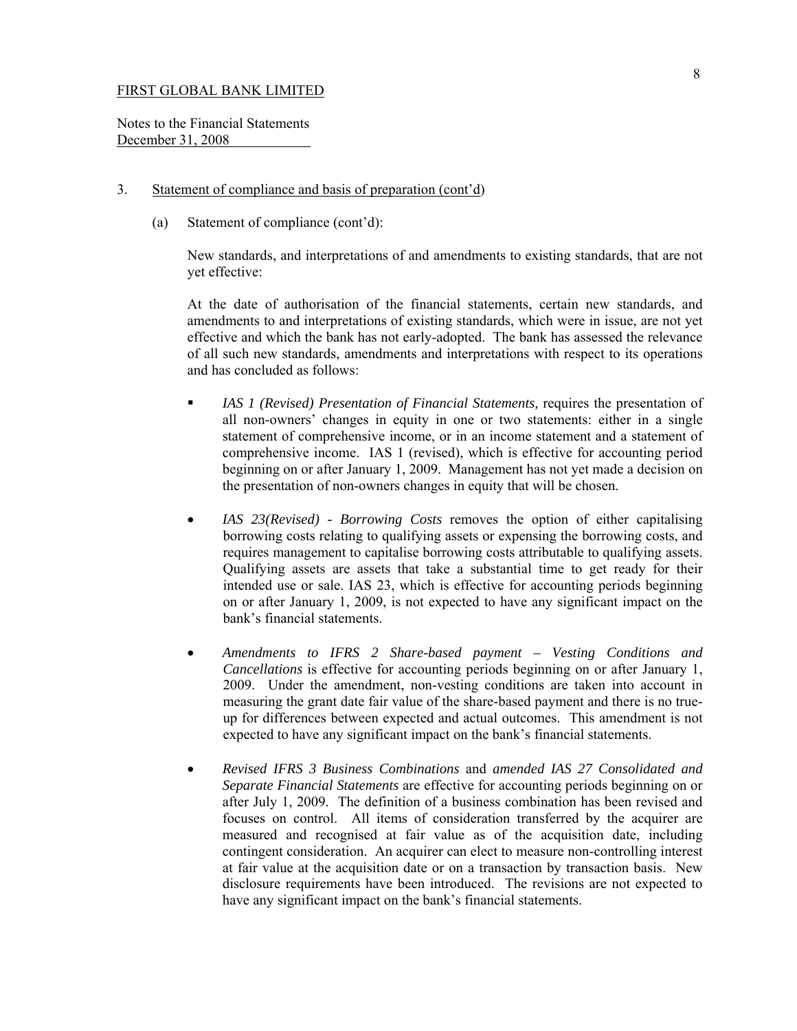Notes to the Financial Statements December 31, 2008

## 3. Statement of compliance and basis of preparation (cont'd)

(a) Statement of compliance (cont'd):

New standards, and interpretations of and amendments to existing standards, that are not yet effective:

At the date of authorisation of the financial statements, certain new standards, and amendments to and interpretations of existing standards, which were in issue, are not yet effective and which the bank has not early-adopted. The bank has assessed the relevance of all such new standards, amendments and interpretations with respect to its operations and has concluded as follows:

- *IAS 1 (Revised) Presentation of Financial Statements,* requires the presentation of all non-owners' changes in equity in one or two statements: either in a single statement of comprehensive income, or in an income statement and a statement of comprehensive income. IAS 1 (revised), which is effective for accounting period beginning on or after January 1, 2009. Management has not yet made a decision on the presentation of non-owners changes in equity that will be chosen.
- *IAS 23(Revised) Borrowing Costs* removes the option of either capitalising borrowing costs relating to qualifying assets or expensing the borrowing costs, and requires management to capitalise borrowing costs attributable to qualifying assets. Qualifying assets are assets that take a substantial time to get ready for their intended use or sale. IAS 23, which is effective for accounting periods beginning on or after January 1, 2009, is not expected to have any significant impact on the bank's financial statements.
- *Amendments to IFRS 2 Share-based payment Vesting Conditions and Cancellations* is effective for accounting periods beginning on or after January 1, 2009. Under the amendment, non-vesting conditions are taken into account in measuring the grant date fair value of the share-based payment and there is no trueup for differences between expected and actual outcomes. This amendment is not expected to have any significant impact on the bank's financial statements.
- *Revised IFRS 3 Business Combinations* and *amended IAS 27 Consolidated and Separate Financial Statements* are effective for accounting periods beginning on or after July 1, 2009. The definition of a business combination has been revised and focuses on control. All items of consideration transferred by the acquirer are measured and recognised at fair value as of the acquisition date, including contingent consideration. An acquirer can elect to measure non-controlling interest at fair value at the acquisition date or on a transaction by transaction basis. New disclosure requirements have been introduced. The revisions are not expected to have any significant impact on the bank's financial statements.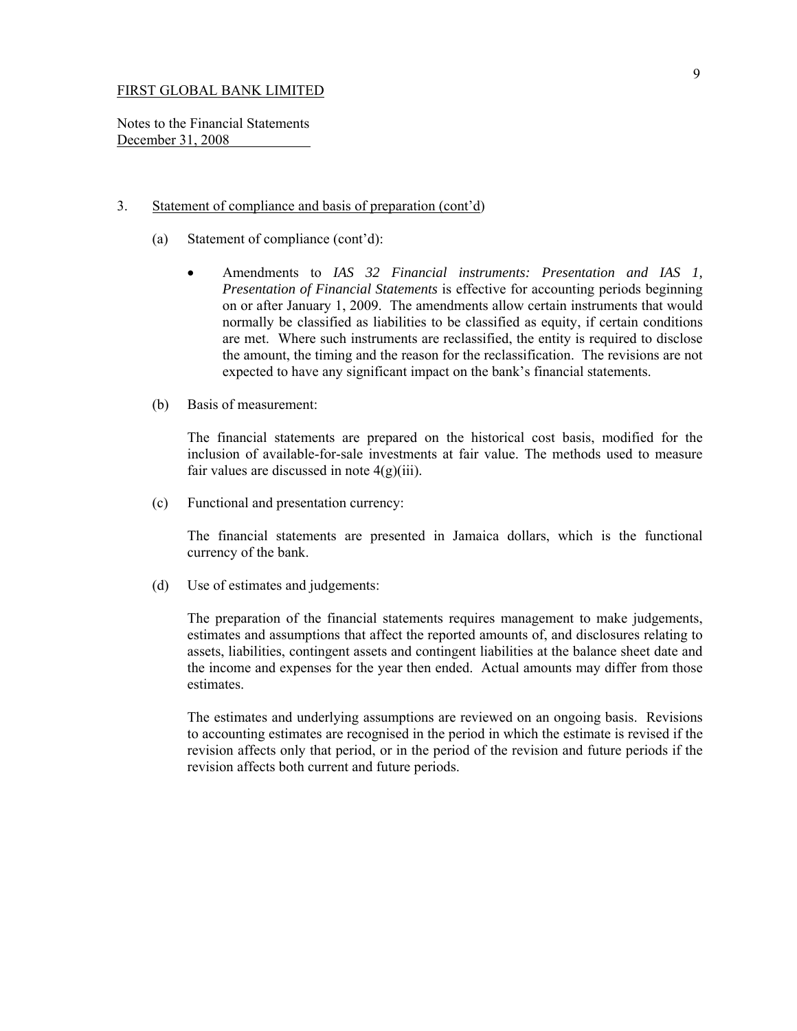Notes to the Financial Statements December 31, 2008

#### 3. Statement of compliance and basis of preparation (cont'd)

- (a) Statement of compliance (cont'd):
	- Amendments to *IAS 32 Financial instruments: Presentation and IAS 1, Presentation of Financial Statements* is effective for accounting periods beginning on or after January 1, 2009. The amendments allow certain instruments that would normally be classified as liabilities to be classified as equity, if certain conditions are met. Where such instruments are reclassified, the entity is required to disclose the amount, the timing and the reason for the reclassification. The revisions are not expected to have any significant impact on the bank's financial statements.
- (b) Basis of measurement:

The financial statements are prepared on the historical cost basis, modified for the inclusion of available-for-sale investments at fair value. The methods used to measure fair values are discussed in note  $4(g)(iii)$ .

(c) Functional and presentation currency:

 The financial statements are presented in Jamaica dollars, which is the functional currency of the bank.

(d) Use of estimates and judgements:

The preparation of the financial statements requires management to make judgements, estimates and assumptions that affect the reported amounts of, and disclosures relating to assets, liabilities, contingent assets and contingent liabilities at the balance sheet date and the income and expenses for the year then ended. Actual amounts may differ from those estimates.

The estimates and underlying assumptions are reviewed on an ongoing basis. Revisions to accounting estimates are recognised in the period in which the estimate is revised if the revision affects only that period, or in the period of the revision and future periods if the revision affects both current and future periods.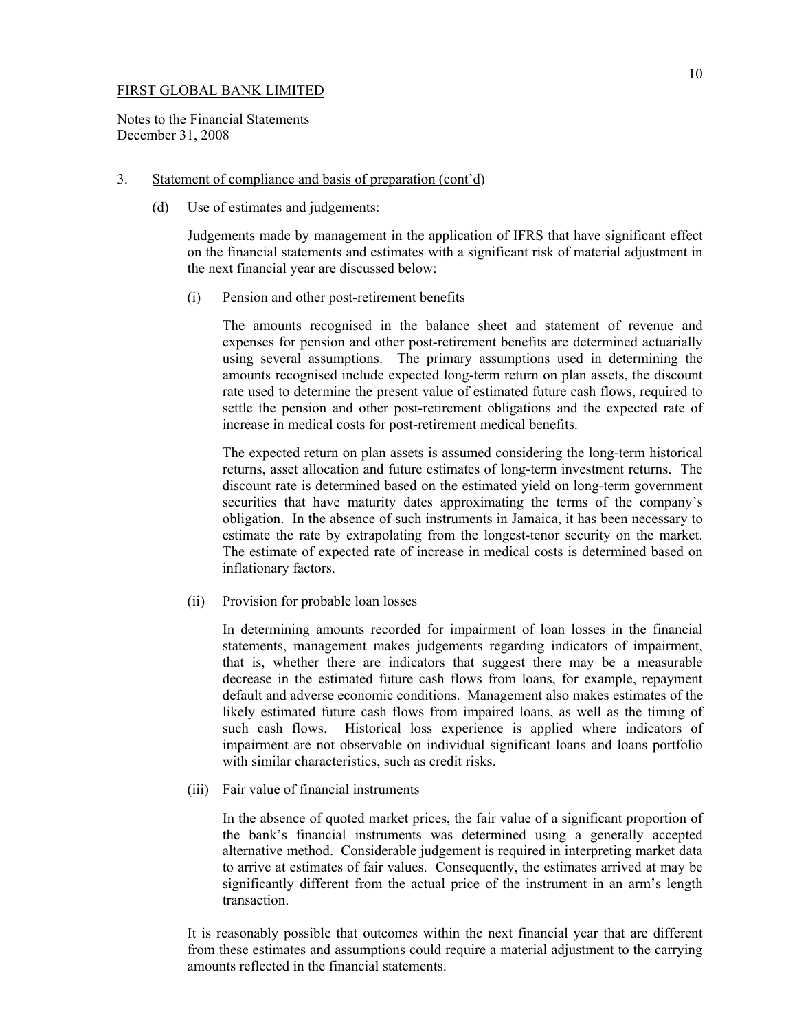Notes to the Financial Statements December 31, 2008

## 3. Statement of compliance and basis of preparation (cont'd)

(d) Use of estimates and judgements:

 Judgements made by management in the application of IFRS that have significant effect on the financial statements and estimates with a significant risk of material adjustment in the next financial year are discussed below:

(i) Pension and other post-retirement benefits

The amounts recognised in the balance sheet and statement of revenue and expenses for pension and other post-retirement benefits are determined actuarially using several assumptions. The primary assumptions used in determining the amounts recognised include expected long-term return on plan assets, the discount rate used to determine the present value of estimated future cash flows, required to settle the pension and other post-retirement obligations and the expected rate of increase in medical costs for post-retirement medical benefits.

The expected return on plan assets is assumed considering the long-term historical returns, asset allocation and future estimates of long-term investment returns. The discount rate is determined based on the estimated yield on long-term government securities that have maturity dates approximating the terms of the company's obligation. In the absence of such instruments in Jamaica, it has been necessary to estimate the rate by extrapolating from the longest-tenor security on the market. The estimate of expected rate of increase in medical costs is determined based on inflationary factors.

(ii) Provision for probable loan losses

 In determining amounts recorded for impairment of loan losses in the financial statements, management makes judgements regarding indicators of impairment, that is, whether there are indicators that suggest there may be a measurable decrease in the estimated future cash flows from loans, for example, repayment default and adverse economic conditions. Management also makes estimates of the likely estimated future cash flows from impaired loans, as well as the timing of such cash flows. Historical loss experience is applied where indicators of impairment are not observable on individual significant loans and loans portfolio with similar characteristics, such as credit risks.

(iii) Fair value of financial instruments

In the absence of quoted market prices, the fair value of a significant proportion of the bank's financial instruments was determined using a generally accepted alternative method. Considerable judgement is required in interpreting market data to arrive at estimates of fair values. Consequently, the estimates arrived at may be significantly different from the actual price of the instrument in an arm's length transaction.

It is reasonably possible that outcomes within the next financial year that are different from these estimates and assumptions could require a material adjustment to the carrying amounts reflected in the financial statements.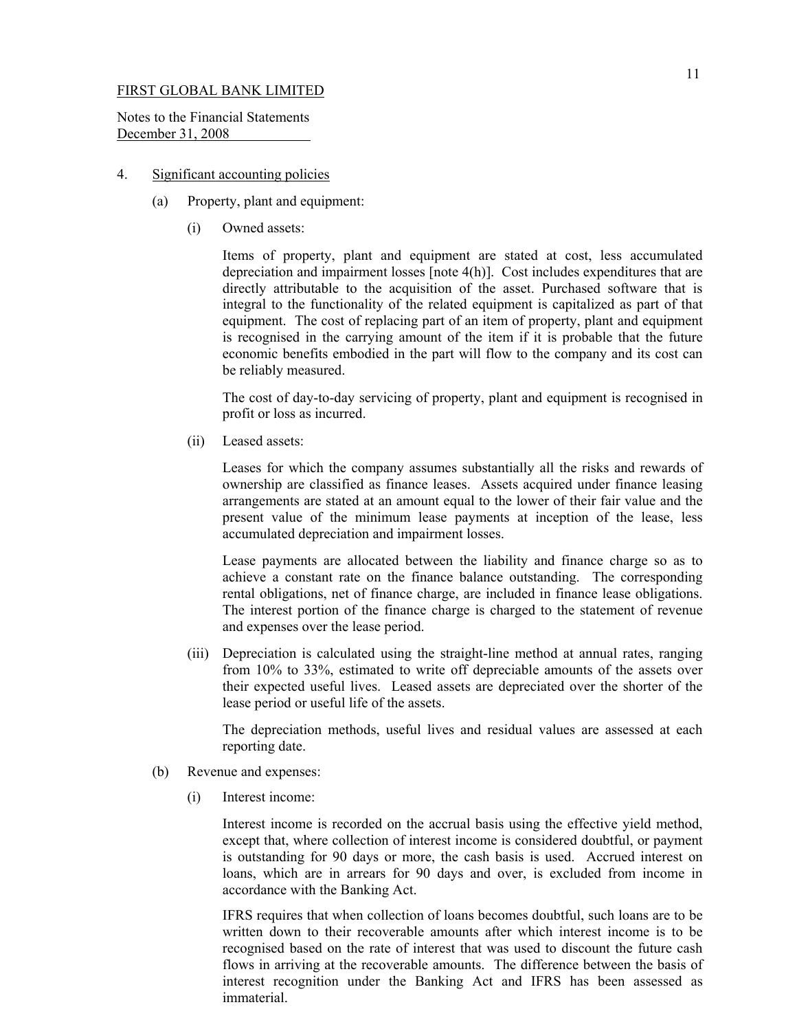Notes to the Financial Statements December 31, 2008

## 4. Significant accounting policies

- (a) Property, plant and equipment:
	- (i) Owned assets:

 Items of property, plant and equipment are stated at cost, less accumulated depreciation and impairment losses [note 4(h)]. Cost includes expenditures that are directly attributable to the acquisition of the asset. Purchased software that is integral to the functionality of the related equipment is capitalized as part of that equipment. The cost of replacing part of an item of property, plant and equipment is recognised in the carrying amount of the item if it is probable that the future economic benefits embodied in the part will flow to the company and its cost can be reliably measured.

The cost of day-to-day servicing of property, plant and equipment is recognised in profit or loss as incurred.

(ii) Leased assets:

Leases for which the company assumes substantially all the risks and rewards of ownership are classified as finance leases. Assets acquired under finance leasing arrangements are stated at an amount equal to the lower of their fair value and the present value of the minimum lease payments at inception of the lease, less accumulated depreciation and impairment losses.

 Lease payments are allocated between the liability and finance charge so as to achieve a constant rate on the finance balance outstanding. The corresponding rental obligations, net of finance charge, are included in finance lease obligations. The interest portion of the finance charge is charged to the statement of revenue and expenses over the lease period.

 (iii) Depreciation is calculated using the straight-line method at annual rates, ranging from 10% to 33%, estimated to write off depreciable amounts of the assets over their expected useful lives. Leased assets are depreciated over the shorter of the lease period or useful life of the assets.

 The depreciation methods, useful lives and residual values are assessed at each reporting date.

- (b) Revenue and expenses:
	- (i) Interest income:

 Interest income is recorded on the accrual basis using the effective yield method, except that, where collection of interest income is considered doubtful, or payment is outstanding for 90 days or more, the cash basis is used. Accrued interest on loans, which are in arrears for 90 days and over, is excluded from income in accordance with the Banking Act.

 IFRS requires that when collection of loans becomes doubtful, such loans are to be written down to their recoverable amounts after which interest income is to be recognised based on the rate of interest that was used to discount the future cash flows in arriving at the recoverable amounts. The difference between the basis of interest recognition under the Banking Act and IFRS has been assessed as immaterial.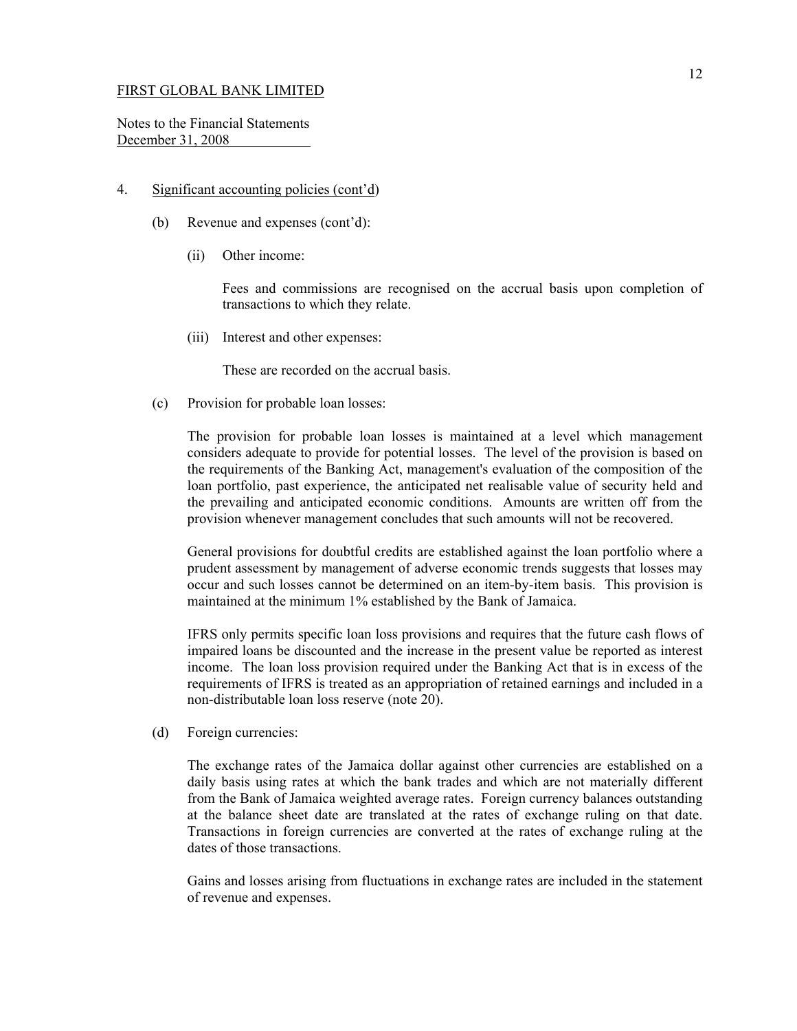Notes to the Financial Statements December 31, 2008

### 4. Significant accounting policies (cont'd)

- (b) Revenue and expenses (cont'd):
	- (ii) Other income:

 Fees and commissions are recognised on the accrual basis upon completion of transactions to which they relate.

(iii) Interest and other expenses:

These are recorded on the accrual basis.

(c) Provision for probable loan losses:

The provision for probable loan losses is maintained at a level which management considers adequate to provide for potential losses. The level of the provision is based on the requirements of the Banking Act, management's evaluation of the composition of the loan portfolio, past experience, the anticipated net realisable value of security held and the prevailing and anticipated economic conditions. Amounts are written off from the provision whenever management concludes that such amounts will not be recovered.

General provisions for doubtful credits are established against the loan portfolio where a prudent assessment by management of adverse economic trends suggests that losses may occur and such losses cannot be determined on an item-by-item basis. This provision is maintained at the minimum 1% established by the Bank of Jamaica.

IFRS only permits specific loan loss provisions and requires that the future cash flows of impaired loans be discounted and the increase in the present value be reported as interest income. The loan loss provision required under the Banking Act that is in excess of the requirements of IFRS is treated as an appropriation of retained earnings and included in a non-distributable loan loss reserve (note 20).

(d) Foreign currencies:

The exchange rates of the Jamaica dollar against other currencies are established on a daily basis using rates at which the bank trades and which are not materially different from the Bank of Jamaica weighted average rates. Foreign currency balances outstanding at the balance sheet date are translated at the rates of exchange ruling on that date. Transactions in foreign currencies are converted at the rates of exchange ruling at the dates of those transactions.

Gains and losses arising from fluctuations in exchange rates are included in the statement of revenue and expenses.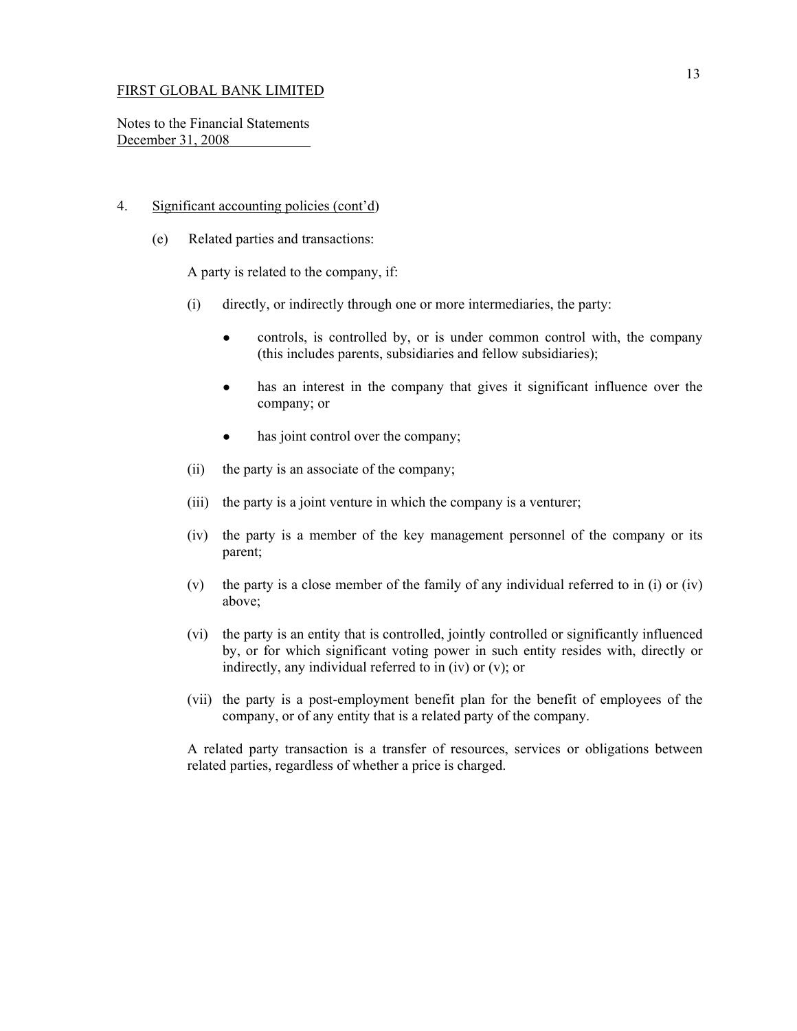Notes to the Financial Statements December 31, 2008

### 4. Significant accounting policies (cont'd)

(e) Related parties and transactions:

A party is related to the company, if:

- (i) directly, or indirectly through one or more intermediaries, the party:
	- controls, is controlled by, or is under common control with, the company (this includes parents, subsidiaries and fellow subsidiaries);
	- has an interest in the company that gives it significant influence over the company; or
	- has joint control over the company;
- (ii) the party is an associate of the company;
- (iii) the party is a joint venture in which the company is a venturer;
- (iv) the party is a member of the key management personnel of the company or its parent;
- (v) the party is a close member of the family of any individual referred to in (i) or (iv) above;
- (vi) the party is an entity that is controlled, jointly controlled or significantly influenced by, or for which significant voting power in such entity resides with, directly or indirectly, any individual referred to in (iv) or (v); or
- (vii) the party is a post-employment benefit plan for the benefit of employees of the company, or of any entity that is a related party of the company.

A related party transaction is a transfer of resources, services or obligations between related parties, regardless of whether a price is charged.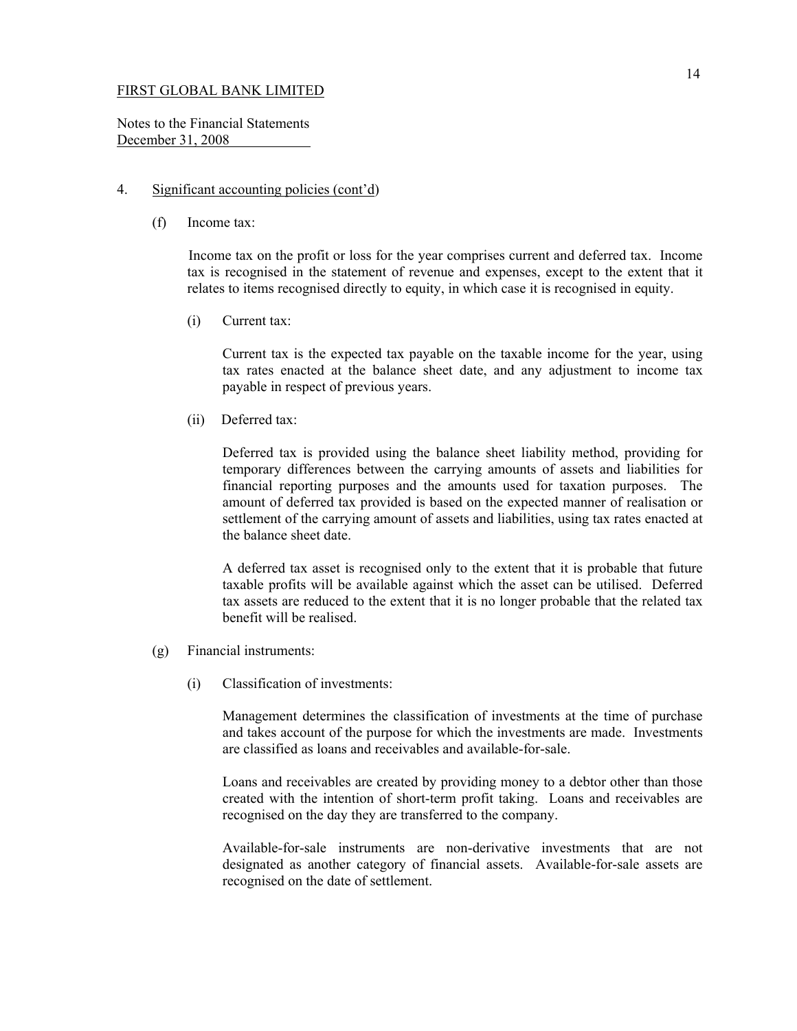Notes to the Financial Statements December 31, 2008

#### 4. Significant accounting policies (cont'd)

(f) Income tax:

Income tax on the profit or loss for the year comprises current and deferred tax. Income tax is recognised in the statement of revenue and expenses, except to the extent that it relates to items recognised directly to equity, in which case it is recognised in equity.

(i) Current tax:

 Current tax is the expected tax payable on the taxable income for the year, using tax rates enacted at the balance sheet date, and any adjustment to income tax payable in respect of previous years.

(ii) Deferred tax:

 Deferred tax is provided using the balance sheet liability method, providing for temporary differences between the carrying amounts of assets and liabilities for financial reporting purposes and the amounts used for taxation purposes. The amount of deferred tax provided is based on the expected manner of realisation or settlement of the carrying amount of assets and liabilities, using tax rates enacted at the balance sheet date.

 A deferred tax asset is recognised only to the extent that it is probable that future taxable profits will be available against which the asset can be utilised. Deferred tax assets are reduced to the extent that it is no longer probable that the related tax benefit will be realised.

- (g) Financial instruments:
	- (i) Classification of investments:

 Management determines the classification of investments at the time of purchase and takes account of the purpose for which the investments are made. Investments are classified as loans and receivables and available-for-sale.

 Loans and receivables are created by providing money to a debtor other than those created with the intention of short-term profit taking. Loans and receivables are recognised on the day they are transferred to the company.

 Available-for-sale instruments are non-derivative investments that are not designated as another category of financial assets. Available-for-sale assets are recognised on the date of settlement.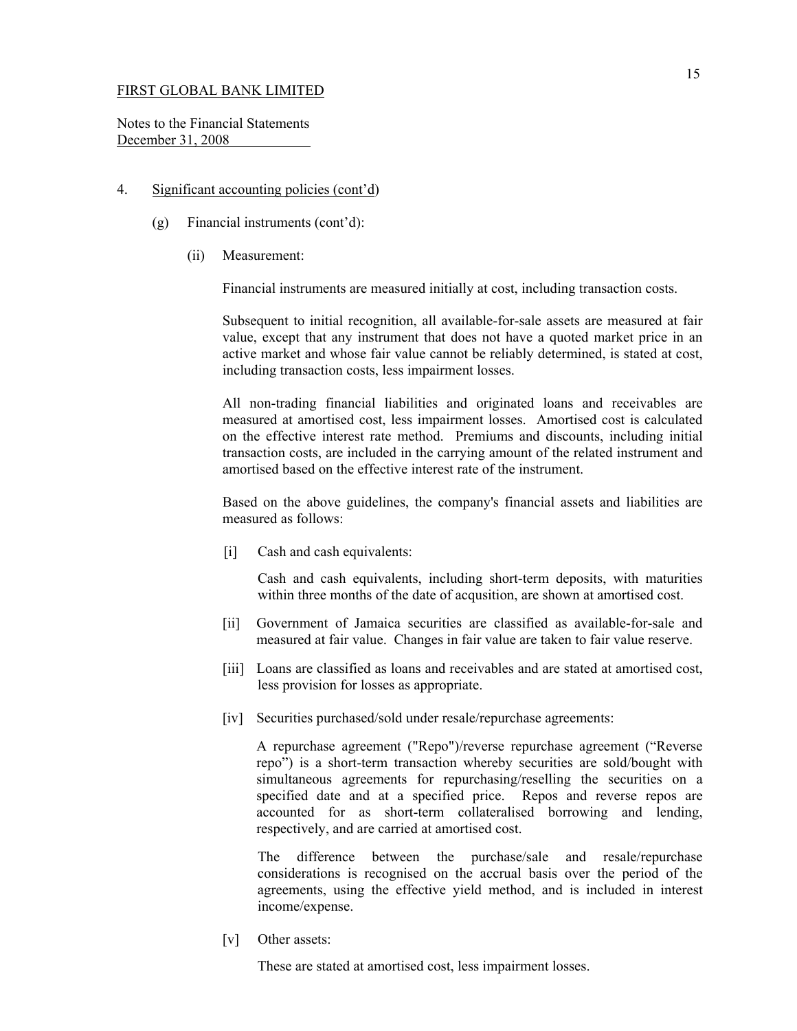Notes to the Financial Statements December 31, 2008

### 4. Significant accounting policies (cont'd)

- (g) Financial instruments (cont'd):
	- (ii) Measurement:

Financial instruments are measured initially at cost, including transaction costs.

Subsequent to initial recognition, all available-for-sale assets are measured at fair value, except that any instrument that does not have a quoted market price in an active market and whose fair value cannot be reliably determined, is stated at cost, including transaction costs, less impairment losses.

All non-trading financial liabilities and originated loans and receivables are measured at amortised cost, less impairment losses. Amortised cost is calculated on the effective interest rate method. Premiums and discounts, including initial transaction costs, are included in the carrying amount of the related instrument and amortised based on the effective interest rate of the instrument.

Based on the above guidelines, the company's financial assets and liabilities are measured as follows:

[i] Cash and cash equivalents:

 Cash and cash equivalents, including short-term deposits, with maturities within three months of the date of acqusition, are shown at amortised cost.

- [ii] Government of Jamaica securities are classified as available-for-sale and measured at fair value. Changes in fair value are taken to fair value reserve.
- [iii] Loans are classified as loans and receivables and are stated at amortised cost, less provision for losses as appropriate.
- [iv] Securities purchased/sold under resale/repurchase agreements:

 A repurchase agreement ("Repo")/reverse repurchase agreement ("Reverse repo") is a short-term transaction whereby securities are sold/bought with simultaneous agreements for repurchasing/reselling the securities on a specified date and at a specified price. Repos and reverse repos are accounted for as short-term collateralised borrowing and lending, respectively, and are carried at amortised cost.

 The difference between the purchase/sale and resale/repurchase considerations is recognised on the accrual basis over the period of the agreements, using the effective yield method, and is included in interest income/expense.

[v] Other assets:

These are stated at amortised cost, less impairment losses.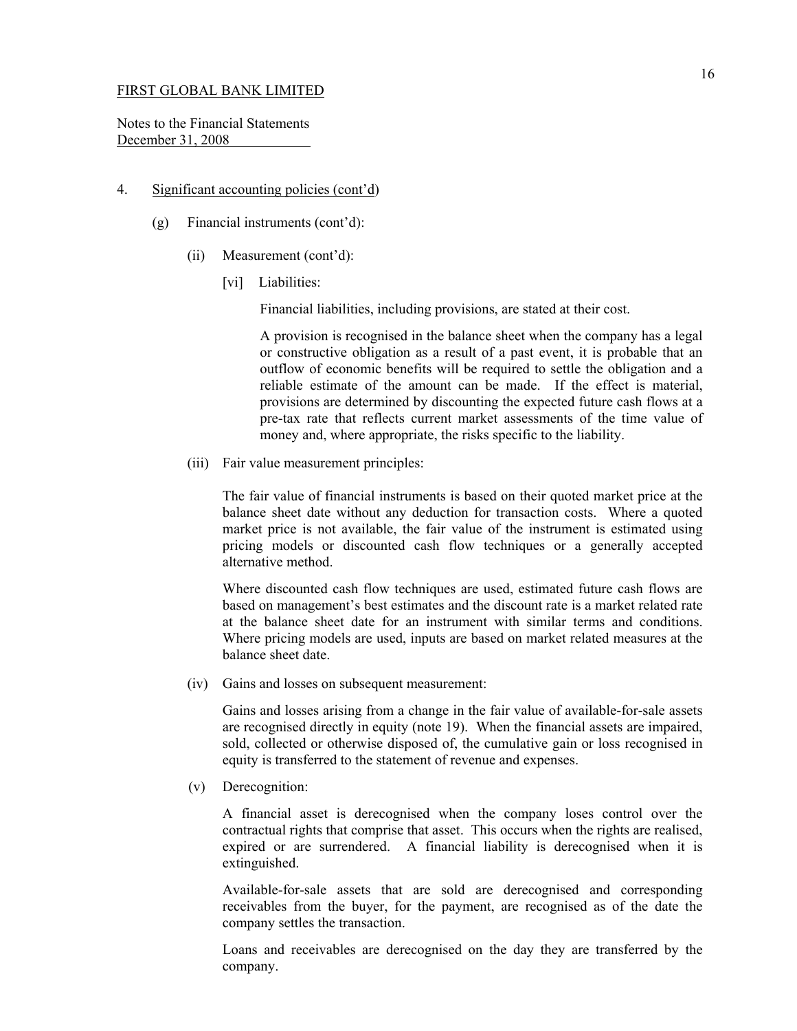Notes to the Financial Statements December 31, 2008

### 4. Significant accounting policies (cont'd)

- (g) Financial instruments (cont'd):
	- (ii) Measurement (cont'd):
		- [vi] Liabilities:

Financial liabilities, including provisions, are stated at their cost.

 A provision is recognised in the balance sheet when the company has a legal or constructive obligation as a result of a past event, it is probable that an outflow of economic benefits will be required to settle the obligation and a reliable estimate of the amount can be made. If the effect is material, provisions are determined by discounting the expected future cash flows at a pre-tax rate that reflects current market assessments of the time value of money and, where appropriate, the risks specific to the liability.

(iii) Fair value measurement principles:

 The fair value of financial instruments is based on their quoted market price at the balance sheet date without any deduction for transaction costs. Where a quoted market price is not available, the fair value of the instrument is estimated using pricing models or discounted cash flow techniques or a generally accepted alternative method.

 Where discounted cash flow techniques are used, estimated future cash flows are based on management's best estimates and the discount rate is a market related rate at the balance sheet date for an instrument with similar terms and conditions. Where pricing models are used, inputs are based on market related measures at the balance sheet date.

(iv) Gains and losses on subsequent measurement:

 Gains and losses arising from a change in the fair value of available-for-sale assets are recognised directly in equity (note 19). When the financial assets are impaired, sold, collected or otherwise disposed of, the cumulative gain or loss recognised in equity is transferred to the statement of revenue and expenses.

(v) Derecognition:

 A financial asset is derecognised when the company loses control over the contractual rights that comprise that asset. This occurs when the rights are realised, expired or are surrendered. A financial liability is derecognised when it is extinguished.

 Available-for-sale assets that are sold are derecognised and corresponding receivables from the buyer, for the payment, are recognised as of the date the company settles the transaction.

 Loans and receivables are derecognised on the day they are transferred by the company.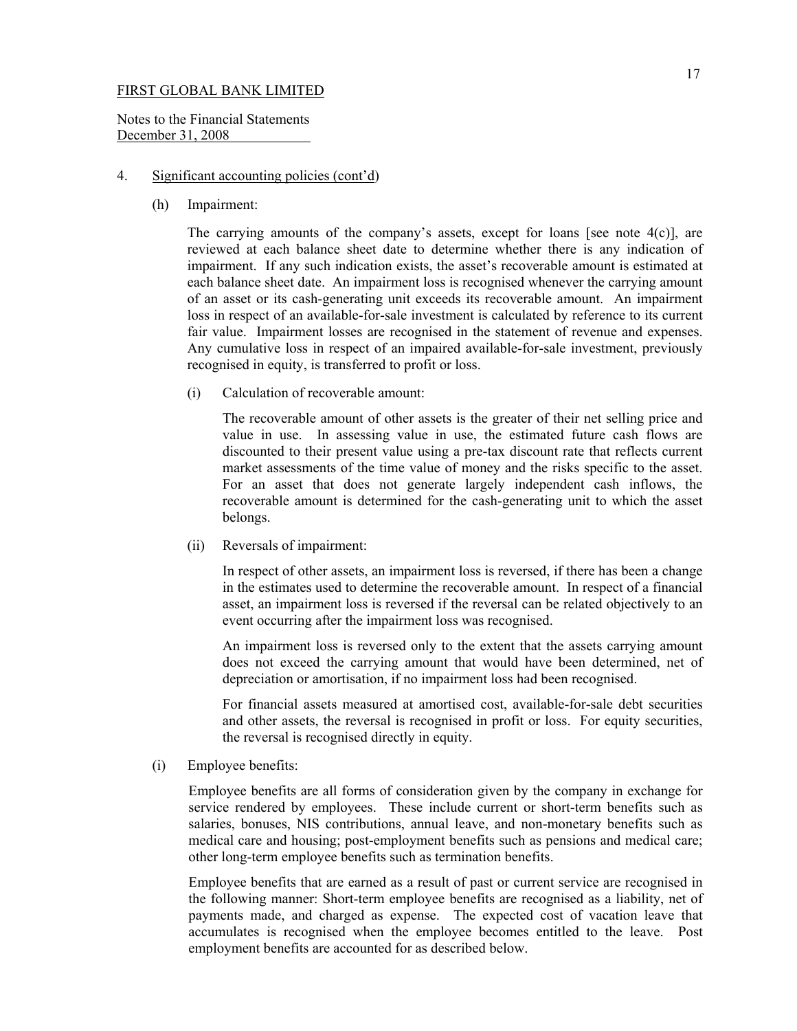Notes to the Financial Statements December 31, 2008

#### 4. Significant accounting policies (cont'd)

(h) Impairment:

The carrying amounts of the company's assets, except for loans [see note  $4(c)$ ], are reviewed at each balance sheet date to determine whether there is any indication of impairment. If any such indication exists, the asset's recoverable amount is estimated at each balance sheet date. An impairment loss is recognised whenever the carrying amount of an asset or its cash-generating unit exceeds its recoverable amount. An impairment loss in respect of an available-for-sale investment is calculated by reference to its current fair value. Impairment losses are recognised in the statement of revenue and expenses. Any cumulative loss in respect of an impaired available-for-sale investment, previously recognised in equity, is transferred to profit or loss.

(i) Calculation of recoverable amount:

 The recoverable amount of other assets is the greater of their net selling price and value in use. In assessing value in use, the estimated future cash flows are discounted to their present value using a pre-tax discount rate that reflects current market assessments of the time value of money and the risks specific to the asset. For an asset that does not generate largely independent cash inflows, the recoverable amount is determined for the cash-generating unit to which the asset belongs.

(ii) Reversals of impairment:

 In respect of other assets, an impairment loss is reversed, if there has been a change in the estimates used to determine the recoverable amount. In respect of a financial asset, an impairment loss is reversed if the reversal can be related objectively to an event occurring after the impairment loss was recognised.

 An impairment loss is reversed only to the extent that the assets carrying amount does not exceed the carrying amount that would have been determined, net of depreciation or amortisation, if no impairment loss had been recognised.

 For financial assets measured at amortised cost, available-for-sale debt securities and other assets, the reversal is recognised in profit or loss. For equity securities, the reversal is recognised directly in equity.

(i) Employee benefits:

Employee benefits are all forms of consideration given by the company in exchange for service rendered by employees. These include current or short-term benefits such as salaries, bonuses, NIS contributions, annual leave, and non-monetary benefits such as medical care and housing; post-employment benefits such as pensions and medical care; other long-term employee benefits such as termination benefits.

Employee benefits that are earned as a result of past or current service are recognised in the following manner: Short-term employee benefits are recognised as a liability, net of payments made, and charged as expense. The expected cost of vacation leave that accumulates is recognised when the employee becomes entitled to the leave. Post employment benefits are accounted for as described below.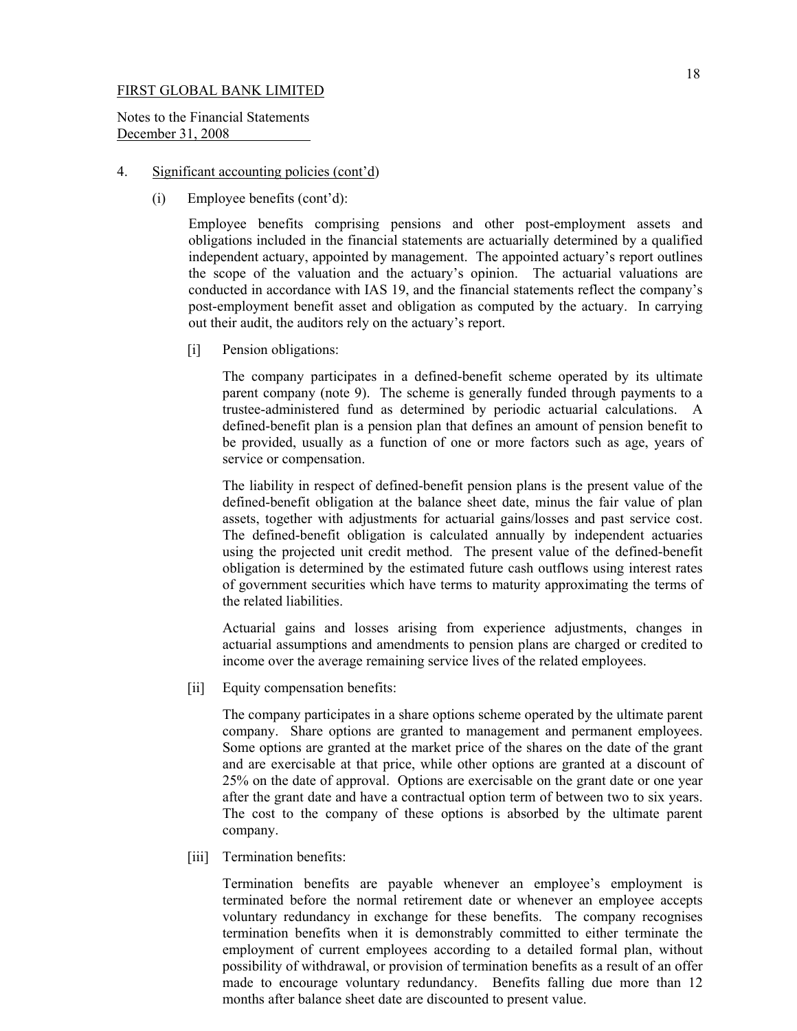Notes to the Financial Statements December 31, 2008

## 4. Significant accounting policies (cont'd)

(i) Employee benefits (cont'd):

Employee benefits comprising pensions and other post-employment assets and obligations included in the financial statements are actuarially determined by a qualified independent actuary, appointed by management. The appointed actuary's report outlines the scope of the valuation and the actuary's opinion. The actuarial valuations are conducted in accordance with IAS 19, and the financial statements reflect the company's post-employment benefit asset and obligation as computed by the actuary. In carrying out their audit, the auditors rely on the actuary's report.

[i] Pension obligations:

The company participates in a defined-benefit scheme operated by its ultimate parent company (note 9). The scheme is generally funded through payments to a trustee-administered fund as determined by periodic actuarial calculations. A defined-benefit plan is a pension plan that defines an amount of pension benefit to be provided, usually as a function of one or more factors such as age, years of service or compensation.

The liability in respect of defined-benefit pension plans is the present value of the defined-benefit obligation at the balance sheet date, minus the fair value of plan assets, together with adjustments for actuarial gains/losses and past service cost. The defined-benefit obligation is calculated annually by independent actuaries using the projected unit credit method. The present value of the defined-benefit obligation is determined by the estimated future cash outflows using interest rates of government securities which have terms to maturity approximating the terms of the related liabilities.

Actuarial gains and losses arising from experience adjustments, changes in actuarial assumptions and amendments to pension plans are charged or credited to income over the average remaining service lives of the related employees.

[ii] Equity compensation benefits:

 The company participates in a share options scheme operated by the ultimate parent company. Share options are granted to management and permanent employees. Some options are granted at the market price of the shares on the date of the grant and are exercisable at that price, while other options are granted at a discount of 25% on the date of approval. Options are exercisable on the grant date or one year after the grant date and have a contractual option term of between two to six years. The cost to the company of these options is absorbed by the ultimate parent company.

[iii] Termination benefits:

 Termination benefits are payable whenever an employee's employment is terminated before the normal retirement date or whenever an employee accepts voluntary redundancy in exchange for these benefits. The company recognises termination benefits when it is demonstrably committed to either terminate the employment of current employees according to a detailed formal plan, without possibility of withdrawal, or provision of termination benefits as a result of an offer made to encourage voluntary redundancy. Benefits falling due more than 12 months after balance sheet date are discounted to present value.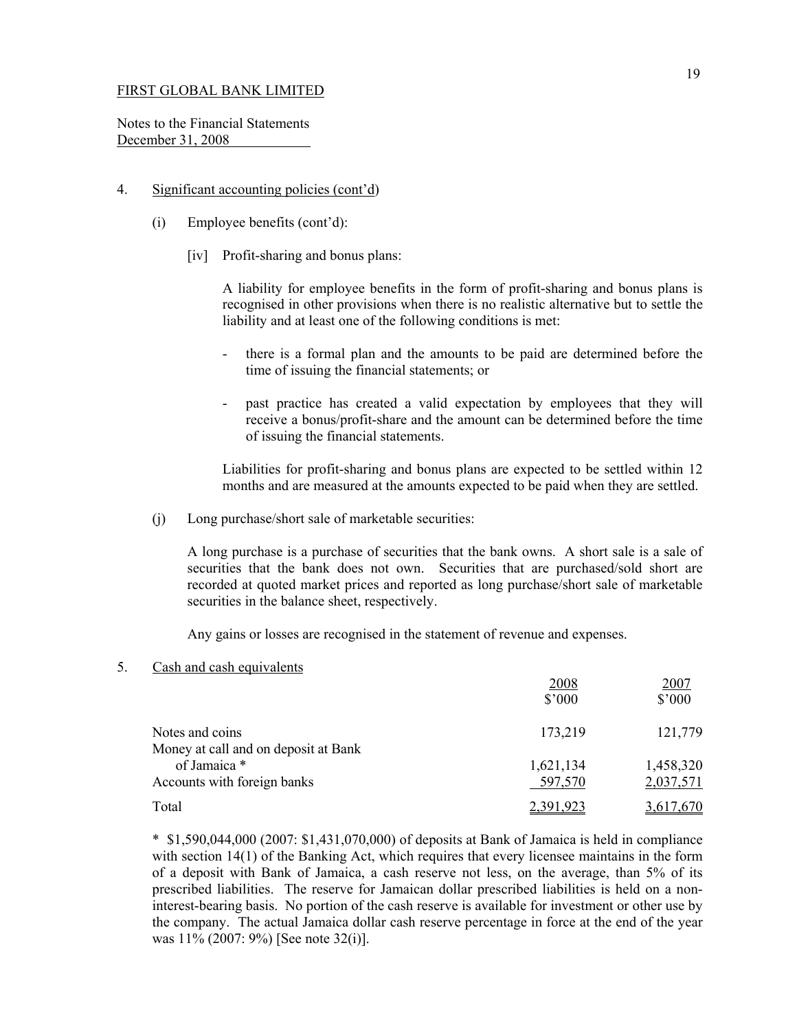Notes to the Financial Statements December 31, 2008

## 4. Significant accounting policies (cont'd)

- (i) Employee benefits (cont'd):
	- [iv] Profit-sharing and bonus plans:

A liability for employee benefits in the form of profit-sharing and bonus plans is recognised in other provisions when there is no realistic alternative but to settle the liability and at least one of the following conditions is met:

- there is a formal plan and the amounts to be paid are determined before the time of issuing the financial statements; or
- past practice has created a valid expectation by employees that they will receive a bonus/profit-share and the amount can be determined before the time of issuing the financial statements.

Liabilities for profit-sharing and bonus plans are expected to be settled within 12 months and are measured at the amounts expected to be paid when they are settled.

(j) Long purchase/short sale of marketable securities:

 A long purchase is a purchase of securities that the bank owns. A short sale is a sale of securities that the bank does not own. Securities that are purchased/sold short are recorded at quoted market prices and reported as long purchase/short sale of marketable securities in the balance sheet, respectively.

Any gains or losses are recognised in the statement of revenue and expenses.

5. Cash and cash equivalents

|                                                         | 2008<br>$$^{\prime}000$ | 2007<br>$$^{\prime}000$ |
|---------------------------------------------------------|-------------------------|-------------------------|
| Notes and coins<br>Money at call and on deposit at Bank | 173,219                 | 121,779                 |
| of Jamaica *                                            | 1,621,134               | 1,458,320               |
| Accounts with foreign banks                             | 597,570                 | 2,037,571               |
| Total                                                   | <u>2,391,923</u>        | 3,617,670               |

 \* \$1,590,044,000 (2007: \$1,431,070,000) of deposits at Bank of Jamaica is held in compliance with section 14(1) of the Banking Act, which requires that every licensee maintains in the form of a deposit with Bank of Jamaica, a cash reserve not less, on the average, than 5% of its prescribed liabilities. The reserve for Jamaican dollar prescribed liabilities is held on a noninterest-bearing basis. No portion of the cash reserve is available for investment or other use by the company. The actual Jamaica dollar cash reserve percentage in force at the end of the year was 11% (2007: 9%) [See note 32(i)].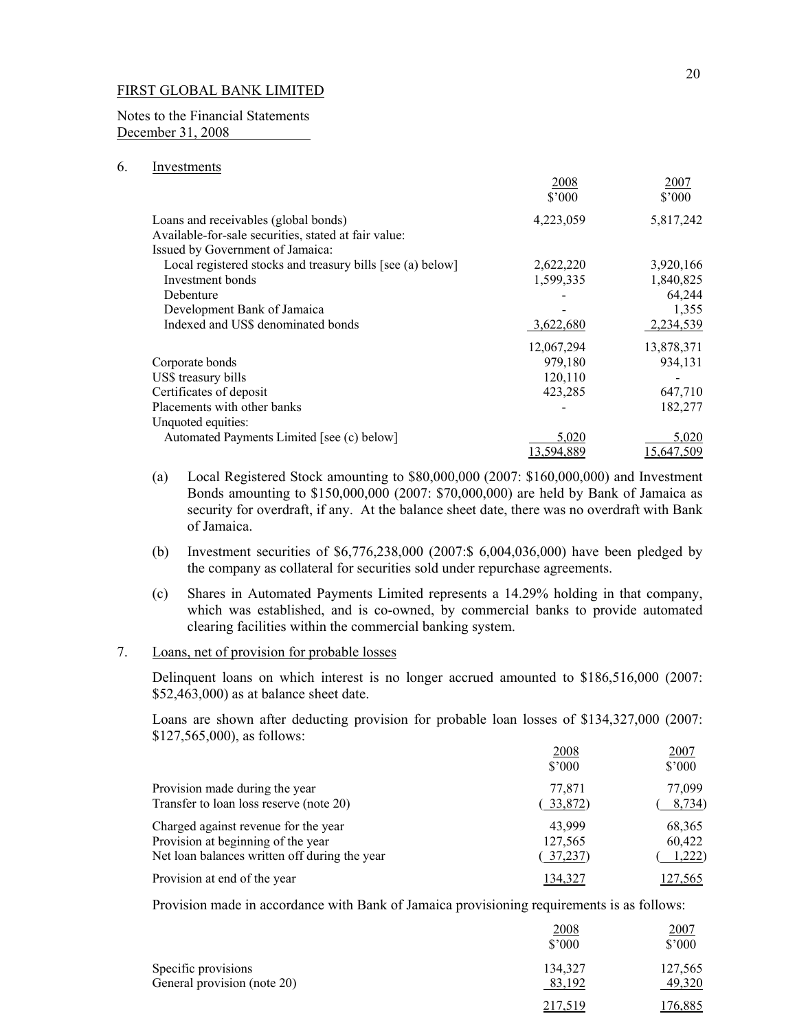Notes to the Financial Statements December 31, 2008

# 6. Investments

|                                                            | 2008       | 2007           |
|------------------------------------------------------------|------------|----------------|
|                                                            | \$3000     | $$^{\circ}000$ |
| Loans and receivables (global bonds)                       | 4,223,059  | 5,817,242      |
| Available-for-sale securities, stated at fair value:       |            |                |
| Issued by Government of Jamaica:                           |            |                |
| Local registered stocks and treasury bills [see (a) below] | 2,622,220  | 3,920,166      |
| Investment bonds                                           | 1,599,335  | 1,840,825      |
| Debenture                                                  |            | 64,244         |
| Development Bank of Jamaica                                |            | 1,355          |
| Indexed and US\$ denominated bonds                         | 3,622,680  | 2,234,539      |
|                                                            | 12,067,294 | 13,878,371     |
| Corporate bonds                                            | 979,180    | 934,131        |
| US\$ treasury bills                                        | 120,110    |                |
| Certificates of deposit                                    | 423,285    | 647,710        |
| Placements with other banks                                |            | 182,277        |
| Unquoted equities:                                         |            |                |
| Automated Payments Limited [see (c) below]                 | 5,020      | 5,020          |
|                                                            | 13,594,889 | 15,647,509     |

- (a) Local Registered Stock amounting to \$80,000,000 (2007: \$160,000,000) and Investment Bonds amounting to \$150,000,000 (2007: \$70,000,000) are held by Bank of Jamaica as security for overdraft, if any. At the balance sheet date, there was no overdraft with Bank of Jamaica.
- (b) Investment securities of \$6,776,238,000 (2007:\$ 6,004,036,000) have been pledged by the company as collateral for securities sold under repurchase agreements.
- (c) Shares in Automated Payments Limited represents a 14.29% holding in that company, which was established, and is co-owned, by commercial banks to provide automated clearing facilities within the commercial banking system.
- 7. Loans, net of provision for probable losses

 Delinquent loans on which interest is no longer accrued amounted to \$186,516,000 (2007: \$52,463,000) as at balance sheet date.

 Loans are shown after deducting provision for probable loan losses of \$134,327,000 (2007: \$127,565,000), as follows:

|                                               | 2008<br>\$3000 | 2007<br>$$^{\circ}000$ |
|-----------------------------------------------|----------------|------------------------|
| Provision made during the year                | 77.871         | 77.099                 |
| Transfer to loan loss reserve (note 20)       | 33,872)        | 8,734)                 |
| Charged against revenue for the year          | 43,999         | 68,365                 |
| Provision at beginning of the year            | 127,565        | 60,422                 |
| Net loan balances written off during the year | 37,237)        | 1,222)                 |
| Provision at end of the year                  | 134.32         | 7.565                  |

Provision made in accordance with Bank of Jamaica provisioning requirements is as follows:

|                             | 2008<br>\$3000 | 2007<br>$$^{\circ}000$ |
|-----------------------------|----------------|------------------------|
| Specific provisions         | 134,327        | 127,565                |
| General provision (note 20) | 83,192         | 49,320                 |
|                             | 217,519        | 76,885                 |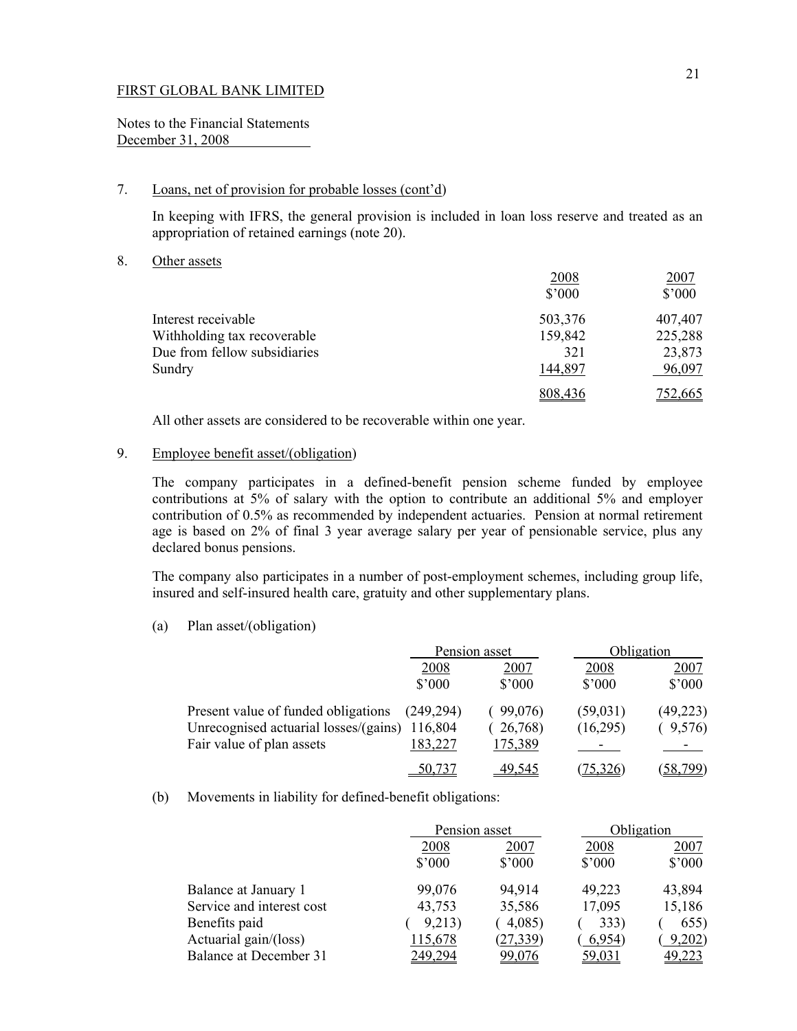Notes to the Financial Statements December 31, 2008

# 7. Loans, net of provision for probable losses (cont'd)

In keeping with IFRS, the general provision is included in loan loss reserve and treated as an appropriation of retained earnings (note 20).

8. Other assets

|                              | 2008            | 2007    |
|------------------------------|-----------------|---------|
|                              | $$^{\prime}000$ | \$'000  |
| Interest receivable          | 503,376         | 407,407 |
| Withholding tax recoverable  | 159,842         | 225,288 |
| Due from fellow subsidiaries | 321             | 23,873  |
| Sundry                       | 144,897         | 96,097  |
|                              | 808,436         | 752,665 |
|                              |                 |         |

All other assets are considered to be recoverable within one year.

# 9. Employee benefit asset/(obligation)

The company participates in a defined-benefit pension scheme funded by employee contributions at 5% of salary with the option to contribute an additional 5% and employer contribution of 0.5% as recommended by independent actuaries. Pension at normal retirement age is based on 2% of final 3 year average salary per year of pensionable service, plus any declared bonus pensions.

The company also participates in a number of post-employment schemes, including group life, insured and self-insured health care, gratuity and other supplementary plans.

(a) Plan asset/(obligation)

|                                       |                 | Pension asset   |                 | Obligation      |  |
|---------------------------------------|-----------------|-----------------|-----------------|-----------------|--|
|                                       | <u>2008</u>     | 2007            | 2008            | 2007            |  |
|                                       | $$^{\prime}000$ | $$^{\prime}000$ | $$^{\prime}000$ | $$^{\prime}000$ |  |
| Present value of funded obligations   | (249, 294)      | 99,076)         | (59,031)        | (49, 223)       |  |
| Unrecognised actuarial losses/(gains) | 116,804         | 26,768)         | (16,295)        | 9,576           |  |
| Fair value of plan assets             | 183,227         | 175,389         |                 |                 |  |
|                                       | 50,737          | 49.545          |                 | 58,799          |  |

#### (b) Movements in liability for defined-benefit obligations:

|                               |                 | Pension asset   |                 | Obligation      |
|-------------------------------|-----------------|-----------------|-----------------|-----------------|
|                               | <u>2008</u>     | 2007            | 2008            | <u>2007</u>     |
|                               | $$^{\prime}000$ | $$^{\prime}000$ | $$^{\prime}000$ | $$^{\prime}000$ |
| Balance at January 1          | 99,076          | 94,914          | 49,223          | 43,894          |
| Service and interest cost     | 43,753          | 35,586          | 17,095          | 15,186          |
| Benefits paid                 | 9,213)          | 4,085           | 333)            | 655)            |
| Actuarial gain/(loss)         | 115,678         | (27, 339)       | 6,954)          | 9,202           |
| <b>Balance at December 31</b> | 249,294         | <u>99,076</u>   | <u>59,031</u>   | 49,223          |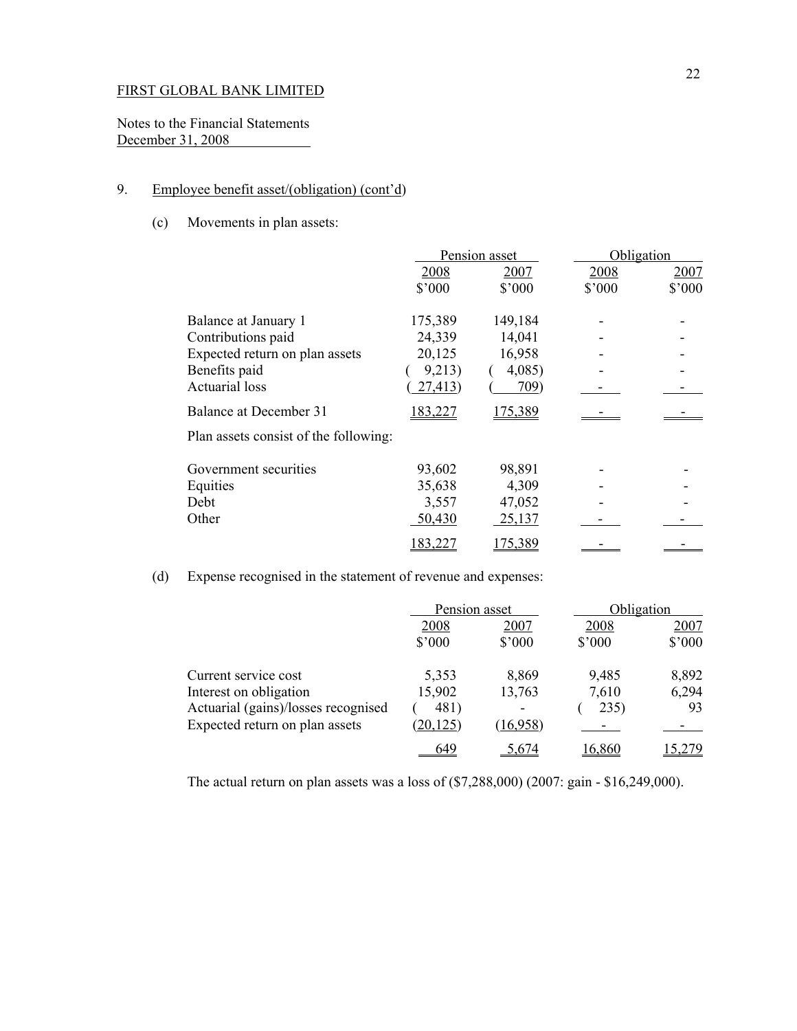Notes to the Financial Statements December 31, 2008

# 9. Employee benefit asset/(obligation) (cont'd)

(c) Movements in plan assets:

|                                       | Pension asset  |                | Obligation |        |
|---------------------------------------|----------------|----------------|------------|--------|
|                                       | 2008           | 2007           | 2008       | 2007   |
|                                       | $$^{\circ}000$ | $$^{\circ}000$ | \$'000     | \$'000 |
| Balance at January 1                  | 175,389        | 149,184        |            |        |
| Contributions paid                    | 24,339         | 14,041         |            |        |
| Expected return on plan assets        | 20,125         | 16,958         |            |        |
| Benefits paid                         | 9,213)         | 4,085          |            |        |
| <b>Actuarial</b> loss                 | 27,413)        | 709)           |            |        |
| <b>Balance at December 31</b>         | 183,227        | 175,389        |            |        |
| Plan assets consist of the following: |                |                |            |        |
| Government securities                 | 93,602         | 98,891         |            |        |
| Equities                              | 35,638         | 4,309          |            |        |
| Debt                                  | 3,557          | 47,052         |            |        |
| Other                                 | 50,430         | 25,137         |            |        |
|                                       | 83,227         | 175,389        |            |        |

(d) Expense recognised in the statement of revenue and expenses:

|                                     | Pension asset   |                 | Obligation      |        |
|-------------------------------------|-----------------|-----------------|-----------------|--------|
|                                     | 2008            | 2007            | 2008            | 2007   |
|                                     | $$^{\prime}000$ | $$^{\prime}000$ | $$^{\prime}000$ | \$'000 |
| Current service cost                | 5,353           | 8,869           | 9,485           | 8,892  |
| Interest on obligation              | 15,902          | 13,763          | 7,610           | 6,294  |
| Actuarial (gains)/losses recognised | 481)            | ۰               | 235)            | 93     |
| Expected return on plan assets      | (20, 125)       | (16,958)        |                 |        |
|                                     | 649             | 674             | 16,860          |        |

The actual return on plan assets was a loss of (\$7,288,000) (2007: gain - \$16,249,000).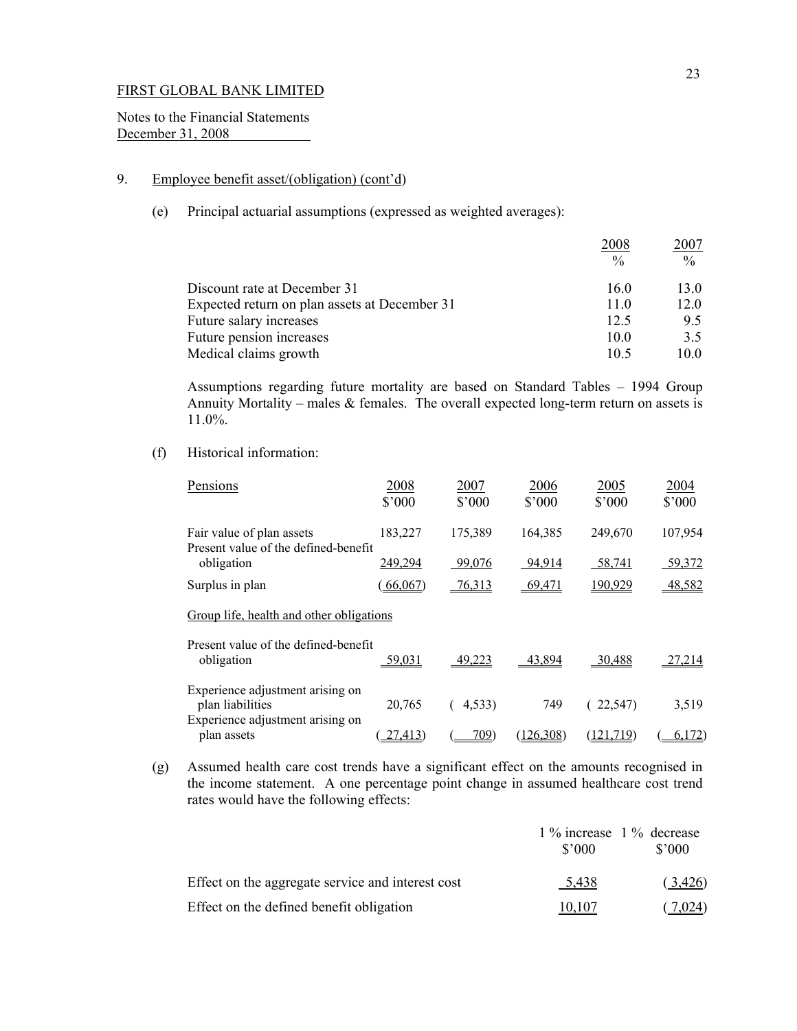Notes to the Financial Statements December 31, 2008

# 9. Employee benefit asset/(obligation) (cont'd)

(e) Principal actuarial assumptions (expressed as weighted averages):

| 2008            | 2007          |
|-----------------|---------------|
| $\frac{0}{0}$   | $\frac{0}{0}$ |
| 16.0            | 13.0          |
| 11.0            | 12.0          |
| 12.5            | 9.5           |
| 10.0            | 3.5           |
| 10 <sub>5</sub> | 10.0          |
|                 |               |

Assumptions regarding future mortality are based on Standard Tables – 1994 Group Annuity Mortality – males  $\&$  females. The overall expected long-term return on assets is 11.0%.

# (f) Historical information:

| Pensions                                                                                 | 2008<br>$$^{\circ}000$ | 2007<br>$$^{\circ}000$ | 2006<br>$$^{\circ}000$ | 2005<br>\$'000    | 2004<br>\$'000 |
|------------------------------------------------------------------------------------------|------------------------|------------------------|------------------------|-------------------|----------------|
| Fair value of plan assets<br>Present value of the defined-benefit                        | 183,227                | 175,389                | 164,385                | 249,670           | 107,954        |
| obligation                                                                               | 249,294                | 99,076                 | 94,914                 | 58,741            | 59,372         |
| Surplus in plan                                                                          | 66,067                 | $-76,313$              | 69,471                 | 190,929           | 48,582         |
| Group life, health and other obligations                                                 |                        |                        |                        |                   |                |
| Present value of the defined-benefit<br>obligation                                       | <u>59,031</u>          | 49,223                 | 43,894                 | 30,488            | 27,214         |
| Experience adjustment arising on<br>plan liabilities<br>Experience adjustment arising on | 20,765                 | 4,533                  | 749                    | 22,547)           | 3,519          |
| plan assets                                                                              | 27,413)                | 709                    | (126, 308)             | <u>(121,71</u> 9) | 6,172          |

(g) Assumed health care cost trends have a significant effect on the amounts recognised in the income statement. A one percentage point change in assumed healthcare cost trend rates would have the following effects:

|                                                   | 1 % increase 1 % decrease<br>\$'000 | \$2000  |
|---------------------------------------------------|-------------------------------------|---------|
| Effect on the aggregate service and interest cost | 5,438                               | (3,426) |
| Effect on the defined benefit obligation          | <u>10,107</u>                       | 7.024)  |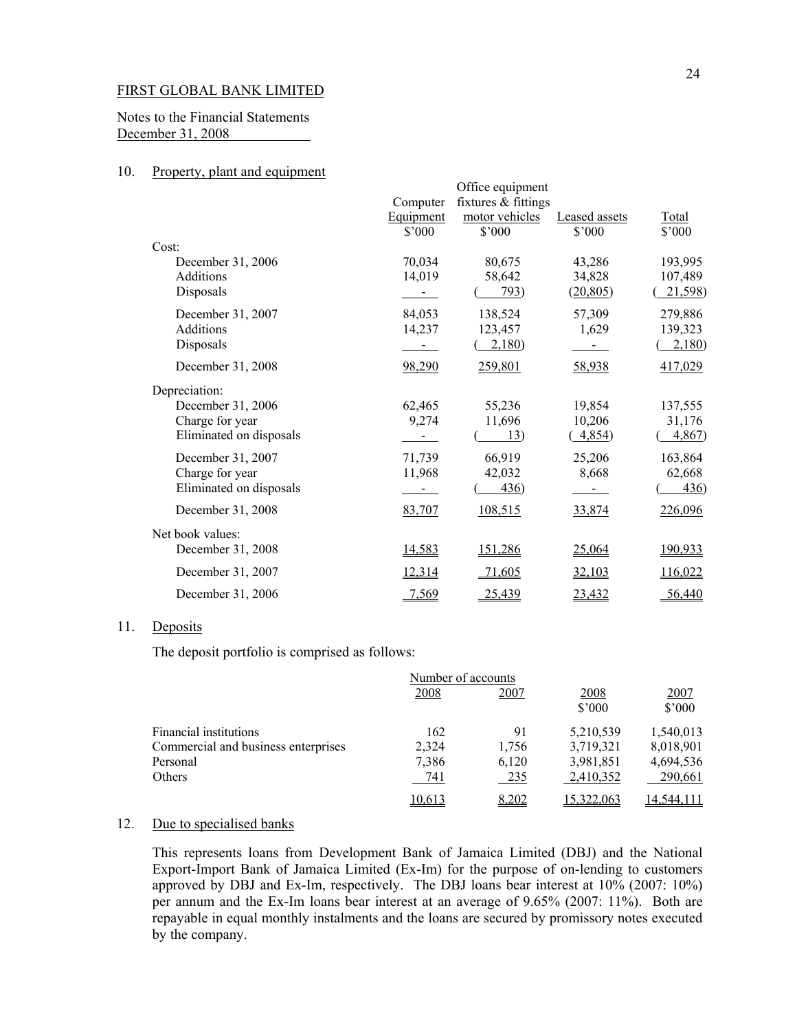Notes to the Financial Statements December 31, 2008

## 10. Property, plant and equipment

|                         |                  | Office equipment    |                      |         |
|-------------------------|------------------|---------------------|----------------------|---------|
|                         | Computer         | fixtures & fittings |                      |         |
|                         | <b>Equipment</b> | motor vehicles      | <b>Leased</b> assets | Total   |
|                         | \$'000           | $$^{\circ}000$      | \$'000               | \$'000  |
| Cost:                   |                  |                     |                      |         |
| December 31, 2006       | 70,034           | 80,675              | 43,286               | 193,995 |
| Additions               | 14,019           | 58,642              | 34,828               | 107,489 |
| Disposals               |                  | 793)                | (20, 805)            | 21,598) |
| December 31, 2007       | 84,053           | 138,524             | 57,309               | 279,886 |
| Additions               | 14,237           | 123,457             | 1,629                | 139,323 |
| Disposals               |                  | 2,180               |                      | 2,180   |
| December 31, 2008       | 98,290           | 259,801             | 58,938               | 417,029 |
| Depreciation:           |                  |                     |                      |         |
| December 31, 2006       | 62,465           | 55,236              | 19,854               | 137,555 |
| Charge for year         | 9,274            | 11,696              | 10,206               | 31,176  |
| Eliminated on disposals | $\sim$           | 13)                 | 4,854                | 4,867   |
| December 31, 2007       | 71,739           | 66,919              | 25,206               | 163,864 |
| Charge for year         | 11,968           | 42,032              | 8,668                | 62,668  |
| Eliminated on disposals |                  | 436)                |                      | 436)    |
| December 31, 2008       | 83,707           | 108,515             | 33,874               | 226,096 |
| Net book values:        |                  |                     |                      |         |
| December 31, 2008       | 14,583           | 151,286             | 25,064               | 190,933 |
| December 31, 2007       | 12,314           | 71,605              | 32,103               | 116,022 |
| December 31, 2006       | 7,569            | 25,439              | 23,432               | 56,440  |

### 11. Deposits

The deposit portfolio is comprised as follows:

|                                     | Number of accounts |              |                |                |
|-------------------------------------|--------------------|--------------|----------------|----------------|
|                                     | 2008               | 2007         | 2008<br>\$3000 | 2007<br>\$'000 |
| <b>Financial institutions</b>       | 162                | 91           | 5,210,539      | 1,540,013      |
| Commercial and business enterprises | 2,324              | 1,756        | 3,719,321      | 8,018,901      |
| Personal                            | 7,386              | 6,120        | 3,981,851      | 4,694,536      |
| Others                              | 741                | 235          | 2,410,352      | 290,661        |
|                                     | 10.613             | <u>8,202</u> | 322,063,       | 14.544.111     |

# 12. Due to specialised banks

 This represents loans from Development Bank of Jamaica Limited (DBJ) and the National Export-Import Bank of Jamaica Limited (Ex-Im) for the purpose of on-lending to customers approved by DBJ and Ex-Im, respectively. The DBJ loans bear interest at 10% (2007: 10%) per annum and the Ex-Im loans bear interest at an average of 9.65% (2007: 11%). Both are repayable in equal monthly instalments and the loans are secured by promissory notes executed by the company.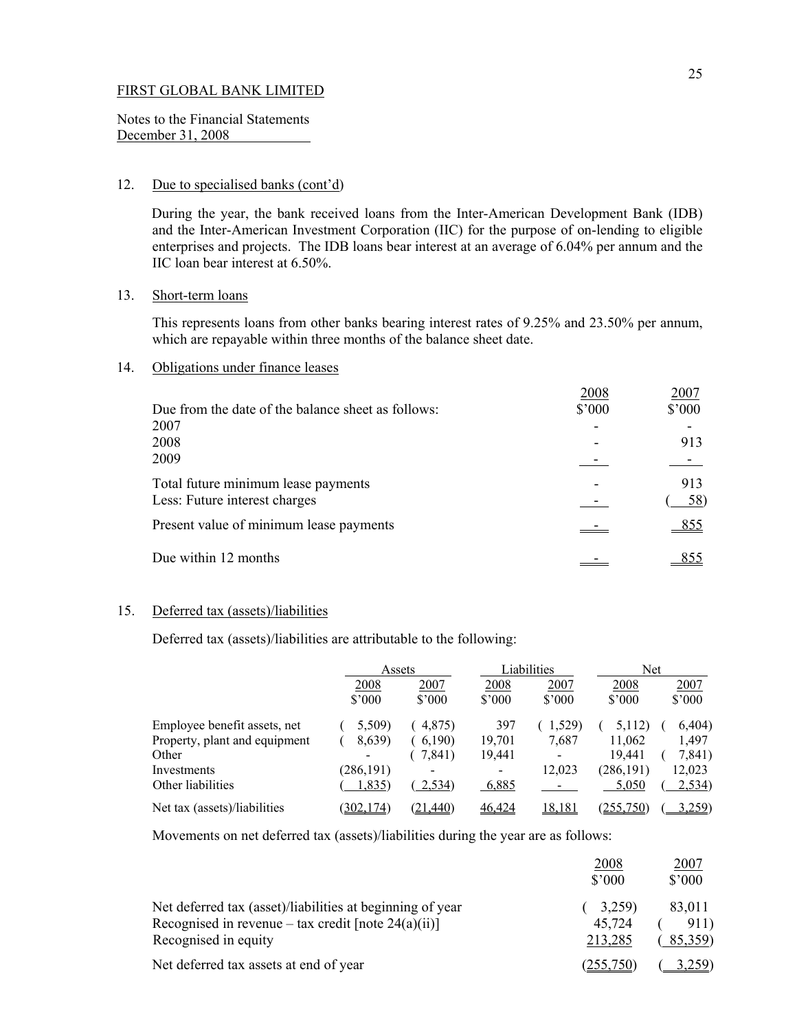Notes to the Financial Statements December 31, 2008

#### 12. Due to specialised banks (cont'd)

During the year, the bank received loans from the Inter-American Development Bank (IDB) and the Inter-American Investment Corporation (IIC) for the purpose of on-lending to eligible enterprises and projects. The IDB loans bear interest at an average of 6.04% per annum and the IIC loan bear interest at 6.50%.

## 13. Short-term loans

 This represents loans from other banks bearing interest rates of 9.25% and 23.50% per annum, which are repayable within three months of the balance sheet date.

## 14. Obligations under finance leases

|                                                    | 2008           | 2007            |
|----------------------------------------------------|----------------|-----------------|
| Due from the date of the balance sheet as follows: | $$^{\circ}000$ | $$^{\prime}000$ |
| 2007                                               |                |                 |
| 2008                                               |                | 913             |
| 2009                                               |                |                 |
| Total future minimum lease payments                |                | 913             |
| Less: Future interest charges                      |                | 58              |
| Present value of minimum lease payments            |                | 855             |
| Due within 12 months                               |                |                 |

# 15. Deferred tax (assets)/liabilities

Deferred tax (assets)/liabilities are attributable to the following:

|                               | Assets     |          |                | Liabilities                  | Net         |                 |
|-------------------------------|------------|----------|----------------|------------------------------|-------------|-----------------|
|                               | 2008       | 2007     | 2008           | 2007                         | <u>2008</u> | <u>2007</u>     |
|                               | \$3000     | \$3000   | $$^{\circ}000$ | \$3000                       | \$3000      | $$^{\prime}000$ |
| Employee benefit assets, net  | 5,509)     | 4,875)   | 397            | .529)                        | 5,112)      | 6,404)          |
| Property, plant and equipment | 8,639)     | 6,190    | 19,701         | 7,687                        | 11,062      | 1,497           |
| Other                         |            | 7,841)   | 19,441         | $\qquad \qquad \blacksquare$ | 19.441      | 7,841)          |
| Investments                   | (286, 191) |          | -              | 12,023                       | (286, 191)  | 12,023          |
| Other liabilities             | 1,835)     | 2,534)   | 6,885          |                              | 5,050       | <u>2,534</u> )  |
| Net tax (assets)/liabilities  | 302,174)   | (21,440) | 46,424         | 18,181                       | (255,750)   | 3,259)          |

Movements on net deferred tax (assets)/liabilities during the year are as follows:

|                                                           | 2008<br>$$^{\circ}000$ | 2007<br>$$^{\prime}000$ |
|-----------------------------------------------------------|------------------------|-------------------------|
| Net deferred tax (asset)/liabilities at beginning of year | 3,259)                 | 83,011                  |
| Recognised in revenue – tax credit [note $24(a)(ii)$ ]    | 45.724                 | 911)                    |
| Recognised in equity                                      | 213,285                | 85,359                  |
| Net deferred tax assets at end of year                    | 255.750                | 3.259)                  |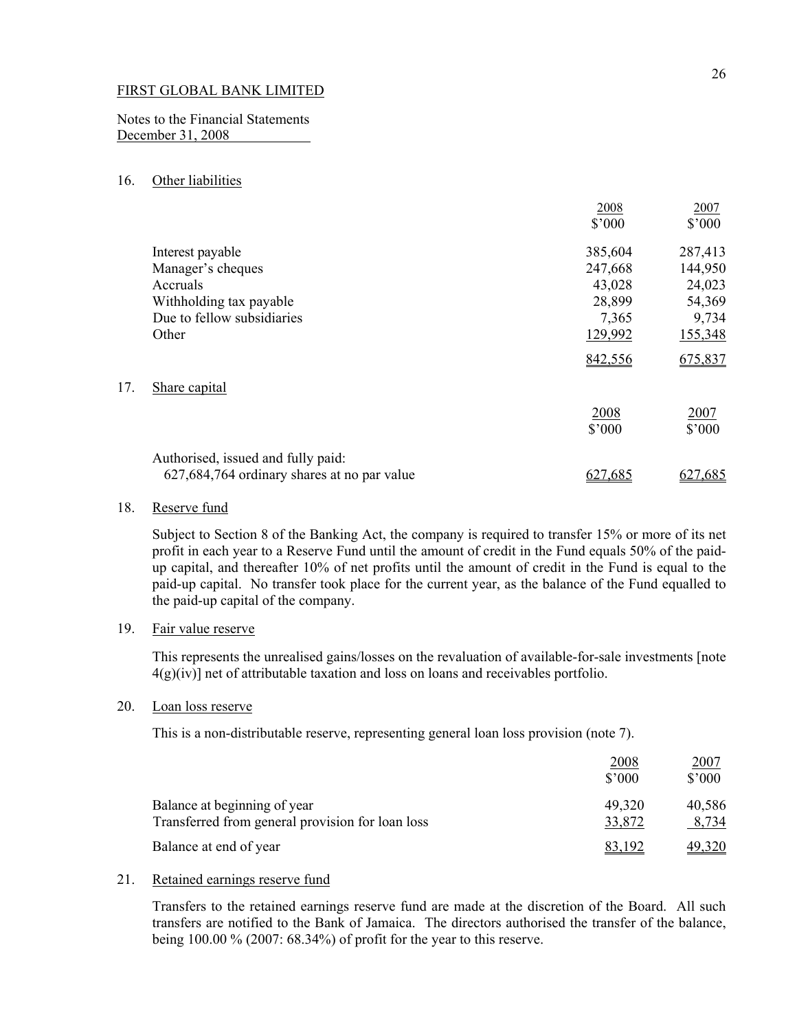Notes to the Financial Statements December 31, 2008

## 16. Other liabilities

|     |                                             | 2008    | 2007           |
|-----|---------------------------------------------|---------|----------------|
|     |                                             | \$'000  | \$'000         |
|     | Interest payable                            | 385,604 | 287,413        |
|     | Manager's cheques                           | 247,668 | 144,950        |
|     | Accruals                                    | 43,028  | 24,023         |
|     | Withholding tax payable                     | 28,899  | 54,369         |
|     | Due to fellow subsidiaries                  | 7,365   | 9,734          |
|     | Other                                       | 129,992 | 155,348        |
|     |                                             | 842,556 | 675,837        |
| 17. | Share capital                               |         |                |
|     |                                             | 2008    | 2007           |
|     |                                             | \$'000  | $$^{\circ}000$ |
|     | Authorised, issued and fully paid:          |         |                |
|     | 627,684,764 ordinary shares at no par value |         | .685           |

## 18. Reserve fund

 Subject to Section 8 of the Banking Act, the company is required to transfer 15% or more of its net profit in each year to a Reserve Fund until the amount of credit in the Fund equals 50% of the paidup capital, and thereafter 10% of net profits until the amount of credit in the Fund is equal to the paid-up capital. No transfer took place for the current year, as the balance of the Fund equalled to the paid-up capital of the company.

## 19. Fair value reserve

 This represents the unrealised gains/losses on the revaluation of available-for-sale investments [note  $4(g)(iv)$ ] net of attributable taxation and loss on loans and receivables portfolio.

### 20. Loan loss reserve

This is a non-distributable reserve, representing general loan loss provision (note 7).

|                                                                                  | 2008<br>$$^{\circ}000$ | 2007<br>\$'000  |
|----------------------------------------------------------------------------------|------------------------|-----------------|
| Balance at beginning of year<br>Transferred from general provision for loan loss | 49,320<br>33,872       | 40,586<br>8,734 |
| Balance at end of year                                                           | 83.192                 | 49,320          |

## 21. Retained earnings reserve fund

 Transfers to the retained earnings reserve fund are made at the discretion of the Board. All such transfers are notified to the Bank of Jamaica. The directors authorised the transfer of the balance, being 100.00 % (2007: 68.34%) of profit for the year to this reserve.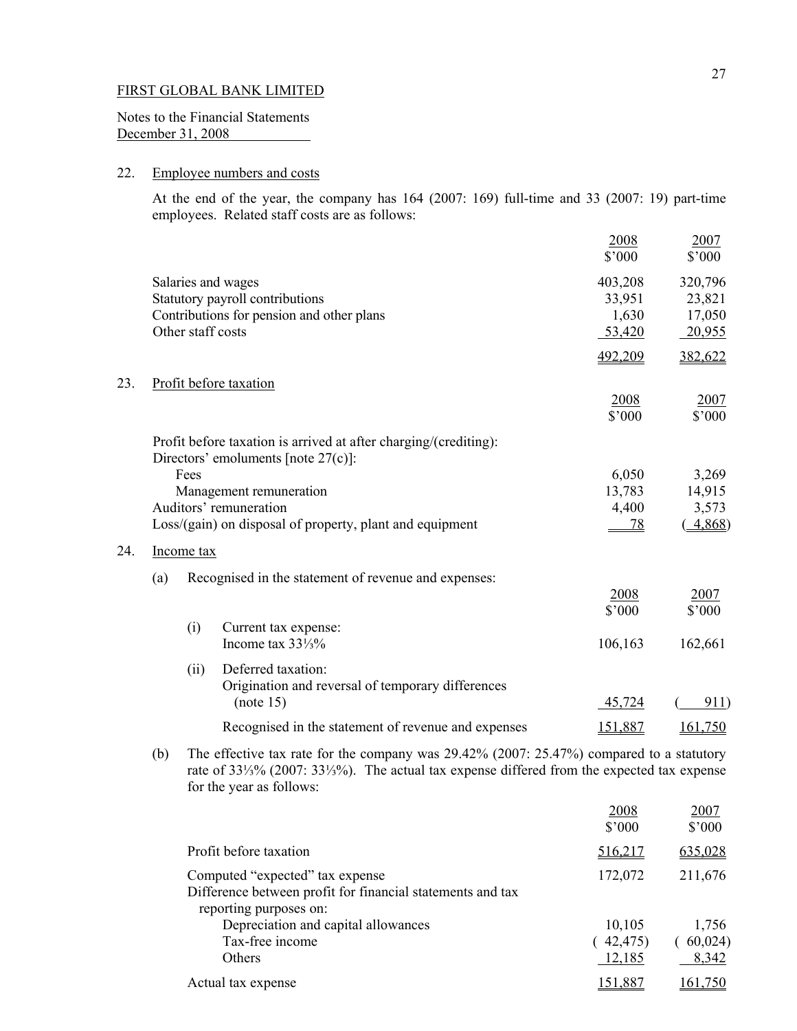Notes to the Financial Statements December 31, 2008

# 22. Employee numbers and costs

 At the end of the year, the company has 164 (2007: 169) full-time and 33 (2007: 19) part-time employees. Related staff costs are as follows:

|     |     |            |                                                                                                                                                                                          | 2008      | 2007    |
|-----|-----|------------|------------------------------------------------------------------------------------------------------------------------------------------------------------------------------------------|-----------|---------|
|     |     |            |                                                                                                                                                                                          | \$'000    | \$'000  |
|     |     |            | Salaries and wages                                                                                                                                                                       | 403,208   | 320,796 |
|     |     |            | Statutory payroll contributions                                                                                                                                                          | 33,951    | 23,821  |
|     |     |            | Contributions for pension and other plans                                                                                                                                                | 1,630     | 17,050  |
|     |     |            | Other staff costs                                                                                                                                                                        | 53,420    | 20,955  |
|     |     |            |                                                                                                                                                                                          | 492,209   | 382,622 |
| 23. |     |            | Profit before taxation                                                                                                                                                                   |           |         |
|     |     |            |                                                                                                                                                                                          | 2008      | 2007    |
|     |     |            |                                                                                                                                                                                          | \$'000    | \$'000  |
|     |     |            | Profit before taxation is arrived at after charging/(crediting):<br>Directors' emoluments [note $27(c)$ ]:                                                                               |           |         |
|     |     | Fees       |                                                                                                                                                                                          | 6,050     | 3,269   |
|     |     |            | Management remuneration                                                                                                                                                                  | 13,783    | 14,915  |
|     |     |            | Auditors' remuneration                                                                                                                                                                   | 4,400     | 3,573   |
|     |     |            | Loss/(gain) on disposal of property, plant and equipment                                                                                                                                 | <u>78</u> | 4,868   |
| 24. |     | Income tax |                                                                                                                                                                                          |           |         |
|     | (a) |            | Recognised in the statement of revenue and expenses:                                                                                                                                     |           |         |
|     |     |            |                                                                                                                                                                                          | 2008      | 2007    |
|     |     |            |                                                                                                                                                                                          | \$'000    | \$'000  |
|     |     | (i)        | Current tax expense:                                                                                                                                                                     |           |         |
|     |     |            | Income tax $33\frac{1}{3}\%$                                                                                                                                                             | 106,163   | 162,661 |
|     |     | (ii)       | Deferred taxation:                                                                                                                                                                       |           |         |
|     |     |            | Origination and reversal of temporary differences<br>(note 15)                                                                                                                           | 45,724    | 911)    |
|     |     |            | Recognised in the statement of revenue and expenses                                                                                                                                      | 151,887   | 161,750 |
|     | (b) |            | The effective tax rate for the company was 29.42% (2007: 25.47%) compared to a statutory<br>rate of 331/3% (2007: 331/3%). The actual tax expense differed from the expected tax expense |           |         |

for the year as follows:

|                                                                                                                         | 2008<br>$$^{\circ}000$        | 2007<br>$$^{\prime}000$    |
|-------------------------------------------------------------------------------------------------------------------------|-------------------------------|----------------------------|
| Profit before taxation                                                                                                  | 516,217                       | 635,028                    |
| Computed "expected" tax expense<br>Difference between profit for financial statements and tax<br>reporting purposes on: | 172,072                       | 211,676                    |
| Depreciation and capital allowances<br>Tax-free income<br>Others                                                        | 10,105<br>(42, 475)<br>12,185 | 1,756<br>(60,024)<br>8,342 |
| Actual tax expense                                                                                                      | <u>151,887</u>                | 161.750                    |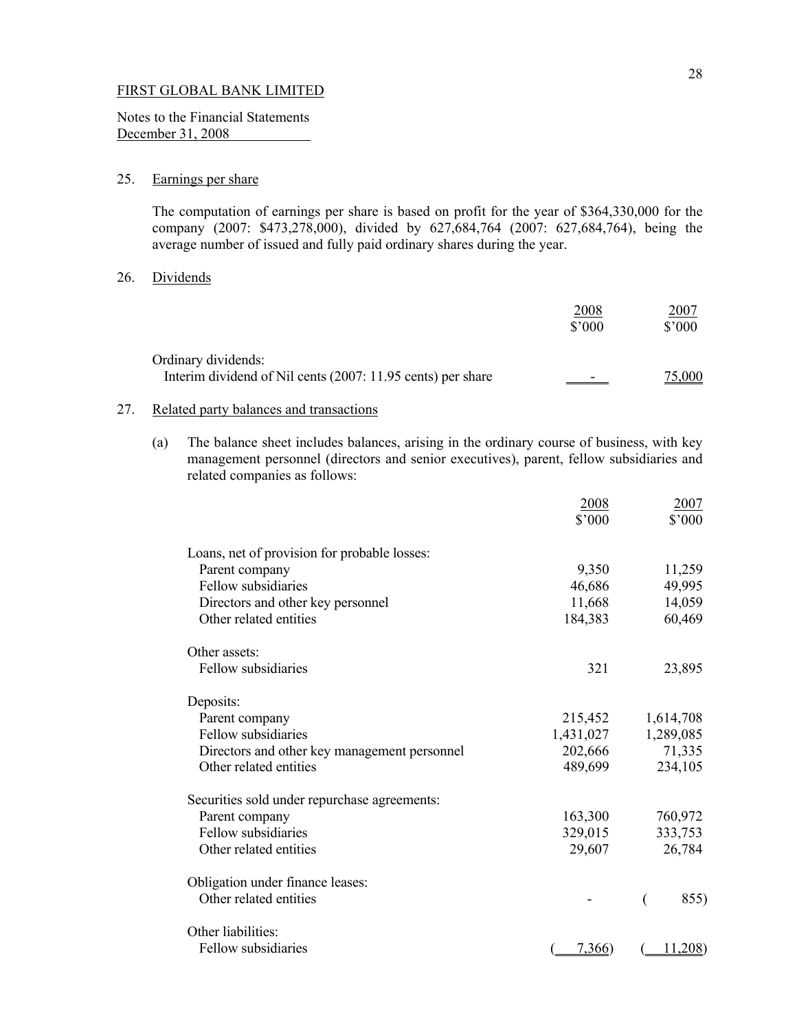Notes to the Financial Statements December 31, 2008

# 25. Earnings per share

 The computation of earnings per share is based on profit for the year of \$364,330,000 for the company (2007: \$473,278,000), divided by 627,684,764 (2007: 627,684,764), being the average number of issued and fully paid ordinary shares during the year.

#### 26. Dividends

|                                                                                    | 2008<br>$$^{\circ}000$ | 2007<br>$$^{\prime}000$ |
|------------------------------------------------------------------------------------|------------------------|-------------------------|
| Ordinary dividends:<br>Interim dividend of Nil cents (2007: 11.95 cents) per share | -                      | 75.000                  |

# 27. Related party balances and transactions

(a) The balance sheet includes balances, arising in the ordinary course of business, with key management personnel (directors and senior executives), parent, fellow subsidiaries and related companies as follows:

|                                              | 2008      | 2007      |
|----------------------------------------------|-----------|-----------|
|                                              | \$'000    | \$'000    |
| Loans, net of provision for probable losses: |           |           |
| Parent company                               | 9,350     | 11,259    |
| Fellow subsidiaries                          | 46,686    | 49,995    |
| Directors and other key personnel            | 11,668    | 14,059    |
| Other related entities                       | 184,383   | 60,469    |
| Other assets:                                |           |           |
| Fellow subsidiaries                          | 321       | 23,895    |
| Deposits:                                    |           |           |
| Parent company                               | 215,452   | 1,614,708 |
| Fellow subsidiaries                          | 1,431,027 | 1,289,085 |
| Directors and other key management personnel | 202,666   | 71,335    |
| Other related entities                       | 489,699   | 234,105   |
| Securities sold under repurchase agreements: |           |           |
| Parent company                               | 163,300   | 760,972   |
| Fellow subsidiaries                          | 329,015   | 333,753   |
| Other related entities                       | 29,607    | 26,784    |
| Obligation under finance leases:             |           |           |
| Other related entities                       |           | 855)      |
| Other liabilities:                           |           |           |
| Fellow subsidiaries                          | 7,366     | 11,208)   |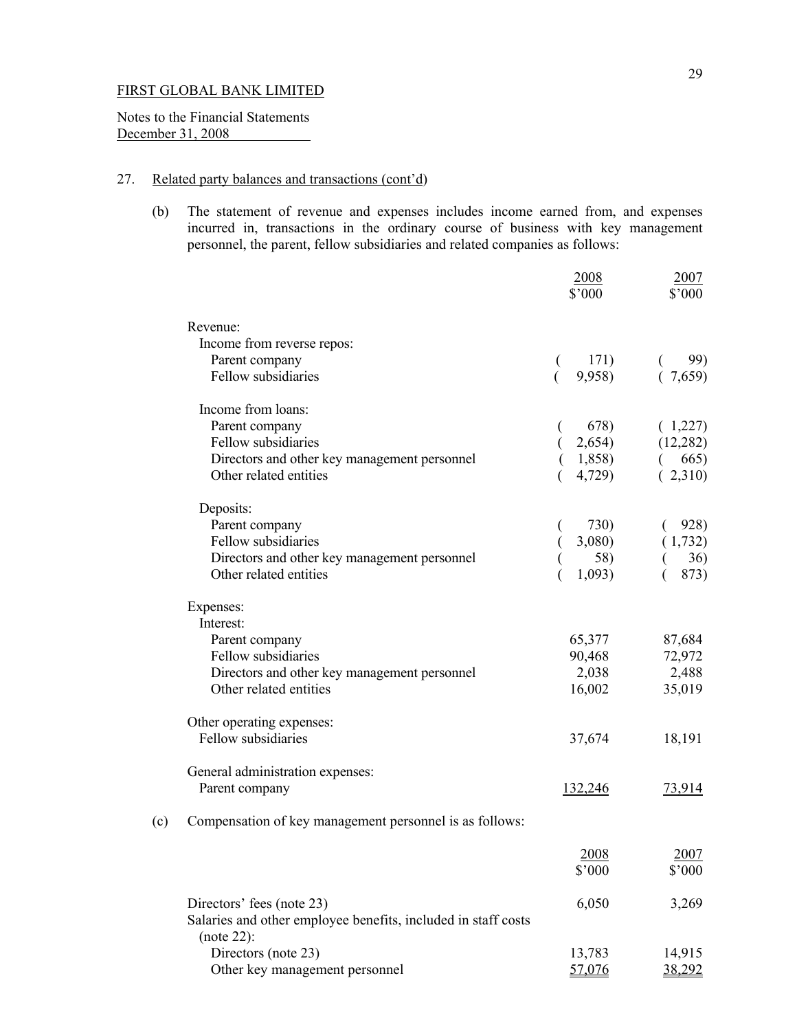Notes to the Financial Statements December 31, 2008 

## 27. Related party balances and transactions (cont'd)

 (b) The statement of revenue and expenses includes income earned from, and expenses incurred in, transactions in the ordinary course of business with key management personnel, the parent, fellow subsidiaries and related companies as follows:

|     |                                                                             | 2008<br>\$'000 | 2007<br>\$'000 |
|-----|-----------------------------------------------------------------------------|----------------|----------------|
|     | Revenue:                                                                    |                |                |
|     | Income from reverse repos:                                                  |                |                |
|     | Parent company                                                              | 171)           | 99)            |
|     | Fellow subsidiaries                                                         | 9,958)         | (7,659)        |
|     | Income from loans:                                                          |                |                |
|     | Parent company                                                              | 678)           | (1,227)        |
|     | Fellow subsidiaries                                                         | 2,654)         | (12, 282)      |
|     | Directors and other key management personnel                                | 1,858)         | 665)           |
|     | Other related entities                                                      | 4,729)         | (2,310)        |
|     | Deposits:                                                                   |                |                |
|     | Parent company                                                              | 730)           | 928)           |
|     | Fellow subsidiaries                                                         | 3,080          | (1,732)        |
|     | Directors and other key management personnel                                | 58)            | 36)            |
|     | Other related entities                                                      | 1,093)         | 873)           |
|     | Expenses:                                                                   |                |                |
|     | Interest:                                                                   |                |                |
|     | Parent company                                                              | 65,377         | 87,684         |
|     | Fellow subsidiaries                                                         | 90,468         | 72,972         |
|     | Directors and other key management personnel                                | 2,038          | 2,488          |
|     | Other related entities                                                      | 16,002         | 35,019         |
|     | Other operating expenses:                                                   |                |                |
|     | Fellow subsidiaries                                                         | 37,674         | 18,191         |
|     | General administration expenses:                                            |                |                |
|     | Parent company                                                              | 132,246        | 73,914         |
| (c) | Compensation of key management personnel is as follows:                     |                |                |
|     |                                                                             | 2008           | 2007           |
|     |                                                                             | \$'000         | $$^{\circ}000$ |
|     | Directors' fees (note 23)                                                   | 6,050          | 3,269          |
|     | Salaries and other employee benefits, included in staff costs<br>(note 22): |                |                |
|     | Directors (note 23)                                                         | 13,783         | 14,915         |
|     | Other key management personnel                                              | 57,076         | 38,292         |
|     |                                                                             |                |                |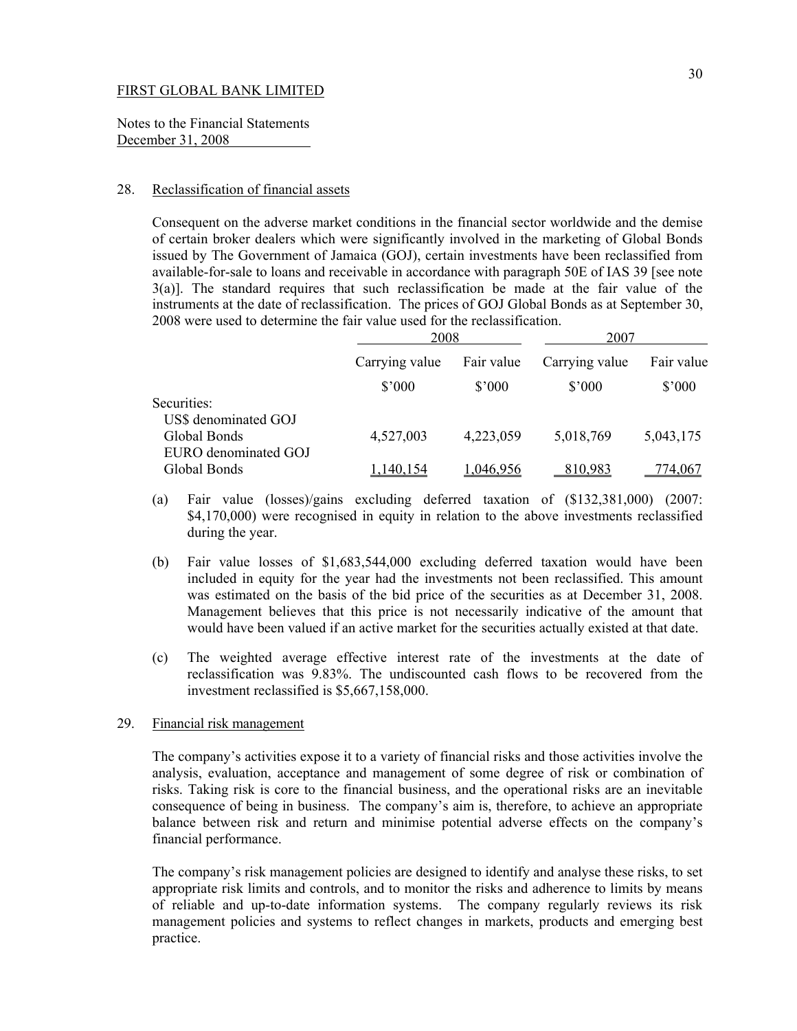Notes to the Financial Statements December 31, 2008

## 28. Reclassification of financial assets

Consequent on the adverse market conditions in the financial sector worldwide and the demise of certain broker dealers which were significantly involved in the marketing of Global Bonds issued by The Government of Jamaica (GOJ), certain investments have been reclassified from available-for-sale to loans and receivable in accordance with paragraph 50E of IAS 39 [see note 3(a)]. The standard requires that such reclassification be made at the fair value of the instruments at the date of reclassification. The prices of GOJ Global Bonds as at September 30, 2008 were used to determine the fair value used for the reclassification.

|                                                              | 2008           |                | 2007            |                 |
|--------------------------------------------------------------|----------------|----------------|-----------------|-----------------|
|                                                              | Carrying value | Fair value     | Carrying value  | Fair value      |
|                                                              | $$^{\circ}000$ | $$^{\circ}000$ | $$^{\prime}000$ | $$^{\prime}000$ |
| Securities:                                                  |                |                |                 |                 |
| US\$ denominated GOJ<br>Global Bonds<br>EURO denominated GOJ | 4,527,003      | 4,223,059      | 5,018,769       | 5,043,175       |
| Global Bonds                                                 | ,140,154       | 1.046.956      | 810,983         | '74.067         |

- (a) Fair value (losses)/gains excluding deferred taxation of (\$132,381,000) (2007: \$4,170,000) were recognised in equity in relation to the above investments reclassified during the year.
- (b) Fair value losses of \$1,683,544,000 excluding deferred taxation would have been included in equity for the year had the investments not been reclassified. This amount was estimated on the basis of the bid price of the securities as at December 31, 2008. Management believes that this price is not necessarily indicative of the amount that would have been valued if an active market for the securities actually existed at that date.
- (c) The weighted average effective interest rate of the investments at the date of reclassification was 9.83%. The undiscounted cash flows to be recovered from the investment reclassified is \$5,667,158,000.

## 29. Financial risk management

The company's activities expose it to a variety of financial risks and those activities involve the analysis, evaluation, acceptance and management of some degree of risk or combination of risks. Taking risk is core to the financial business, and the operational risks are an inevitable consequence of being in business. The company's aim is, therefore, to achieve an appropriate balance between risk and return and minimise potential adverse effects on the company's financial performance.

The company's risk management policies are designed to identify and analyse these risks, to set appropriate risk limits and controls, and to monitor the risks and adherence to limits by means of reliable and up-to-date information systems. The company regularly reviews its risk management policies and systems to reflect changes in markets, products and emerging best practice.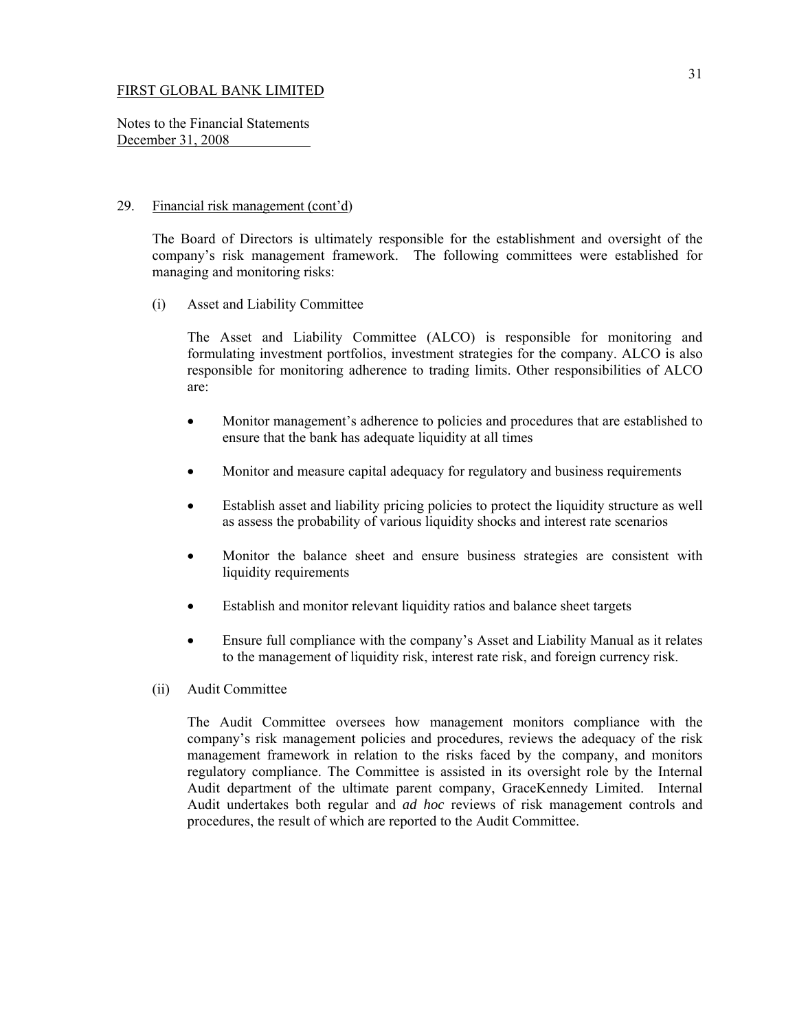Notes to the Financial Statements December 31, 2008

### 29. Financial risk management (cont'd)

The Board of Directors is ultimately responsible for the establishment and oversight of the company's risk management framework. The following committees were established for managing and monitoring risks:

(i) Asset and Liability Committee

The Asset and Liability Committee (ALCO) is responsible for monitoring and formulating investment portfolios, investment strategies for the company. ALCO is also responsible for monitoring adherence to trading limits. Other responsibilities of ALCO are:

- Monitor management's adherence to policies and procedures that are established to ensure that the bank has adequate liquidity at all times
- Monitor and measure capital adequacy for regulatory and business requirements
- Establish asset and liability pricing policies to protect the liquidity structure as well as assess the probability of various liquidity shocks and interest rate scenarios
- Monitor the balance sheet and ensure business strategies are consistent with liquidity requirements
- Establish and monitor relevant liquidity ratios and balance sheet targets
- Ensure full compliance with the company's Asset and Liability Manual as it relates to the management of liquidity risk, interest rate risk, and foreign currency risk.
- (ii) Audit Committee

The Audit Committee oversees how management monitors compliance with the company's risk management policies and procedures, reviews the adequacy of the risk management framework in relation to the risks faced by the company, and monitors regulatory compliance. The Committee is assisted in its oversight role by the Internal Audit department of the ultimate parent company, GraceKennedy Limited. Internal Audit undertakes both regular and *ad hoc* reviews of risk management controls and procedures, the result of which are reported to the Audit Committee.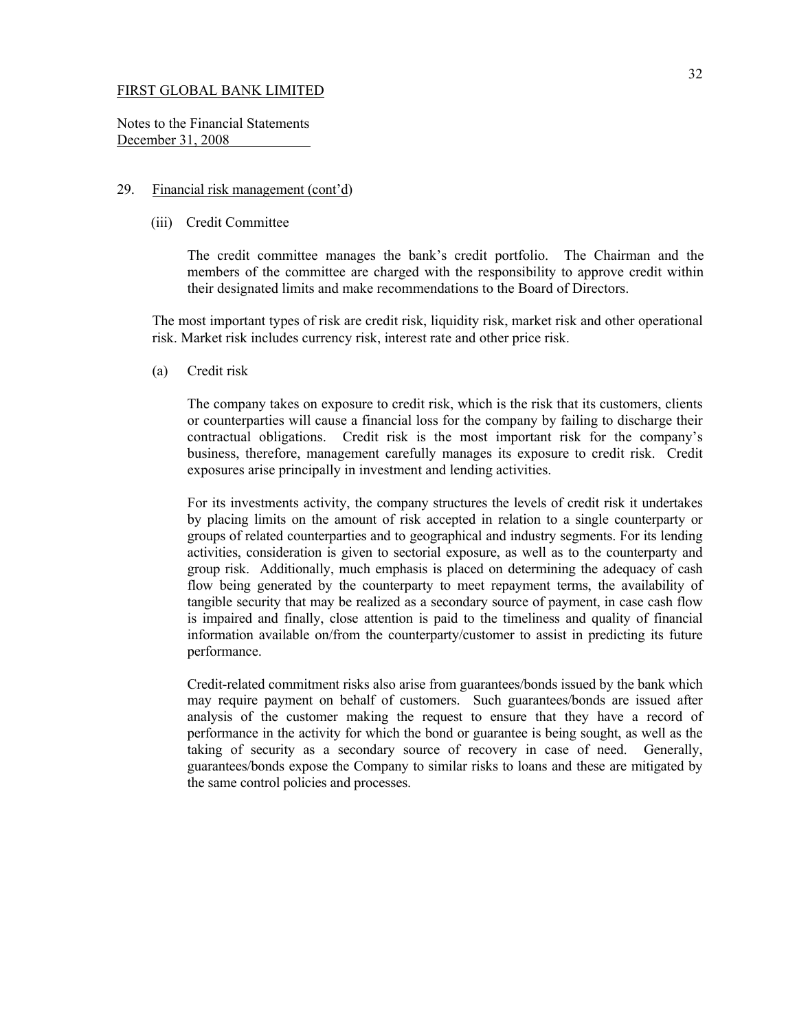Notes to the Financial Statements December 31, 2008

## 29. Financial risk management (cont'd)

(iii) Credit Committee

The credit committee manages the bank's credit portfolio. The Chairman and the members of the committee are charged with the responsibility to approve credit within their designated limits and make recommendations to the Board of Directors.

The most important types of risk are credit risk, liquidity risk, market risk and other operational risk. Market risk includes currency risk, interest rate and other price risk.

(a) Credit risk

The company takes on exposure to credit risk, which is the risk that its customers, clients or counterparties will cause a financial loss for the company by failing to discharge their contractual obligations. Credit risk is the most important risk for the company's business, therefore, management carefully manages its exposure to credit risk. Credit exposures arise principally in investment and lending activities.

For its investments activity, the company structures the levels of credit risk it undertakes by placing limits on the amount of risk accepted in relation to a single counterparty or groups of related counterparties and to geographical and industry segments. For its lending activities, consideration is given to sectorial exposure, as well as to the counterparty and group risk. Additionally, much emphasis is placed on determining the adequacy of cash flow being generated by the counterparty to meet repayment terms, the availability of tangible security that may be realized as a secondary source of payment, in case cash flow is impaired and finally, close attention is paid to the timeliness and quality of financial information available on/from the counterparty/customer to assist in predicting its future performance.

Credit-related commitment risks also arise from guarantees/bonds issued by the bank which may require payment on behalf of customers. Such guarantees/bonds are issued after analysis of the customer making the request to ensure that they have a record of performance in the activity for which the bond or guarantee is being sought, as well as the taking of security as a secondary source of recovery in case of need. Generally, guarantees/bonds expose the Company to similar risks to loans and these are mitigated by the same control policies and processes.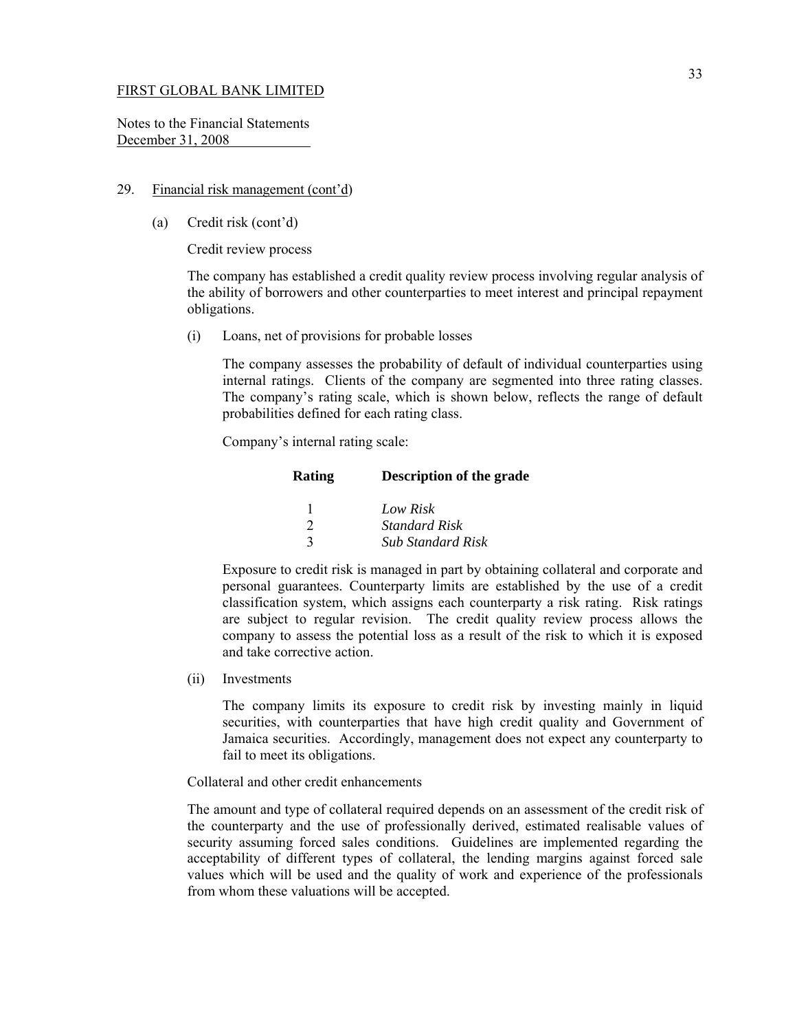Notes to the Financial Statements December 31, 2008

## 29. Financial risk management (cont'd)

(a) Credit risk (cont'd)

Credit review process

The company has established a credit quality review process involving regular analysis of the ability of borrowers and other counterparties to meet interest and principal repayment obligations.

(i) Loans, net of provisions for probable losses

The company assesses the probability of default of individual counterparties using internal ratings. Clients of the company are segmented into three rating classes. The company's rating scale, which is shown below, reflects the range of default probabilities defined for each rating class.

Company's internal rating scale:

| <b>Rating</b> | <b>Description of the grade</b> |
|---------------|---------------------------------|
|               | Low Risk                        |
| $\mathcal{D}$ | <i>Standard Risk</i>            |
| 2             | <b>Sub Standard Risk</b>        |

Exposure to credit risk is managed in part by obtaining collateral and corporate and personal guarantees. Counterparty limits are established by the use of a credit classification system, which assigns each counterparty a risk rating. Risk ratings are subject to regular revision. The credit quality review process allows the company to assess the potential loss as a result of the risk to which it is exposed and take corrective action.

(ii) Investments

The company limits its exposure to credit risk by investing mainly in liquid securities, with counterparties that have high credit quality and Government of Jamaica securities. Accordingly, management does not expect any counterparty to fail to meet its obligations.

#### Collateral and other credit enhancements

The amount and type of collateral required depends on an assessment of the credit risk of the counterparty and the use of professionally derived, estimated realisable values of security assuming forced sales conditions. Guidelines are implemented regarding the acceptability of different types of collateral, the lending margins against forced sale values which will be used and the quality of work and experience of the professionals from whom these valuations will be accepted.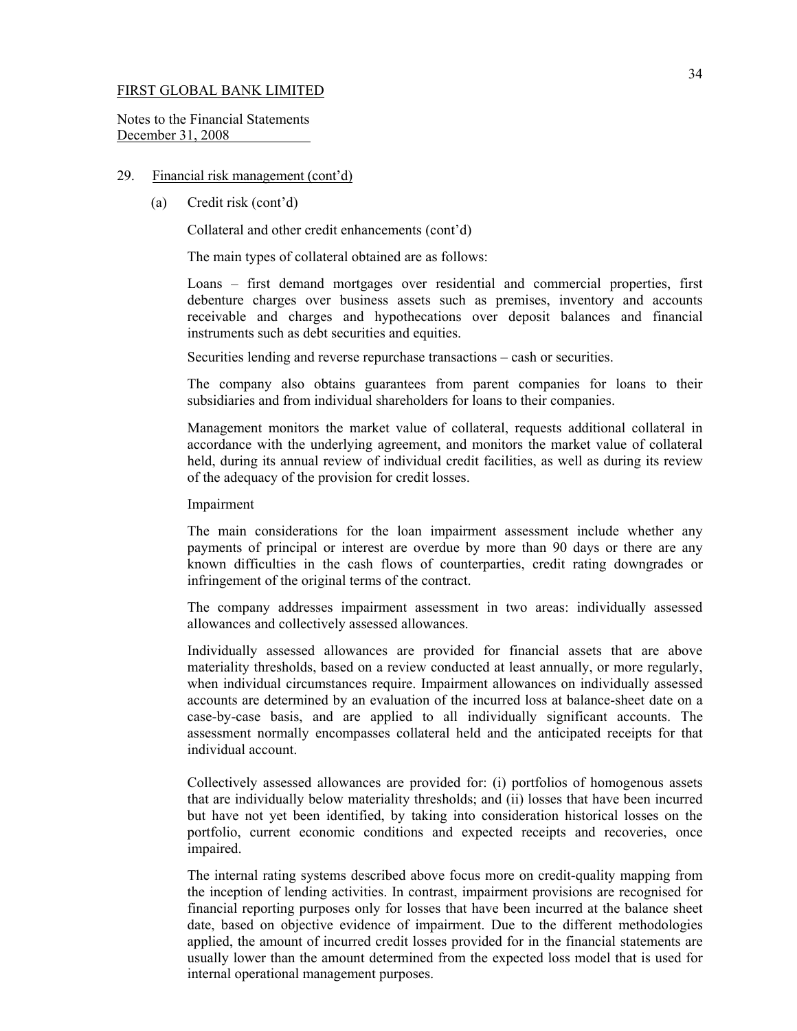Notes to the Financial Statements December 31, 2008

#### 29. Financial risk management (cont'd)

(a) Credit risk (cont'd)

Collateral and other credit enhancements (cont'd)

The main types of collateral obtained are as follows:

Loans – first demand mortgages over residential and commercial properties, first debenture charges over business assets such as premises, inventory and accounts receivable and charges and hypothecations over deposit balances and financial instruments such as debt securities and equities.

Securities lending and reverse repurchase transactions – cash or securities.

 The company also obtains guarantees from parent companies for loans to their subsidiaries and from individual shareholders for loans to their companies.

 Management monitors the market value of collateral, requests additional collateral in accordance with the underlying agreement, and monitors the market value of collateral held, during its annual review of individual credit facilities, as well as during its review of the adequacy of the provision for credit losses.

Impairment

 The main considerations for the loan impairment assessment include whether any payments of principal or interest are overdue by more than 90 days or there are any known difficulties in the cash flows of counterparties, credit rating downgrades or infringement of the original terms of the contract.

 The company addresses impairment assessment in two areas: individually assessed allowances and collectively assessed allowances.

 Individually assessed allowances are provided for financial assets that are above materiality thresholds, based on a review conducted at least annually, or more regularly, when individual circumstances require. Impairment allowances on individually assessed accounts are determined by an evaluation of the incurred loss at balance-sheet date on a case-by-case basis, and are applied to all individually significant accounts. The assessment normally encompasses collateral held and the anticipated receipts for that individual account.

 Collectively assessed allowances are provided for: (i) portfolios of homogenous assets that are individually below materiality thresholds; and (ii) losses that have been incurred but have not yet been identified, by taking into consideration historical losses on the portfolio, current economic conditions and expected receipts and recoveries, once impaired.

The internal rating systems described above focus more on credit-quality mapping from the inception of lending activities. In contrast, impairment provisions are recognised for financial reporting purposes only for losses that have been incurred at the balance sheet date, based on objective evidence of impairment. Due to the different methodologies applied, the amount of incurred credit losses provided for in the financial statements are usually lower than the amount determined from the expected loss model that is used for internal operational management purposes.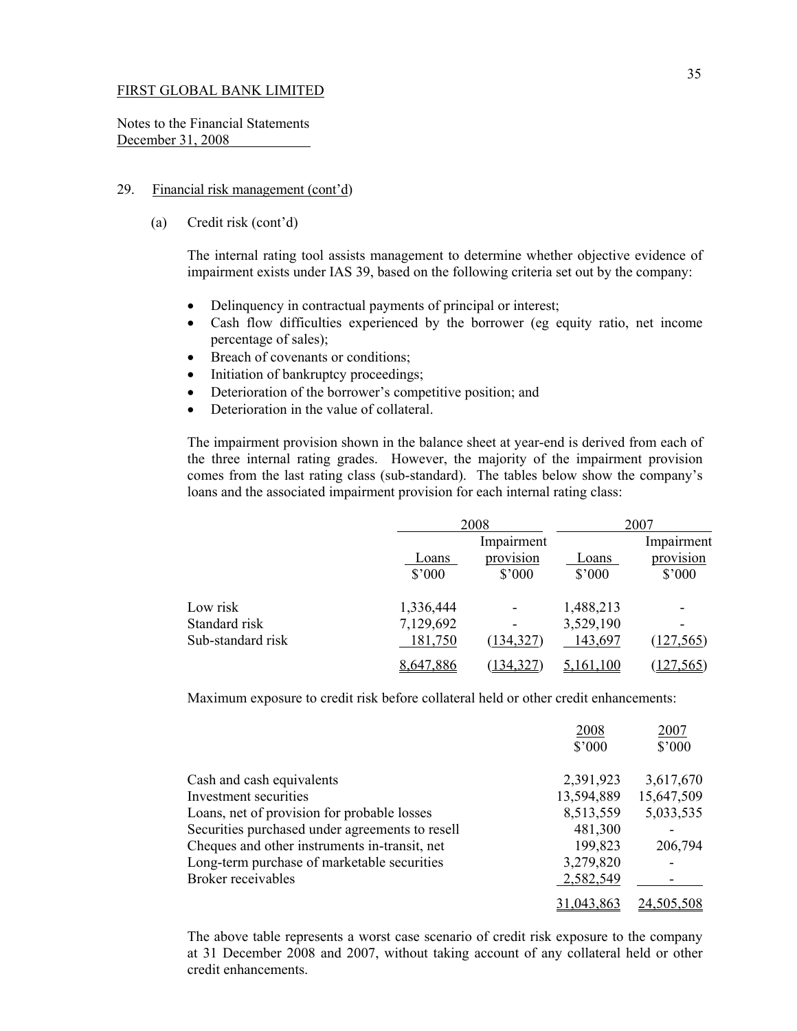Notes to the Financial Statements December 31, 2008

# 29. Financial risk management (cont'd)

(a) Credit risk (cont'd)

The internal rating tool assists management to determine whether objective evidence of impairment exists under IAS 39, based on the following criteria set out by the company:

- Delinquency in contractual payments of principal or interest;
- Cash flow difficulties experienced by the borrower (eg equity ratio, net income percentage of sales);
- Breach of covenants or conditions;
- Initiation of bankruptcy proceedings;
- Deterioration of the borrower's competitive position; and
- Deterioration in the value of collateral.

The impairment provision shown in the balance sheet at year-end is derived from each of the three internal rating grades. However, the majority of the impairment provision comes from the last rating class (sub-standard). The tables below show the company's loans and the associated impairment provision for each internal rating class:

|                   |                 | 2008            |                | 2007            |  |
|-------------------|-----------------|-----------------|----------------|-----------------|--|
|                   |                 | Impairment      |                | Impairment      |  |
|                   | Loans           | provision       | Loans          | provision       |  |
|                   | $$^{\prime}000$ | $$^{\prime}000$ | $$^{\circ}000$ | $$^{\prime}000$ |  |
| Low risk          | 1,336,444       | ٠               | 1,488,213      | ۰               |  |
| Standard risk     | 7,129,692       | -               | 3,529,190      | ۰               |  |
| Sub-standard risk | 181,750         | (134, 327)      | 143,697        | (127, 565)      |  |
|                   | 8,647,886       | (134, 327)      | 161.100        | (127, 565)      |  |

Maximum exposure to credit risk before collateral held or other credit enhancements:

|                                                 | 2008            | 2007            |
|-------------------------------------------------|-----------------|-----------------|
|                                                 | $$^{\prime}000$ | $$^{\prime}000$ |
| Cash and cash equivalents                       | 2,391,923       | 3,617,670       |
| Investment securities                           | 13,594,889      | 15,647,509      |
| Loans, net of provision for probable losses     | 8,513,559       | 5,033,535       |
| Securities purchased under agreements to resell | 481,300         |                 |
| Cheques and other instruments in-transit, net   | 199,823         | 206,794         |
| Long-term purchase of marketable securities     | 3,279,820       |                 |
| Broker receivables                              | 2,582,549       |                 |
|                                                 |                 | 24.505.508      |

The above table represents a worst case scenario of credit risk exposure to the company at 31 December 2008 and 2007, without taking account of any collateral held or other credit enhancements.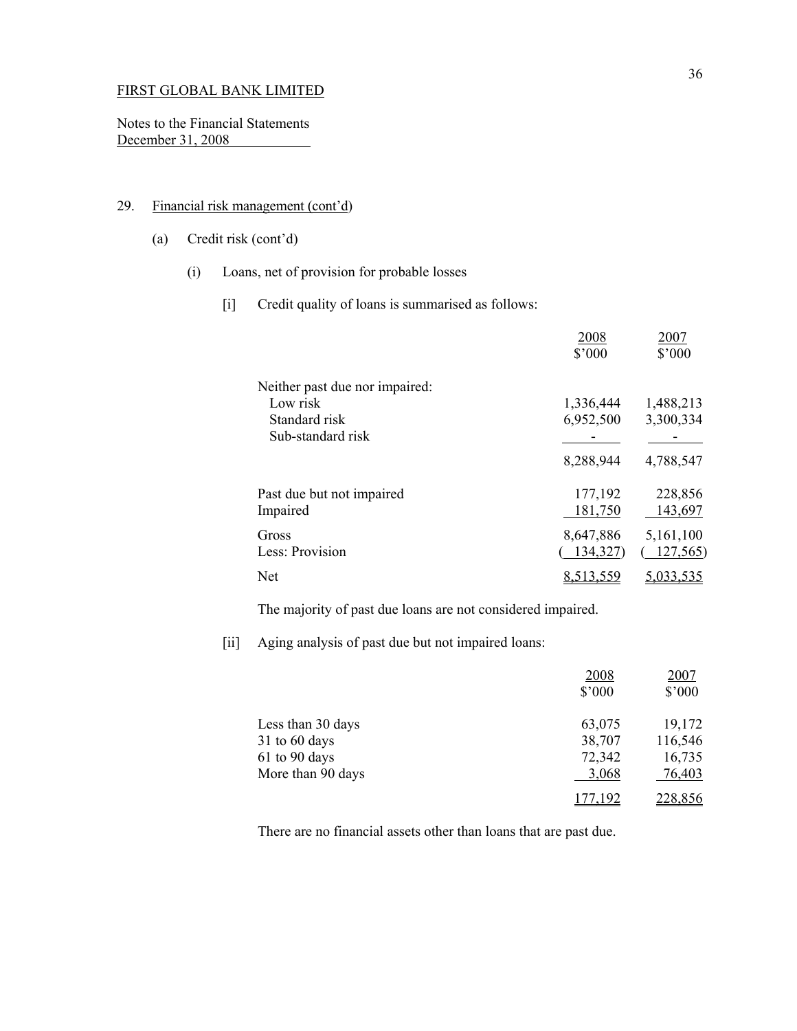Notes to the Financial Statements December 31, 2008

# 29. Financial risk management (cont'd)

- (a) Credit risk (cont'd)
	- (i) Loans, net of provision for probable losses
		- [i] Credit quality of loans is summarised as follows:

|                                                                                  | 2008<br>$$^{\prime}000$ | 2007<br>$$^{\prime}000$ |
|----------------------------------------------------------------------------------|-------------------------|-------------------------|
| Neither past due nor impaired:<br>Low risk<br>Standard risk<br>Sub-standard risk | 1,336,444<br>6,952,500  | 1,488,213<br>3,300,334  |
|                                                                                  | 8,288,944               | 4,788,547               |
| Past due but not impaired<br>Impaired                                            | 177,192<br>181,750      | 228,856<br>143,697      |
| Gross<br>Less: Provision                                                         | 8,647,886<br>134,327)   | 5,161,100<br>127,565    |
| Net                                                                              | <u>8,513,559</u>        | 5,033,535               |

The majority of past due loans are not considered impaired.

[ii] Aging analysis of past due but not impaired loans:

|                   | 2008<br>$$^{\prime}000$ | <u>2007</u><br>$$^{\prime}000$ |
|-------------------|-------------------------|--------------------------------|
| Less than 30 days | 63,075                  | 19,172                         |
| $31$ to 60 days   | 38,707                  | 116,546                        |
| 61 to 90 days     | 72,342                  | 16,735                         |
| More than 90 days | 3,068                   | 76,403                         |
|                   |                         | <u>228,856</u>                 |

There are no financial assets other than loans that are past due.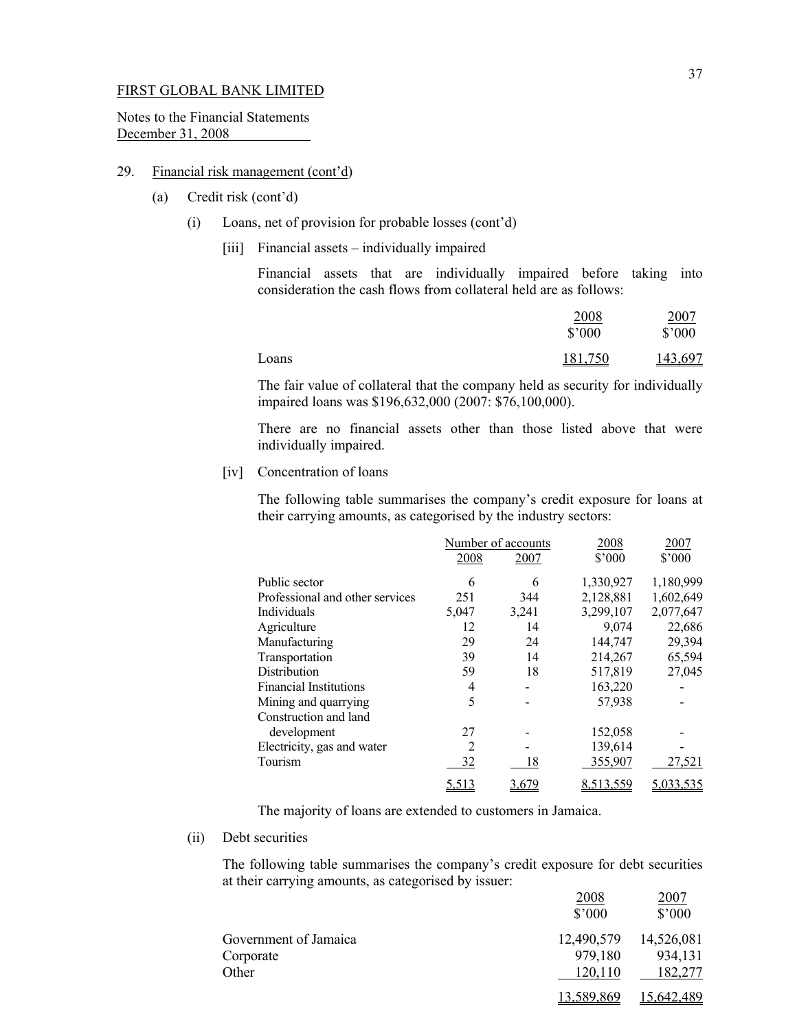Notes to the Financial Statements December 31, 2008

## 29. Financial risk management (cont'd)

- (a) Credit risk (cont'd)
	- (i) Loans, net of provision for probable losses (cont'd)
		- [iii] Financial assets individually impaired

Financial assets that are individually impaired before taking into consideration the cash flows from collateral held are as follows:

|       | 2008            | <u>2007</u>    |
|-------|-----------------|----------------|
|       | $$^{\prime}000$ | $$^{\circ}000$ |
| Loans | 181,750         | 143,697        |

The fair value of collateral that the company held as security for individually impaired loans was \$196,632,000 (2007: \$76,100,000).

There are no financial assets other than those listed above that were individually impaired.

[iv] Concentration of loans

The following table summarises the company's credit exposure for loans at their carrying amounts, as categorised by the industry sectors:

|                                 |       | Number of accounts | 2008           | 2007      |
|---------------------------------|-------|--------------------|----------------|-----------|
|                                 | 2008  | 2007               | $$^{\circ}000$ | \$'000    |
| Public sector                   | 6     | 6                  | 1,330,927      | 1,180,999 |
| Professional and other services | 251   | 344                | 2,128,881      | 1,602,649 |
| Individuals                     | 5,047 | 3,241              | 3,299,107      | 2,077,647 |
| Agriculture                     | 12    | 14                 | 9,074          | 22,686    |
| Manufacturing                   | 29    | 24                 | 144,747        | 29,394    |
| Transportation                  | 39    | 14                 | 214,267        | 65,594    |
| Distribution                    | 59    | 18                 | 517,819        | 27,045    |
| <b>Financial Institutions</b>   | 4     |                    | 163,220        |           |
| Mining and quarrying            | 5     |                    | 57,938         |           |
| Construction and land           |       |                    |                |           |
| development                     | 27    |                    | 152,058        |           |
| Electricity, gas and water      | 2     |                    | 139,614        |           |
| Tourism                         | 32    | 18                 | 355,907        | 27,521    |
|                                 | 5,513 | 3,679              | 8,513,559      | 5,033,535 |

The majority of loans are extended to customers in Jamaica.

(ii) Debt securities

The following table summarises the company's credit exposure for debt securities at their carrying amounts, as categorised by issuer:

|                       | 2008<br>$$^{\circ}000$ | 2007<br>$$^{\prime}000$ |
|-----------------------|------------------------|-------------------------|
| Government of Jamaica | 12,490,579             | 14,526,081              |
| Corporate             | 979,180                | 934,131                 |
| Other                 | 120,110                | 182,277                 |
|                       | <u>589,869</u>         | 15,642,489              |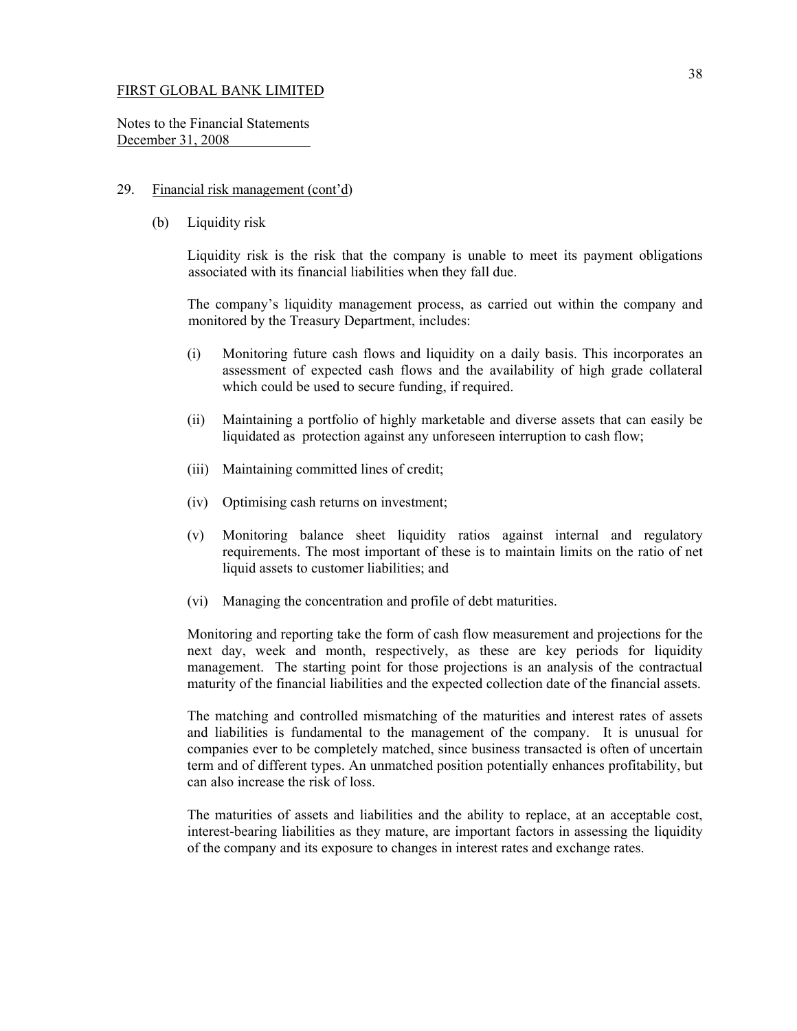Notes to the Financial Statements December 31, 2008

#### 29. Financial risk management (cont'd)

(b) Liquidity risk

 Liquidity risk is the risk that the company is unable to meet its payment obligations associated with its financial liabilities when they fall due.

 The company's liquidity management process, as carried out within the company and monitored by the Treasury Department, includes:

- (i) Monitoring future cash flows and liquidity on a daily basis. This incorporates an assessment of expected cash flows and the availability of high grade collateral which could be used to secure funding, if required.
- (ii) Maintaining a portfolio of highly marketable and diverse assets that can easily be liquidated as protection against any unforeseen interruption to cash flow;
- (iii) Maintaining committed lines of credit;
- (iv) Optimising cash returns on investment;
- (v) Monitoring balance sheet liquidity ratios against internal and regulatory requirements. The most important of these is to maintain limits on the ratio of net liquid assets to customer liabilities; and
- (vi) Managing the concentration and profile of debt maturities.

Monitoring and reporting take the form of cash flow measurement and projections for the next day, week and month, respectively, as these are key periods for liquidity management. The starting point for those projections is an analysis of the contractual maturity of the financial liabilities and the expected collection date of the financial assets.

The matching and controlled mismatching of the maturities and interest rates of assets and liabilities is fundamental to the management of the company. It is unusual for companies ever to be completely matched, since business transacted is often of uncertain term and of different types. An unmatched position potentially enhances profitability, but can also increase the risk of loss.

The maturities of assets and liabilities and the ability to replace, at an acceptable cost, interest-bearing liabilities as they mature, are important factors in assessing the liquidity of the company and its exposure to changes in interest rates and exchange rates.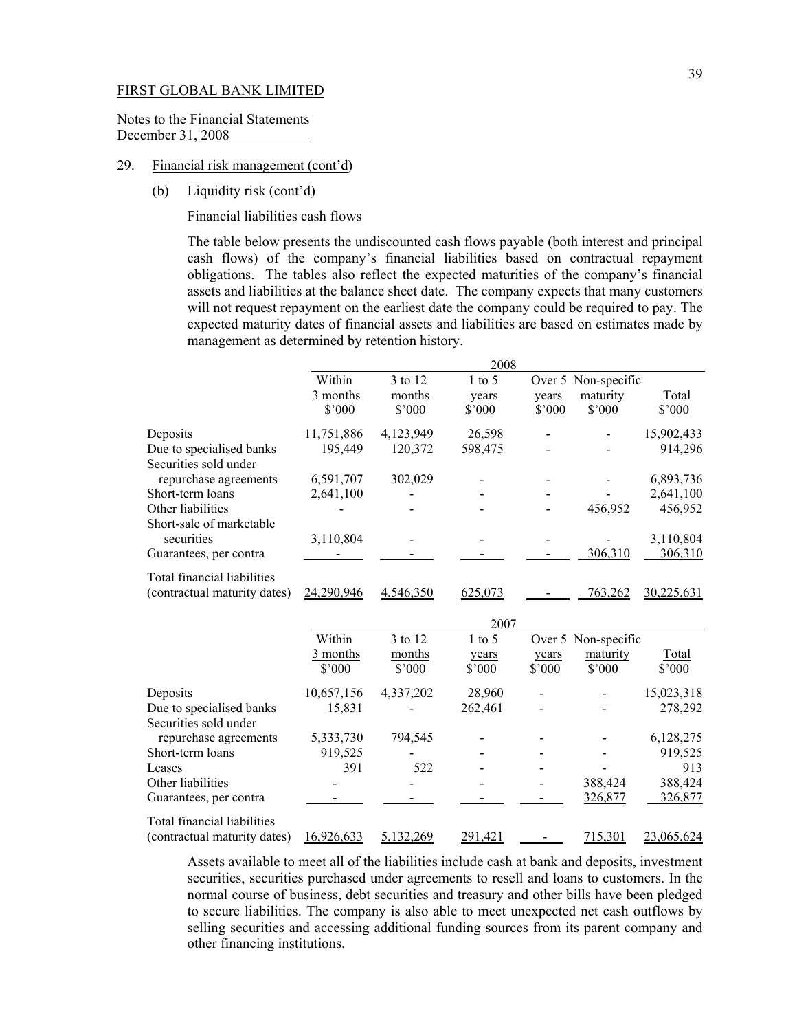Notes to the Financial Statements December 31, 2008

## 29. Financial risk management (cont'd)

(b) Liquidity risk (cont'd)

Financial liabilities cash flows

The table below presents the undiscounted cash flows payable (both interest and principal cash flows) of the company's financial liabilities based on contractual repayment obligations. The tables also reflect the expected maturities of the company's financial assets and liabilities at the balance sheet date. The company expects that many customers will not request repayment on the earliest date the company could be required to pay. The expected maturity dates of financial assets and liabilities are based on estimates made by management as determined by retention history.

|                              |            |                | 2008     |        |                     |                |
|------------------------------|------------|----------------|----------|--------|---------------------|----------------|
|                              | Within     | 3 to 12        | $1$ to 5 |        | Over 5 Non-specific |                |
|                              | 3 months   | months         | years    | years  | maturity            | Total          |
|                              | \$3000     | $$^{\circ}000$ | \$3000   | \$3000 | $$^{\circ}000$      | $$^{\circ}000$ |
| Deposits                     | 11,751,886 | 4,123,949      | 26,598   |        |                     | 15,902,433     |
| Due to specialised banks     | 195,449    | 120,372        | 598,475  |        |                     | 914,296        |
| Securities sold under        |            |                |          |        |                     |                |
| repurchase agreements        | 6,591,707  | 302,029        |          |        |                     | 6,893,736      |
| Short-term loans             | 2,641,100  |                | -        |        |                     | 2,641,100      |
| Other liabilities            |            |                |          |        | 456.952             | 456,952        |
| Short-sale of marketable     |            |                |          |        |                     |                |
| securities                   | 3,110,804  |                |          |        |                     | 3,110,804      |
| Guarantees, per contra       |            |                |          |        | 306,310             | 306,310        |
| Total financial liabilities  |            |                |          |        |                     |                |
| (contractual maturity dates) | 24.290.946 | 4.546.350      | 625,073  |        | 763,262             | 30.225.631     |

|                              |                |                  | 2007     |        |                     |                |
|------------------------------|----------------|------------------|----------|--------|---------------------|----------------|
|                              | Within         | 3 to 12          | $1$ to 5 |        | Over 5 Non-specific |                |
|                              | 3 months       | months           | years    | years  | maturity            | Total          |
|                              | $$^{\circ}000$ | $$^{\circ}000$   | \$3000   | \$3000 | $$^{\circ}000$      | $$^{\circ}000$ |
| Deposits                     | 10,657,156     | 4,337,202        | 28,960   |        |                     | 15,023,318     |
| Due to specialised banks     | 15.831         |                  | 262,461  |        |                     | 278,292        |
| Securities sold under        |                |                  |          |        |                     |                |
| repurchase agreements        | 5,333,730      | 794,545          |          |        |                     | 6,128,275      |
| Short-term loans             | 919,525        |                  |          |        |                     | 919,525        |
| Leases                       | 391            | 522              | -        |        |                     | 913            |
| Other liabilities            |                |                  |          |        | 388,424             | 388,424        |
| Guarantees, per contra       |                |                  |          |        | 326,877             | 326,877        |
| Total financial liabilities  |                |                  |          |        |                     |                |
| (contractual maturity dates) | 16.926.633     | <u>5,132,269</u> | 291.421  |        | <u>715,301</u>      | 23,065,624     |

Assets available to meet all of the liabilities include cash at bank and deposits, investment securities, securities purchased under agreements to resell and loans to customers. In the normal course of business, debt securities and treasury and other bills have been pledged to secure liabilities. The company is also able to meet unexpected net cash outflows by selling securities and accessing additional funding sources from its parent company and other financing institutions.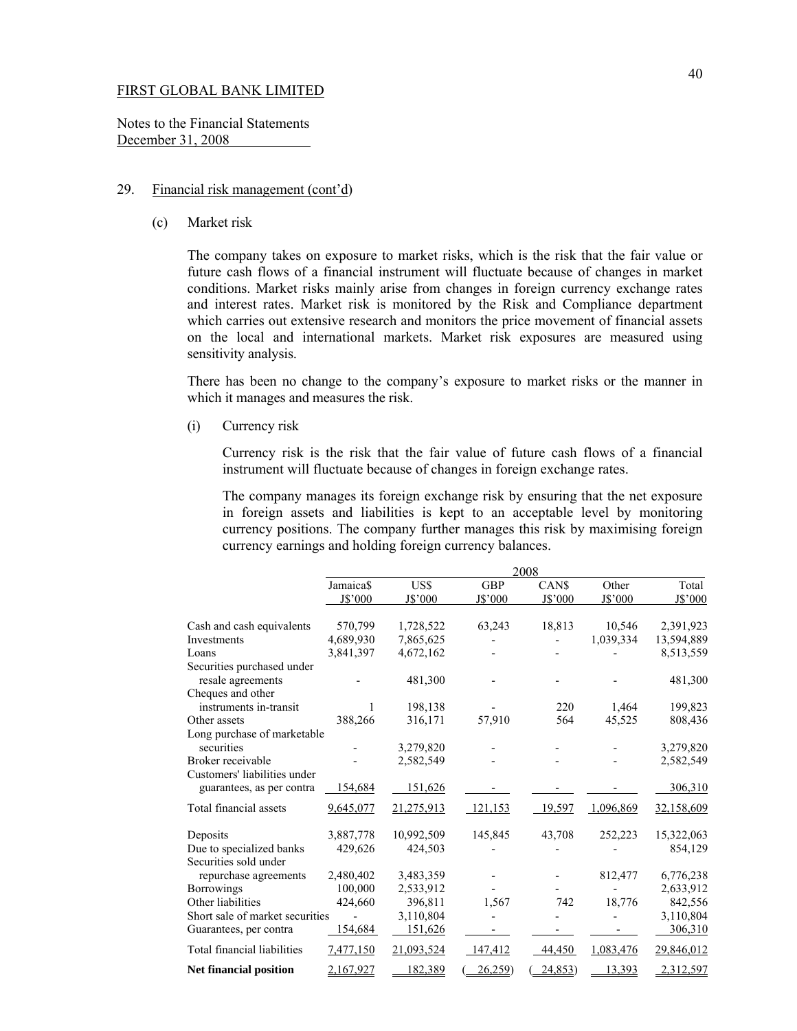Notes to the Financial Statements December 31, 2008

# 29. Financial risk management (cont'd)

(c) Market risk

The company takes on exposure to market risks, which is the risk that the fair value or future cash flows of a financial instrument will fluctuate because of changes in market conditions. Market risks mainly arise from changes in foreign currency exchange rates and interest rates. Market risk is monitored by the Risk and Compliance department which carries out extensive research and monitors the price movement of financial assets on the local and international markets. Market risk exposures are measured using sensitivity analysis.

There has been no change to the company's exposure to market risks or the manner in which it manages and measures the risk.

(i) Currency risk

 Currency risk is the risk that the fair value of future cash flows of a financial instrument will fluctuate because of changes in foreign exchange rates.

 The company manages its foreign exchange risk by ensuring that the net exposure in foreign assets and liabilities is kept to an acceptable level by monitoring currency positions. The company further manages this risk by maximising foreign currency earnings and holding foreign currency balances.

|                                 | 2008      |            |            |         |           |            |
|---------------------------------|-----------|------------|------------|---------|-----------|------------|
|                                 | Jamaica\$ | US\$       | <b>GBP</b> | CAN\$   | Other     | Total      |
|                                 | J\$'000   | J\$'000    | J\$'000    | J\$'000 | J\$'000   | J\$'000    |
| Cash and cash equivalents       | 570,799   | 1,728,522  | 63,243     | 18,813  | 10,546    | 2,391,923  |
| Investments                     | 4,689,930 | 7,865,625  |            |         | 1,039,334 | 13,594,889 |
| Loans                           | 3,841,397 | 4,672,162  |            |         |           | 8,513,559  |
| Securities purchased under      |           |            |            |         |           |            |
| resale agreements               |           | 481,300    |            |         |           | 481,300    |
| Cheques and other               |           |            |            |         |           |            |
| instruments in-transit          | 1         | 198,138    |            | 220     | 1,464     | 199,823    |
| Other assets                    | 388,266   | 316,171    | 57,910     | 564     | 45,525    | 808,436    |
| Long purchase of marketable     |           |            |            |         |           |            |
| securities                      |           | 3,279,820  |            |         |           | 3,279,820  |
| Broker receivable               |           | 2,582,549  |            |         |           | 2,582,549  |
| Customers' liabilities under    |           |            |            |         |           |            |
| guarantees, as per contra       | 154,684   | 151,626    |            |         |           | 306,310    |
| Total financial assets          | 9,645,077 | 21,275,913 | 121,153    | 19,597  | 1,096,869 | 32,158,609 |
| Deposits                        | 3,887,778 | 10,992,509 | 145,845    | 43,708  | 252,223   | 15,322,063 |
| Due to specialized banks        | 429,626   | 424,503    |            |         |           | 854,129    |
| Securities sold under           |           |            |            |         |           |            |
| repurchase agreements           | 2,480,402 | 3,483,359  |            |         | 812,477   | 6,776,238  |
| <b>Borrowings</b>               | 100,000   | 2,533,912  |            |         |           | 2,633,912  |
| Other liabilities               | 424,660   | 396,811    | 1,567      | 742     | 18,776    | 842,556    |
| Short sale of market securities |           | 3,110,804  |            |         |           | 3,110,804  |
| Guarantees, per contra          | 154,684   | 151,626    |            |         |           | 306,310    |
| Total financial liabilities     | 7,477,150 | 21,093,524 | 147,412    | 44,450  | 1,083,476 | 29,846,012 |
| <b>Net financial position</b>   | 2,167,927 | 182,389    | 26,259     | 24,853) | 13,393    | 2,312,597  |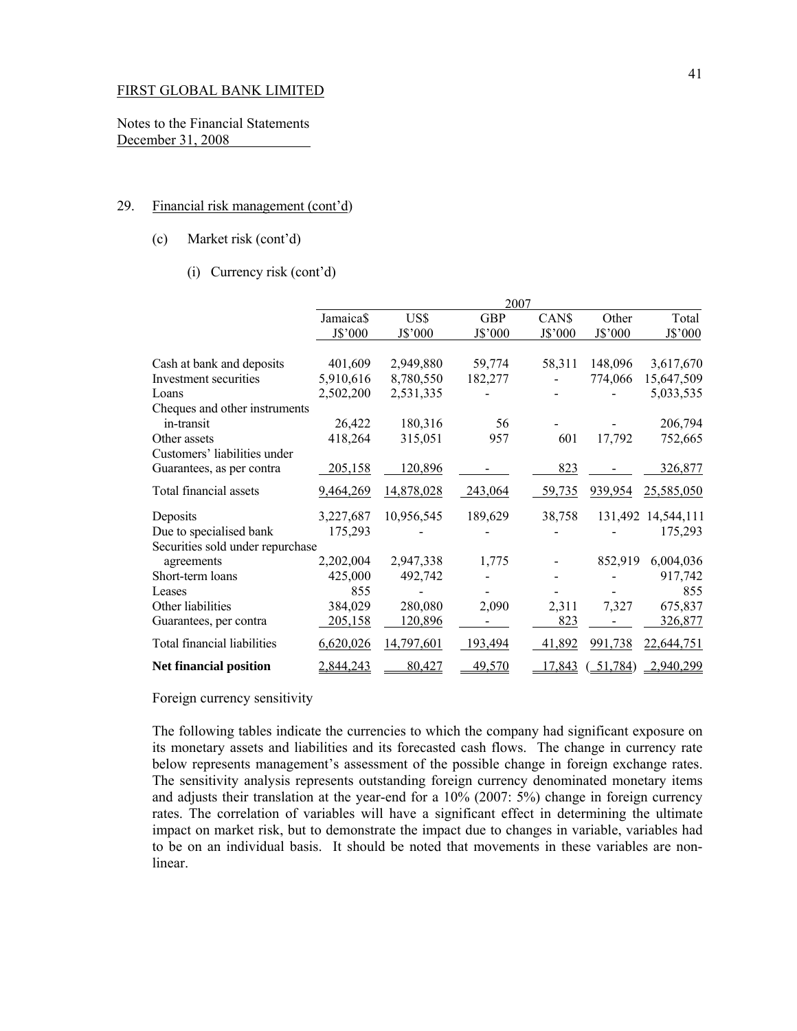Notes to the Financial Statements December 31, 2008

### 29. Financial risk management (cont'd)

(c) Market risk (cont'd)

# (i) Currency risk (cont'd)

|                                  | 2007      |            |            |         |         |                    |
|----------------------------------|-----------|------------|------------|---------|---------|--------------------|
|                                  | Jamaica\$ | US\$       | <b>GBP</b> | CAN\$   | Other   | Total              |
|                                  | J\$'000   | J\$'000    | J\$'000    | J\$'000 | J\$'000 | J\$'000            |
| Cash at bank and deposits        | 401,609   | 2,949,880  | 59,774     | 58,311  | 148,096 | 3,617,670          |
| Investment securities            | 5,910,616 | 8,780,550  | 182,277    |         | 774,066 | 15,647,509         |
| Loans                            | 2,502,200 | 2,531,335  |            |         |         | 5,033,535          |
| Cheques and other instruments    |           |            |            |         |         |                    |
| in-transit                       | 26,422    | 180,316    | 56         |         |         | 206,794            |
| Other assets                     | 418,264   | 315,051    | 957        | 601     | 17,792  | 752,665            |
| Customers' liabilities under     |           |            |            |         |         |                    |
| Guarantees, as per contra        | 205,158   | 120,896    |            | 823     |         | 326,877            |
| Total financial assets           | 9,464,269 | 14,878,028 | 243,064    | 59,735  | 939,954 | 25,585,050         |
| Deposits                         | 3,227,687 | 10,956,545 | 189,629    | 38,758  |         | 131,492 14,544,111 |
| Due to specialised bank          | 175,293   |            |            |         |         | 175,293            |
| Securities sold under repurchase |           |            |            |         |         |                    |
| agreements                       | 2,202,004 | 2,947,338  | 1,775      |         | 852,919 | 6,004,036          |
| Short-term loans                 | 425,000   | 492,742    |            |         |         | 917,742            |
| Leases                           | 855       |            |            |         |         | 855                |
| Other liabilities                | 384,029   | 280,080    | 2,090      | 2,311   | 7,327   | 675,837            |
| Guarantees, per contra           | 205,158   | 120,896    |            | 823     |         | 326,877            |
| Total financial liabilities      | 6,620,026 | 14,797,601 | 193,494    | 41,892  | 991,738 | 22,644,751         |
| <b>Net financial position</b>    | 2,844,243 | 80,427     | 49,570     | 17,843  | 51,784) | 2,940,299          |

Foreign currency sensitivity

The following tables indicate the currencies to which the company had significant exposure on its monetary assets and liabilities and its forecasted cash flows. The change in currency rate below represents management's assessment of the possible change in foreign exchange rates. The sensitivity analysis represents outstanding foreign currency denominated monetary items and adjusts their translation at the year-end for a 10% (2007: 5%) change in foreign currency rates. The correlation of variables will have a significant effect in determining the ultimate impact on market risk, but to demonstrate the impact due to changes in variable, variables had to be on an individual basis. It should be noted that movements in these variables are nonlinear.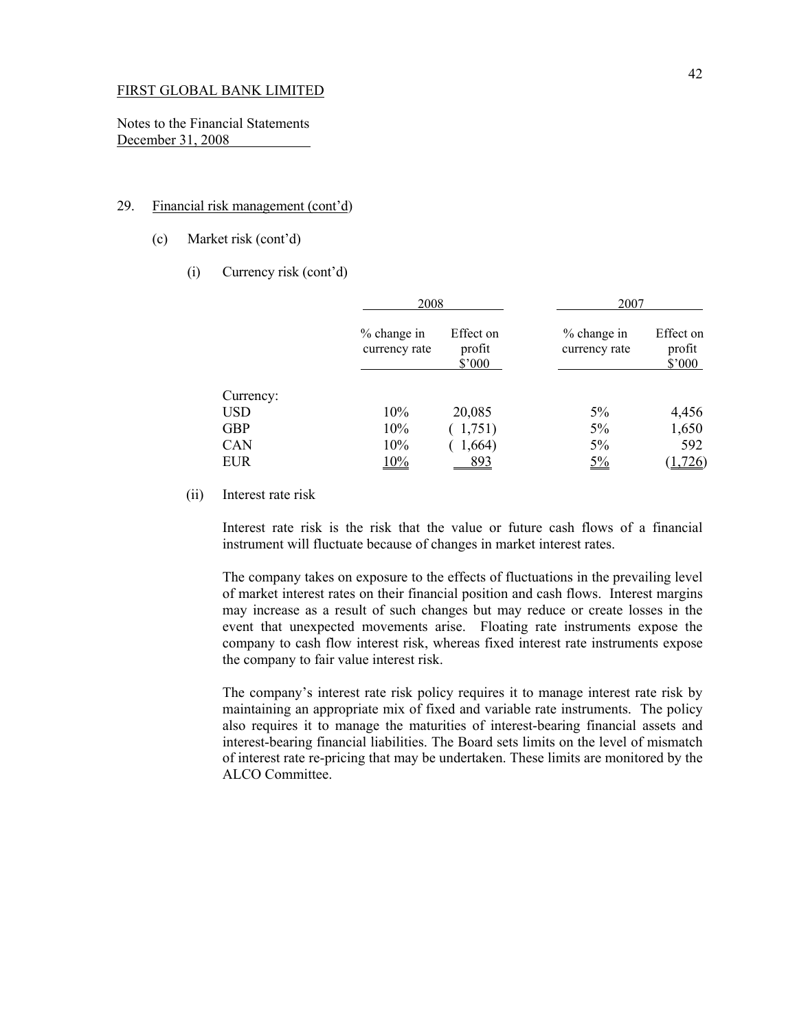Notes to the Financial Statements December 31, 2008

## 29. Financial risk management (cont'd)

- (c) Market risk (cont'd)
	- (i) Currency risk (cont'd)

|            | 2008                           |                                        | 2007                         |                               |
|------------|--------------------------------|----------------------------------------|------------------------------|-------------------------------|
|            | $%$ change in<br>currency rate | Effect on<br>profit<br>$$^{\prime}000$ | % change in<br>currency rate | Effect on<br>profit<br>\$'000 |
| Currency:  |                                |                                        |                              |                               |
| <b>USD</b> | 10%                            | 20,085                                 | 5%                           | 4,456                         |
| <b>GBP</b> | 10%                            | (1,751)                                | $5\%$                        | 1,650                         |
| <b>CAN</b> | 10%                            | 1,664)                                 | $5\%$                        | 592                           |
| <b>EUR</b> | 10%                            | 893                                    | $5\%$                        | 1,726)                        |

(ii) Interest rate risk

Interest rate risk is the risk that the value or future cash flows of a financial instrument will fluctuate because of changes in market interest rates.

The company takes on exposure to the effects of fluctuations in the prevailing level of market interest rates on their financial position and cash flows. Interest margins may increase as a result of such changes but may reduce or create losses in the event that unexpected movements arise. Floating rate instruments expose the company to cash flow interest risk, whereas fixed interest rate instruments expose the company to fair value interest risk.

 The company's interest rate risk policy requires it to manage interest rate risk by maintaining an appropriate mix of fixed and variable rate instruments. The policy also requires it to manage the maturities of interest-bearing financial assets and interest-bearing financial liabilities. The Board sets limits on the level of mismatch of interest rate re-pricing that may be undertaken. These limits are monitored by the ALCO Committee.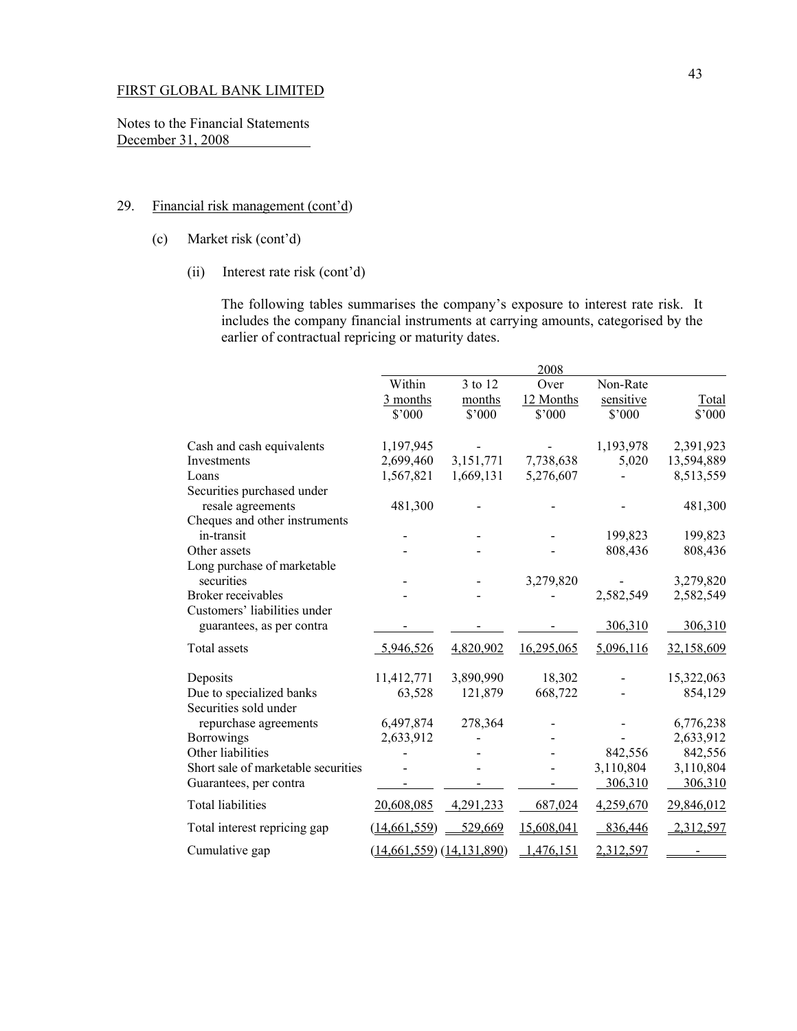Notes to the Financial Statements December 31, 2008

# 29. Financial risk management (cont'd)

- (c) Market risk (cont'd)
	- (ii) Interest rate risk (cont'd)

The following tables summarises the company's exposure to interest rate risk. It includes the company financial instruments at carrying amounts, categorised by the earlier of contractual repricing or maturity dates.

|                                                           |                              |           | 2008       |           |            |
|-----------------------------------------------------------|------------------------------|-----------|------------|-----------|------------|
|                                                           | Within                       | 3 to 12   | Over       | Non-Rate  |            |
|                                                           | $\frac{3 \text{ months}}{2}$ | months    | 12 Months  | sensitive | Total      |
|                                                           | $$^{\circ}000$               | \$'000    | \$'000     | \$'000    | \$'000     |
| Cash and cash equivalents                                 | 1,197,945                    |           |            | 1,193,978 | 2,391,923  |
| Investments                                               | 2,699,460                    | 3,151,771 | 7,738,638  | 5,020     | 13,594,889 |
| Loans                                                     | 1,567,821                    | 1,669,131 | 5,276,607  |           | 8,513,559  |
| Securities purchased under                                |                              |           |            |           |            |
| resale agreements                                         | 481,300                      |           |            |           | 481,300    |
| Cheques and other instruments                             |                              |           |            |           |            |
| in-transit                                                |                              |           |            | 199,823   | 199,823    |
| Other assets                                              |                              |           |            | 808,436   | 808,436    |
| Long purchase of marketable                               |                              |           |            |           |            |
| securities                                                |                              |           | 3,279,820  |           | 3,279,820  |
| Broker receivables                                        |                              |           |            | 2,582,549 | 2,582,549  |
| Customers' liabilities under<br>guarantees, as per contra |                              |           |            | 306,310   | 306,310    |
| Total assets                                              | 5,946,526                    | 4,820,902 | 16,295,065 | 5,096,116 | 32,158,609 |
| Deposits                                                  | 11,412,771                   | 3,890,990 | 18,302     |           | 15,322,063 |
| Due to specialized banks<br>Securities sold under         | 63,528                       | 121,879   | 668,722    |           | 854,129    |
| repurchase agreements                                     | 6,497,874                    | 278,364   |            |           | 6,776,238  |
| <b>Borrowings</b>                                         | 2,633,912                    |           |            |           | 2,633,912  |
| Other liabilities                                         |                              |           |            | 842,556   | 842,556    |
| Short sale of marketable securities                       |                              |           |            | 3,110,804 | 3,110,804  |
| Guarantees, per contra                                    |                              |           |            | 306,310   | 306,310    |
| <b>Total liabilities</b>                                  | 20,608,085                   | 4,291,233 | 687,024    | 4,259,670 | 29,846,012 |
| Total interest repricing gap                              | (14, 661, 559)               | 529,669   | 15,608,041 | 836,446   | 2,312,597  |
| Cumulative gap                                            | (14,661,559) (14,131,890)    |           | 1,476,151  | 2,312,597 |            |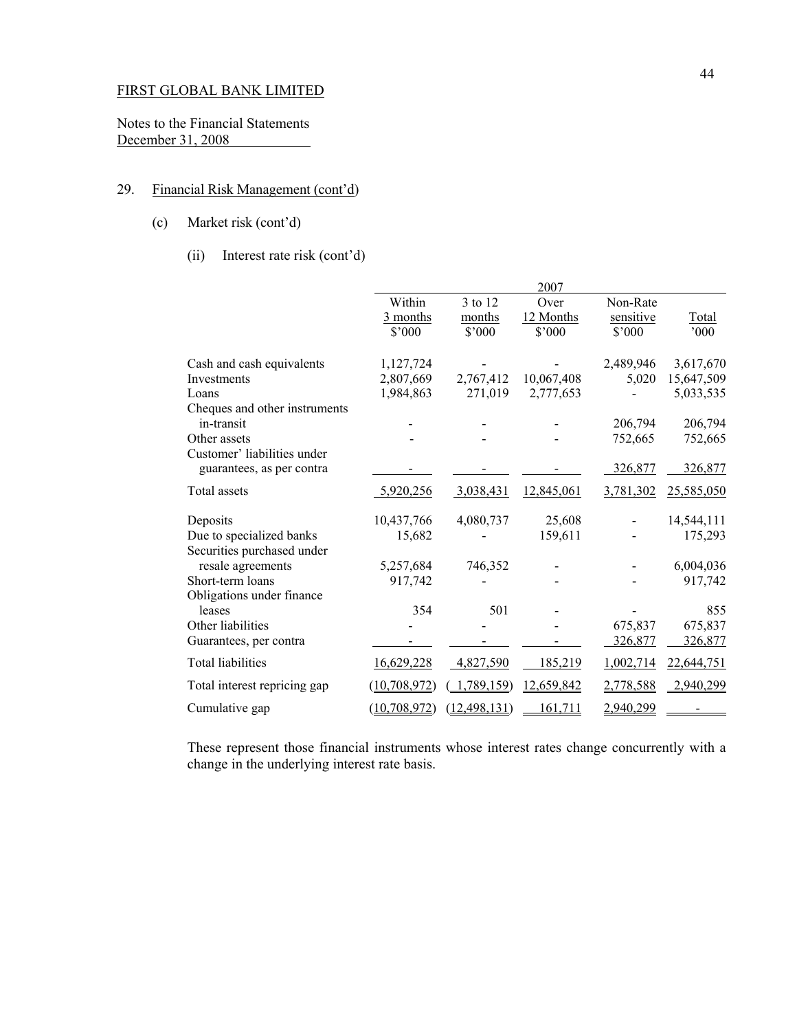Notes to the Financial Statements December 31, 2008 

# 29. Financial Risk Management (cont'd)

- (c) Market risk (cont'd)
	- (ii) Interest rate risk (cont'd)

|                |                | 2007       |                |                                                       |
|----------------|----------------|------------|----------------|-------------------------------------------------------|
| Within         | 3 to 12        | Over       | Non-Rate       |                                                       |
| 3 months       | months         |            |                | <b>Total</b>                                          |
| $$^{\circ}000$ | $$^{\circ}000$ | \$'000     | $$^{\circ}000$ | 000'                                                  |
| 1,127,724      |                |            | 2,489,946      | 3,617,670                                             |
| 2,807,669      | 2,767,412      | 10,067,408 | 5,020          | 15,647,509                                            |
| 1,984,863      | 271,019        | 2,777,653  |                | 5,033,535                                             |
|                |                |            |                |                                                       |
|                |                |            |                | 206,794                                               |
|                |                |            |                | 752,665                                               |
|                |                |            | 326,877        | 326,877                                               |
| 5,920,256      | 3,038,431      | 12,845,061 | 3,781,302      | 25,585,050                                            |
| 10,437,766     | 4,080,737      | 25,608     |                | 14,544,111                                            |
| 15,682         |                | 159,611    |                | 175,293                                               |
|                |                |            |                |                                                       |
| 5,257,684      | 746,352        |            |                | 6,004,036                                             |
|                |                |            |                | 917,742                                               |
|                |                |            |                |                                                       |
| 354            |                |            |                | 855                                                   |
|                |                |            |                | 675,837                                               |
|                |                |            |                | 326,877                                               |
| 16,629,228     | 4,827,590      | 185,219    | 1,002,714      | 22,644,751                                            |
| (10, 708, 972) | (789, 159)     | 12,659,842 | 2,778,588      | 2,940,299                                             |
| (10, 708, 972) | (12, 498, 131) | 161,711    | 2,940,299      |                                                       |
|                | 917,742        | 501        | 12 Months      | sensitive<br>206,794<br>752,665<br>675,837<br>326,877 |

These represent those financial instruments whose interest rates change concurrently with a change in the underlying interest rate basis.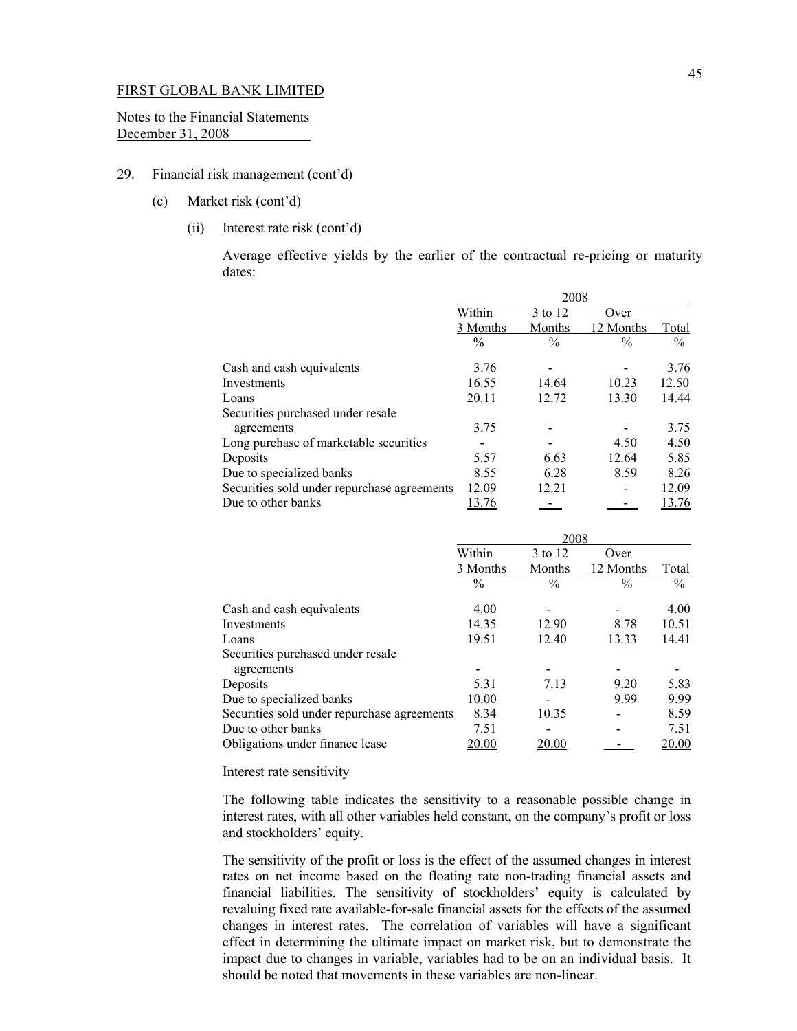Notes to the Financial Statements December 31, 2008

## 29. Financial risk management (cont'd)

- (c) Market risk (cont'd)
	- (ii) Interest rate risk (cont'd)

 Average effective yields by the earlier of the contractual re-pricing or maturity dates:

|                                             | 2008          |               |               |               |  |
|---------------------------------------------|---------------|---------------|---------------|---------------|--|
|                                             | Within        | 3 to 12       | Over          |               |  |
|                                             | 3 Months      | Months        | 12 Months     | Total         |  |
|                                             | $\frac{0}{0}$ | $\frac{0}{0}$ | $\frac{0}{0}$ | $\frac{0}{0}$ |  |
| Cash and cash equivalents                   | 3.76          |               |               | 3.76          |  |
| Investments                                 | 16.55         | 14.64         | 10.23         | 12.50         |  |
| Loans                                       | 20.11         | 12.72         | 13.30         | 14.44         |  |
| Securities purchased under resale           |               |               |               |               |  |
| agreements                                  | 3.75          |               |               | 3.75          |  |
| Long purchase of marketable securities      |               |               | 4.50          | 4.50          |  |
| Deposits                                    | 5.57          | 6.63          | 12.64         | 5.85          |  |
| Due to specialized banks                    | 8.55          | 6.28          | 8.59          | 8.26          |  |
| Securities sold under repurchase agreements | 12.09         | 12.21         |               | 12.09         |  |
| Due to other banks                          | 13.76         |               |               | 13.76         |  |

|                                             | 2008          |               |               |               |
|---------------------------------------------|---------------|---------------|---------------|---------------|
|                                             | Within        | 3 to 12       | Over          |               |
|                                             | 3 Months      | Months        | 12 Months     | Total         |
|                                             | $\frac{0}{0}$ | $\frac{0}{0}$ | $\frac{0}{0}$ | $\%$          |
| Cash and cash equivalents                   | 4.00          |               |               | 4.00          |
| Investments                                 | 14.35         | 12.90         | 8.78          | 10.51         |
| Loans                                       | 19.51         | 12.40         | 13.33         | 14.41         |
| Securities purchased under resale           |               |               |               |               |
| agreements                                  |               |               |               |               |
| Deposits                                    | 5.31          | 7.13          | 9.20          | 5.83          |
| Due to specialized banks                    | 10.00         |               | 9.99          | 9.99          |
| Securities sold under repurchase agreements | 8.34          | 10.35         |               | 8.59          |
| Due to other banks                          | 7.51          |               |               | 7.51          |
| Obligations under finance lease             | <u> 20.00</u> | 20.00         |               | <u> 20.00</u> |

Interest rate sensitivity

The following table indicates the sensitivity to a reasonable possible change in interest rates, with all other variables held constant, on the company's profit or loss and stockholders' equity.

The sensitivity of the profit or loss is the effect of the assumed changes in interest rates on net income based on the floating rate non-trading financial assets and financial liabilities. The sensitivity of stockholders' equity is calculated by revaluing fixed rate available-for-sale financial assets for the effects of the assumed changes in interest rates. The correlation of variables will have a significant effect in determining the ultimate impact on market risk, but to demonstrate the impact due to changes in variable, variables had to be on an individual basis. It should be noted that movements in these variables are non-linear.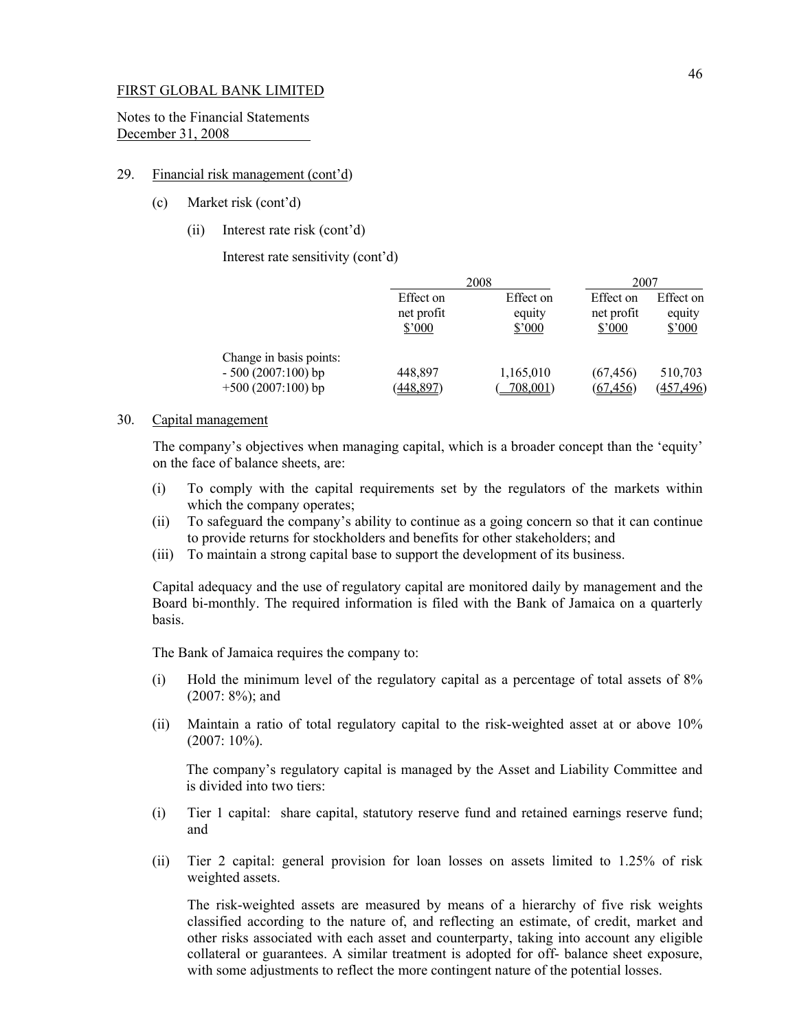Notes to the Financial Statements December 31, 2008

#### 29. Financial risk management (cont'd)

- (c) Market risk (cont'd)
	- (ii) Interest rate risk (cont'd)

Interest rate sensitivity (cont'd)

|                                                                       | 2008                              |                               | 2007                              |                               |
|-----------------------------------------------------------------------|-----------------------------------|-------------------------------|-----------------------------------|-------------------------------|
|                                                                       | Effect on<br>net profit<br>\$'000 | Effect on<br>equity<br>\$'000 | Effect on<br>net profit<br>\$7000 | Effect on<br>equity<br>\$'000 |
| Change in basis points:<br>$-500(2007:100)$ bp<br>$+500(2007:100)$ bp | 448,897<br>(448, 897)             | 1,165,010<br>708,001)         | (67, 456)<br>(67, 456)            | 510,703<br>(457, 496)         |

## 30. Capital management

 The company's objectives when managing capital, which is a broader concept than the 'equity' on the face of balance sheets, are:

- (i) To comply with the capital requirements set by the regulators of the markets within which the company operates;
- (ii) To safeguard the company's ability to continue as a going concern so that it can continue to provide returns for stockholders and benefits for other stakeholders; and
- (iii) To maintain a strong capital base to support the development of its business.

Capital adequacy and the use of regulatory capital are monitored daily by management and the Board bi-monthly. The required information is filed with the Bank of Jamaica on a quarterly basis.

The Bank of Jamaica requires the company to:

- (i) Hold the minimum level of the regulatory capital as a percentage of total assets of 8% (2007: 8%); and
- (ii) Maintain a ratio of total regulatory capital to the risk-weighted asset at or above 10%  $(2007:10\%)$ .

The company's regulatory capital is managed by the Asset and Liability Committee and is divided into two tiers:

- (i) Tier 1 capital: share capital, statutory reserve fund and retained earnings reserve fund; and
- (ii) Tier 2 capital: general provision for loan losses on assets limited to 1.25% of risk weighted assets.

The risk-weighted assets are measured by means of a hierarchy of five risk weights classified according to the nature of, and reflecting an estimate, of credit, market and other risks associated with each asset and counterparty, taking into account any eligible collateral or guarantees. A similar treatment is adopted for off- balance sheet exposure, with some adjustments to reflect the more contingent nature of the potential losses.